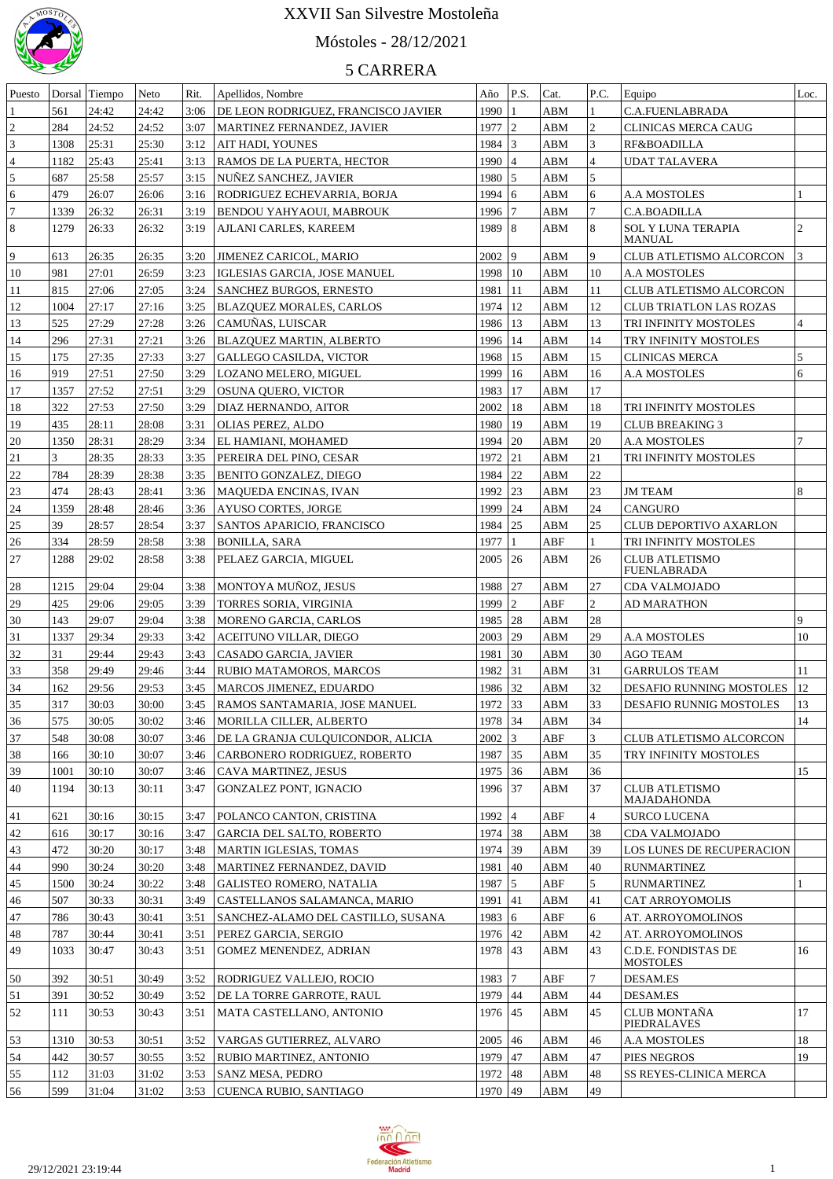

## Móstoles - 28/12/2021

| Puesto         |      | Dorsal Tiempo | Neto  | Rit. | Apellidos, Nombre                   | Año           | P.S.          | Cat.        | P.C.            | Equipo                         | Loc.           |
|----------------|------|---------------|-------|------|-------------------------------------|---------------|---------------|-------------|-----------------|--------------------------------|----------------|
|                | 561  | 24:42         | 24:42 | 3:06 | DE LEON RODRIGUEZ, FRANCISCO JAVIER | 199011        |               | ABM         |                 | C.A.FUENLABRADA                |                |
| $\sqrt{2}$     | 284  | 24:52         | 24:52 | 3:07 | MARTINEZ FERNANDEZ, JAVIER          | $1977$ 2      |               | ABM         | $\mathfrak{2}$  | CLINICAS MERCA CAUG            |                |
| 3              |      |               |       |      |                                     |               |               |             |                 |                                |                |
|                | 1308 | 25:31         | 25:30 | 3:12 | AIT HADI, YOUNES                    | $1984$ 3      |               | ABM         | $\vert 3 \vert$ | RF&BOADILLA                    |                |
| $\overline{4}$ | 1182 | 25:43         | 25:41 | 3:13 | RAMOS DE LA PUERTA, HECTOR          | $1990$ 4      |               | ABM         | $\overline{4}$  | <b>UDAT TALAVERA</b>           |                |
| 5              | 687  | 25:58         | 25:57 | 3:15 | NUNEZ SANCHEZ, JAVIER               | 1980 5        |               | ABM         | $\overline{5}$  |                                |                |
| 6              | 479  | 26:07         | 26:06 | 3:16 | RODRIGUEZ ECHEVARRIA, BORJA         | $1994 \mid 6$ |               | ABM         | 6               | <b>A.A MOSTOLES</b>            |                |
| $\overline{7}$ | 1339 | 26:32         | 26:31 | 3:19 | BENDOU YAHYAOUI, MABROUK            | 1996 7        |               | ABM         | 7               | C.A.BOADILLA                   |                |
| $\,$ 8 $\,$    | 1279 | 26:33         | 26:32 | 3:19 | AJLANI CARLES, KAREEM               | 1989   8      |               | ABM         | $\sqrt{8}$      | <b>SOL Y LUNA TERAPIA</b>      | $\overline{c}$ |
|                |      |               |       |      |                                     |               |               |             |                 | MANUAL                         |                |
| 9              | 613  | 26:35         | 26:35 | 3:20 | <b>JIMENEZ CARICOL, MARIO</b>       | 2002   9      |               | ABM         | 9               | <b>CLUB ATLETISMO ALCORCON</b> | 3              |
| 10             | 981  | 27:01         | 26:59 | 3:23 | <b>IGLESIAS GARCIA. JOSE MANUEL</b> | 1998   10     |               | ABM         | 10              | <b>A.A MOSTOLES</b>            |                |
| 11             | 815  | 27:06         | 27:05 | 3:24 | <b>SANCHEZ BURGOS, ERNESTO</b>      | 1981          | 11            | ABM         | 11              | CLUB ATLETISMO ALCORCON        |                |
| 12             | 1004 | 27:17         | 27:16 | 3:25 | <b>BLAZQUEZ MORALES, CARLOS</b>     | 1974          | $ 12\rangle$  | ABM         | 12              | <b>CLUB TRIATLON LAS ROZAS</b> |                |
| 13             | 525  | 27:29         | 27:28 | 3:26 | CAMUÑAS, LUISCAR                    | 1986   13     |               | ABM         | 13              | TRI INFINITY MOSTOLES          | $\overline{4}$ |
| 14             | 296  | 27:31         | 27:21 | 3:26 | BLAZQUEZ MARTIN, ALBERTO            | 1996          | <sup>14</sup> | <b>ABM</b>  | 14              | TRY INFINITY MOSTOLES          |                |
| 15             | 175  | 27:35         | 27:33 | 3:27 | GALLEGO CASILDA, VICTOR             | 1968          | <sup>15</sup> | ABM         | 15              | <b>CLINICAS MERCA</b>          | 5              |
| 16             | 919  | 27:51         | 27:50 | 3:29 | LOZANO MELERO, MIGUEL               | 1999          | 16            | ABM         | 16              | <b>A.A MOSTOLES</b>            | 6              |
| 17             | 1357 | 27:52         | 27:51 | 3:29 | OSUNA QUERO, VICTOR                 | 1983          | <sup>17</sup> | ABM         | 17              |                                |                |
| 18             | 322  | 27:53         | 27:50 | 3:29 | DIAZ HERNANDO, AITOR                | 2002          | 18            | ABM         | 18              | TRI INFINITY MOSTOLES          |                |
| 19             | 435  | 28:11         | 28:08 | 3:31 | <b>OLIAS PEREZ, ALDO</b>            | 1980          | 19            | ABM         | 19              | <b>CLUB BREAKING 3</b>         |                |
|                |      |               |       |      |                                     |               |               |             |                 |                                |                |
| 20             | 1350 | 28:31         | 28:29 | 3:34 | EL HAMIANI, MOHAMED                 | 1994          | 20            | ABM         | 20              | <b>A.A MOSTOLES</b>            |                |
| 21             | 3    | 28:35         | 28:33 | 3:35 | PEREIRA DEL PINO, CESAR             | 1972 21       |               | ABM         | 21              | TRI INFINITY MOSTOLES          |                |
| 22             | 784  | 28:39         | 28:38 | 3:35 | BENITO GONZALEZ, DIEGO              | 1984          | 22            | ABM         | 22              |                                |                |
| 23             | 474  | 28:43         | 28:41 | 3:36 | <b>MAQUEDA ENCINAS, IVAN</b>        | 1992          | 23            | ABM         | 23              | <b>JM TEAM</b>                 | 8              |
| 24             | 1359 | 28:48         | 28:46 | 3:36 | <b>AYUSO CORTES, JORGE</b>          | 1999          | 24            | ABM         | 24              | <b>CANGURO</b>                 |                |
| 25             | 39   | 28:57         | 28:54 | 3:37 | SANTOS APARICIO, FRANCISCO          | 1984          | 25            | <b>ABM</b>  | 25              | <b>CLUB DEPORTIVO AXARLON</b>  |                |
| 26             | 334  | 28:59         | 28:58 | 3:38 | <b>BONILLA, SARA</b>                | 1977          | $\mathbf{1}$  | ABF         | $\mathbf{1}$    | TRI INFINITY MOSTOLES          |                |
| 27             | 1288 | 29:02         | 28:58 | 3:38 | PELAEZ GARCIA, MIGUEL               | 2005          | 26            | ABM         | 26              | <b>CLUB ATLETISMO</b>          |                |
|                |      |               |       |      |                                     |               |               |             |                 | FUENLABRADA                    |                |
| 28             | 1215 | 29:04         | 29:04 | 3:38 | MONTOYA MUNOZ, JESUS                | 1988 27       |               | ${\bf ABM}$ | 27              | CDA VALMOJADO                  |                |
| 29             | 425  | 29:06         | 29:05 | 3:39 | TORRES SORIA, VIRGINIA              | 1999 2        |               | ABF         | $\overline{c}$  | <b>AD MARATHON</b>             |                |
| 30             | 143  | 29:07         | 29:04 | 3:38 | MORENO GARCIA, CARLOS               | 1985 28       |               | ABM         | 28              |                                | 9              |
| 31             | 1337 | 29:34         | 29:33 | 3:42 | ACEITUNO VILLAR, DIEGO              | 2003 29       |               | ABM         | 29              | <b>A.A MOSTOLES</b>            | 10             |
| 32             | 31   | 29:44         | 29:43 | 3:43 | CASADO GARCIA, JAVIER               | 1981 30       |               | ABM         | 30              | <b>AGO TEAM</b>                |                |
| 33             | 358  | 29:49         | 29:46 | 3:44 | RUBIO MATAMOROS, MARCOS             | 1982 31       |               | ABM         | 31              | <b>GARRULOS TEAM</b>           | 11             |
| 34             | 162  | 29:56         | 29:53 | 3:45 | MARCOS JIMENEZ, EDUARDO             | 1986 32       |               | ABM         | 32              | DESAFIO RUNNING MOSTOLES       | <sup>12</sup>  |
| 35             | 317  | 30:03         | 30:00 | 3:45 |                                     | 1972 33       |               | ABM         | 33              |                                | 13             |
|                |      |               |       |      | RAMOS SANTAMARIA, JOSE MANUEL       |               |               |             |                 | DESAFIO RUNNIG MOSTOLES        |                |
| 36             | 575  | 30:05         | 30:02 | 3:46 | MORILLA CILLER, ALBERTO             | 1978 34       |               | ABM         | 34              |                                | 14             |
| 37             | 548  | 30:08         | 30:07 | 3:46 | DE LA GRANJA CULQUICONDOR, ALICIA   | $2002 \mid 3$ |               | ABF         | $\vert$ 3       | CLUB ATLETISMO ALCORCON        |                |
| 38             | 166  | 30:10         | 30:07 | 3:46 | CARBONERO RODRIGUEZ, ROBERTO        | 1987 35       |               | ABM         | 35              | TRY INFINITY MOSTOLES          |                |
| 39             | 1001 | 30:10         | 30:07 | 3:46 | CAVA MARTINEZ, JESUS                | 1975 36       |               | <b>ABM</b>  | 36              |                                | 15             |
| 40             | 1194 | 30:13         | 30:11 | 3:47 | GONZALEZ PONT, IGNACIO              | 1996 37       |               | ABM         | 37              | <b>CLUB ATLETISMO</b>          |                |
|                |      |               |       |      |                                     |               |               |             |                 | <b>MAJADAHONDA</b>             |                |
| 41             | 621  | 30:16         | 30:15 | 3:47 | POLANCO CANTON, CRISTINA            | $1992$ 4      |               | ABF         | $\overline{4}$  | <b>SURCO LUCENA</b>            |                |
| 42             | 616  | 30:17         | 30:16 | 3:47 | <b>GARCIA DEL SALTO, ROBERTO</b>    | 1974 38       |               | ABM         | 38              | CDA VALMOJADO                  |                |
| 43             | 472  | 30:20         | 30:17 | 3:48 | <b>MARTIN IGLESIAS, TOMAS</b>       | 1974 39       |               | ABM         | 39              | LOS LUNES DE RECUPERACION      |                |
| 44             | 990  | 30:24         | 30:20 | 3:48 | MARTINEZ FERNANDEZ, DAVID           | 1981 40       |               | ABM         | 40              | <b>RUNMARTINEZ</b>             |                |
| 45             | 1500 | 30:24         | 30:22 | 3:48 | <b>GALISTEO ROMERO, NATALIA</b>     | 1987 $ 5$     |               | ABF         | 5               | <b>RUNMARTINEZ</b>             |                |
| 46             | 507  | 30:33         | 30:31 | 3:49 | CASTELLANOS SALAMANCA, MARIO        | 1991 41       |               | ABM         | 41              | CAT ARROYOMOLIS                |                |
| 47             | 786  | 30:43         | 30:41 | 3:51 | SANCHEZ-ALAMO DEL CASTILLO, SUSANA  | 1983   6      |               | ABF         | 6               | AT. ARROYOMOLINOS              |                |
| 48             | 787  | 30:44         | 30:41 | 3:51 | PEREZ GARCIA, SERGIO                | 1976 42       |               | ABM         | 42              | AT. ARROYOMOLINOS              |                |
| 49             | 1033 | 30:47         | 30:43 | 3:51 | GOMEZ MENENDEZ, ADRIAN              | 1978 43       |               | ABM         | 43              | C.D.E. FONDISTAS DE            | 16             |
|                |      |               |       |      |                                     |               |               |             |                 | <b>MOSTOLES</b>                |                |
| 50             | 392  | 30:51         | 30:49 | 3:52 | RODRIGUEZ VALLEJO, ROCIO            | 1983 7        |               | ABF         | $\tau$          | <b>DESAM.ES</b>                |                |
| 51             | 391  | 30:52         | 30:49 | 3:52 | DE LA TORRE GARROTE, RAUL           | 1979 44       |               | <b>ABM</b>  | 44              | <b>DESAM.ES</b>                |                |
| 52             | 111  | 30:53         | 30:43 | 3:51 | MATA CASTELLANO, ANTONIO            | 1976 45       |               | ABM         | 45              | <b>CLUB MONTAÑA</b>            | 17             |
|                |      |               |       |      |                                     |               |               |             |                 | PIEDRALAVES                    |                |
| 53             | 1310 | 30:53         | 30:51 | 3:52 | VARGAS GUTIERREZ, ALVARO            | $2005$ 46     |               | <b>ABM</b>  | 46              | <b>A.A MOSTOLES</b>            | 18             |
| 54             | 442  | 30:57         | 30:55 | 3:52 | RUBIO MARTINEZ, ANTONIO             | 1979 47       |               | ABM         | 47              | PIES NEGROS                    | 19             |
| 55             | 112  | 31:03         | 31:02 | 3:53 | SANZ MESA, PEDRO                    | 1972 48       |               | ABM         | 48              | SS REYES-CLINICA MERCA         |                |
| 56             | 599  | 31:04         | 31:02 | 3:53 | CUENCA RUBIO, SANTIAGO              | 1970 49       |               | <b>ABM</b>  | 49              |                                |                |
|                |      |               |       |      |                                     |               |               |             |                 |                                |                |

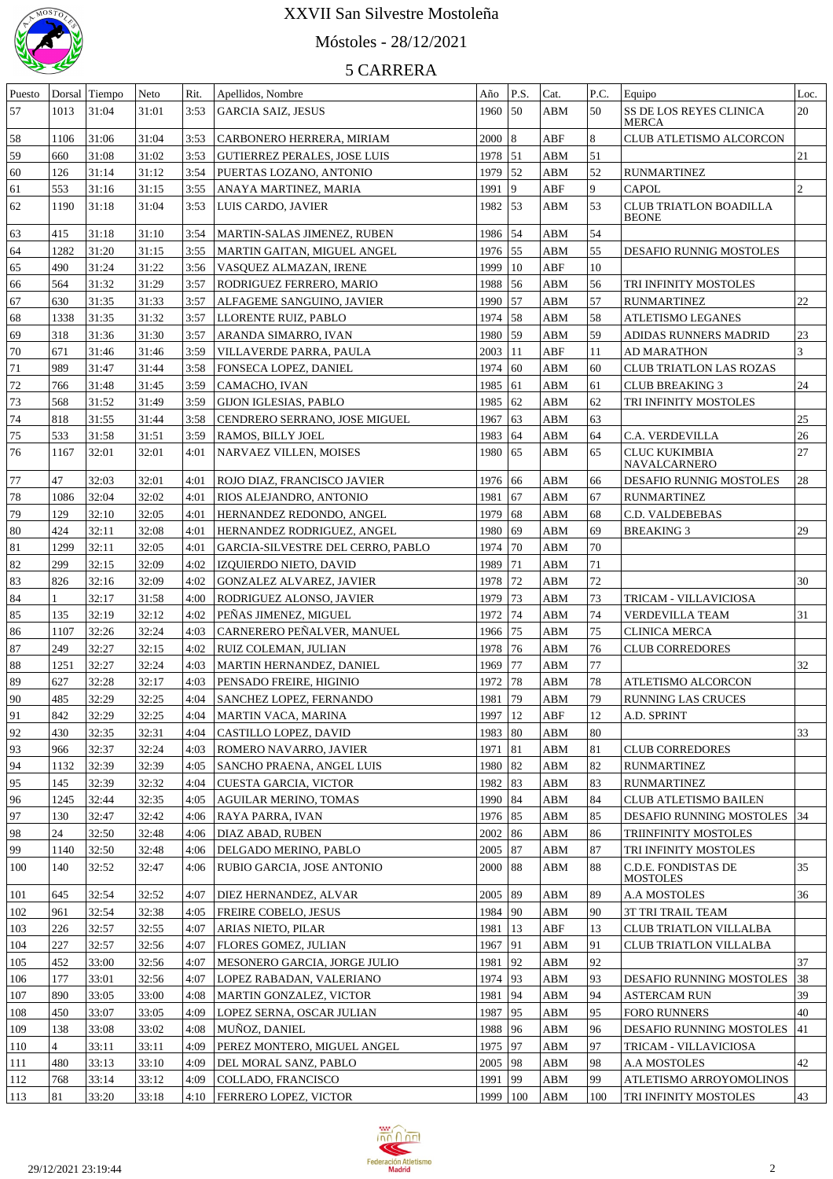

# Móstoles - 28/12/2021

| Puesto   | Dorsal         | Tiempo         | Neto           | Rit.         | Apellidos, Nombre                                        | Año          | P.S.                | Cat.       | P.C.     | Equipo                                        | Loc.           |
|----------|----------------|----------------|----------------|--------------|----------------------------------------------------------|--------------|---------------------|------------|----------|-----------------------------------------------|----------------|
| 57       | 1013           | 31:04          | 31:01          | 3:53         | <b>GARCIA SAIZ, JESUS</b>                                | 1960         | 50                  | ABM        | 50       | SS DE LOS REYES CLINICA<br><b>MERCA</b>       | 20             |
| 58       | 1106           | 31:06          | 31:04          | 3:53         | CARBONERO HERRERA, MIRIAM                                | $2000$ 8     |                     | ABF        | 8        | CLUB ATLETISMO ALCORCON                       |                |
| 59       | 660            | 31:08          | 31:02          | 3:53         | <b>GUTIERREZ PERALES, JOSE LUIS</b>                      | 1978 51      |                     | ABM        | 51       |                                               | 21             |
| 60       | 126            | 31:14          | 31:12          | 3:54         | PUERTAS LOZANO, ANTONIO                                  | 1979         | $\vert$ 52          | ABM        | 52       | <b>RUNMARTINEZ</b>                            |                |
| 61       | 553            | 31:16          | 31:15          | 3:55         | ANAYA MARTINEZ, MARIA                                    | 1991         | 9                   | ABF        | 9        | <b>CAPOL</b>                                  | $\overline{c}$ |
| 62       | 1190           | 31:18          | 31:04          | 3:53         | LUIS CARDO, JAVIER                                       | 1982         | $\vert$ 53          | ABM        | 53       | <b>CLUB TRIATLON BOADILLA</b><br><b>BEONE</b> |                |
| 63       | 415            | 31:18          | 31:10          | 3:54         | MARTIN-SALAS JIMENEZ, RUBEN                              | 1986 54      |                     | ABM        | 54       |                                               |                |
| 64       | 1282           | 31:20          | 31:15          | 3:55         | MARTIN GAITAN, MIGUEL ANGEL                              | 1976 55      |                     | ABM        | 55       | DESAFIO RUNNIG MOSTOLES                       |                |
| 65       | 490            | 31:24          | 31:22          | 3:56         | VASOUEZ ALMAZAN, IRENE                                   | 1999         | $ 10\rangle$        | ABF        | 10       |                                               |                |
| 66       | 564            | 31:32          | 31:29          | 3:57         | <b>RODRIGUEZ FERRERO, MARIO</b>                          | 1988 56      |                     | ABM        | 56       | TRI INFINITY MOSTOLES                         |                |
| 67       | 630            | 31:35          | 31:33          | 3:57         | ALFAGEME SANGUINO, JAVIER                                | 1990 57      |                     | ABM        | 57       | <b>RUNMARTINEZ</b>                            | 22             |
| 68       | 1338           | 31:35          | 31:32          | 3:57         | LLORENTE RUIZ, PABLO                                     | 1974 58      |                     | ABM        | 58       | ATLETISMO LEGANES                             |                |
| 69       | 318            | 31:36          | 31:30          | 3:57         | ARANDA SIMARRO, IVAN                                     | 1980 59      |                     | ABM        | 59       | ADIDAS RUNNERS MADRID                         | $23\,$         |
| 70       | 671            | 31:46          | 31:46          | 3:59         | VILLAVERDE PARRA, PAULA                                  | 2003   11    |                     | ABF        | 11       | AD MARATHON                                   | 3              |
| 71       | 989            | 31:47          | 31:44          | 3:58         | <b>FONSECA LOPEZ, DANIEL</b>                             | 1974 60      |                     | ABM        | 60       | <b>CLUB TRIATLON LAS ROZAS</b>                |                |
| 72       | 766            | 31:48          | 31:45          | 3:59         | CAMACHO, IVAN                                            | 1985         | 61                  | ABM        | 61       | <b>CLUB BREAKING 3</b>                        | 24             |
| 73       | 568            | 31:52          | 31:49          | 3:59         | GIJON IGLESIAS, PABLO                                    | 1985         | $\vert 62 \vert$    | ABM        | 62       | TRI INFINITY MOSTOLES                         |                |
| 74       | 818            | 31:55          | 31:44          | 3:58         | CENDRERO SERRANO, JOSE MIGUEL                            | 1967         | $\left  63 \right $ | ABM        | 63       |                                               | $25\,$         |
| 75       | 533            | 31:58          | 31:51          | 3:59         | <b>RAMOS, BILLY JOEL</b>                                 | 1983         | $\sqrt{64}$         | ABM        | 64       | C.A. VERDEVILLA                               | 26             |
| 76       | 1167           | 32:01          | 32:01          | 4:01         | NARVAEZ VILLEN, MOISES                                   | 1980 65      |                     | ABM        | 65       | <b>CLUC KUKIMBIA</b><br>NAVALCARNERO          | 27             |
| 77       | 47             | 32:03          | 32:01          | 4:01         | ROJO DIAZ, FRANCISCO JAVIER                              | 1976         | 66                  | ABM        | 66       | DESAFIO RUNNIG MOSTOLES                       | 28             |
| 78       | 1086           | 32:04          | 32:02          | 4:01         | RIOS ALEJANDRO, ANTONIO                                  | 1981         | 67                  | ABM        | 67       | <b>RUNMARTINEZ</b>                            |                |
| 79       | 129            | 32:10          | 32:05          | 4:01         | HERNANDEZ REDONDO, ANGEL                                 | 1979         | 168                 | ABM        | 68       | C.D. VALDEBEBAS                               |                |
| 80       | 424            | 32:11          | 32:08          | 4:01         | HERNANDEZ RODRIGUEZ, ANGEL                               | 1980         | 69                  | ABM        | 69       | <b>BREAKING 3</b>                             | 29             |
| 81       | 1299           | 32:11          | 32:05          | 4:01         | GARCIA-SILVESTRE DEL CERRO, PABLO                        | 1974         | 70                  | ABM        | 70       |                                               |                |
| 82       | 299            | 32:15          | 32:09          | 4:02         | <b>IZQUIERDO NIETO, DAVID</b>                            | 1989         | 71                  | ABM        | 71       |                                               |                |
| 83       | 826            | 32:16          | 32:09          | 4:02         | <b>GONZALEZ ALVAREZ, JAVIER</b>                          | 1978         | 72                  | ABM        | 72       |                                               | 30             |
| 84<br>85 | 135            | 32:17<br>32:19 | 31:58<br>32:12 | 4:00<br>4:02 | <b>RODRIGUEZ ALONSO, JAVIER</b><br>PEÑAS JIMENEZ, MIGUEL | 1979<br>1972 | 73<br>74            | ABM<br>ABM | 73<br>74 | TRICAM - VILLAVICIOSA                         | 31             |
| 86       | 1107           | 32:26          | 32:24          | 4:03         | CARNERERO PEÑALVER, MANUEL                               | 1966 75      |                     | ABM        | 75       | VERDEVILLA TEAM<br><b>CLINICA MERCA</b>       |                |
| 87       | 249            | 32:27          | 32:15          | 4:02         | RUIZ COLEMAN, JULIAN                                     | 1978         | 76                  | ABM        | 76       | <b>CLUB CORREDORES</b>                        |                |
| 88       | 1251           | 32:27          | 32:24          | 4:03         | MARTIN HERNANDEZ, DANIEL                                 | 1969         | 77                  | ABM        | 77       |                                               | 32             |
| 89       | 627            | 32:28          | 32:17          | 4:03         | PENSADO FREIRE, HIGINIO                                  | 1972         | 78                  | ABM        | 78       | ATLETISMO ALCORCON                            |                |
| 90       | 485            | 32:29          | 32:25          | 4:04         | SANCHEZ LOPEZ, FERNANDO                                  | 1981         | 79                  | ABM        | 79       | <b>RUNNING LAS CRUCES</b>                     |                |
| 91       | 842            | 32:29          | 32:25          | 4:04         | MARTIN VACA, MARINA                                      | $1997$   12  |                     | ABF        | $12\,$   | A.D. SPRINT                                   |                |
| 92       | 430            | 32:35          | 32:31          | 4:04         | CASTILLO LOPEZ, DAVID                                    | 1983   80    |                     | ABM        | 80       |                                               | 33             |
| 93       | 966            | 32:37          | 32:24          | 4:03         | ROMERO NAVARRO, JAVIER                                   | 1971         | 81                  | ABM        | 81       | <b>CLUB CORREDORES</b>                        |                |
| 94       | 1132           | 32:39          | 32:39          | 4:05         | SANCHO PRAENA, ANGEL LUIS                                | 1980   82    |                     | ABM        | 82       | <b>RUNMARTINEZ</b>                            |                |
| 95       | 145            | 32:39          | 32:32          | 4:04         | CUESTA GARCIA, VICTOR                                    | 1982   83    |                     | ABM        | 83       | <b>RUNMARTINEZ</b>                            |                |
| 96       | 1245           | 32:44          | 32:35          | 4:05         | <b>AGUILAR MERINO, TOMAS</b>                             | 1990   84    |                     | ABM        | 84       | <b>CLUB ATLETISMO BAILEN</b>                  |                |
| 97       | 130            | 32:47          | 32:42          | 4:06         | RAYA PARRA, IVAN                                         | 1976   85    |                     | ABM        | 85       | DESAFIO RUNNING MOSTOLES                      | 34             |
| 98       | 24             | 32:50          | 32:48          | 4:06         | DIAZ ABAD, RUBEN                                         | 2002   86    |                     | ABM        | 86       | TRIINFINITY MOSTOLES                          |                |
| 99       | 1140           | 32:50          | 32:48          | 4:06         | DELGADO MERINO, PABLO                                    | 2005   87    |                     | ABM        | 87       | TRI INFINITY MOSTOLES                         |                |
| 100      | 140            | 32:52          | 32:47          | 4:06         | RUBIO GARCIA, JOSE ANTONIO                               | 2000   88    |                     | ABM        | 88       | C.D.E. FONDISTAS DE<br><b>MOSTOLES</b>        | 35             |
| 101      | 645            | 32:54          | 32:52          | 4:07         | DIEZ HERNANDEZ, ALVAR                                    | 2005   89    |                     | ABM        | 89       | A.A MOSTOLES                                  | 36             |
| 102      | 961            | 32:54          | 32:38          | 4:05         | <b>FREIRE COBELO, JESUS</b>                              | 1984   90    |                     | ABM        | 90       | <b>3T TRI TRAIL TEAM</b>                      |                |
| 103      | 226            | 32:57          | 32:55          | 4:07         | ARIAS NIETO, PILAR                                       | 1981         | 13                  | ABF        | 13       | <b>CLUB TRIATLON VILLALBA</b>                 |                |
| 104      | 227            | 32:57          | 32:56          | 4:07         | FLORES GOMEZ, JULIAN                                     | 1967         | 91                  | ABM        | 91       | <b>CLUB TRIATLON VILLALBA</b>                 |                |
| 105      | 452            | 33:00          | 32:56          | 4:07         | MESONERO GARCIA, JORGE JULIO                             | 1981         | 92                  | ABM        | 92       |                                               | 37             |
| 106      | 177            | 33:01          | 32:56          | 4:07         | LOPEZ RABADAN, VALERIANO                                 | 1974   93    |                     | ABM        | 93       | DESAFIO RUNNING MOSTOLES                      | 38             |
| 107      | 890            | 33:05          | 33:00          | 4:08         | MARTIN GONZALEZ, VICTOR                                  | 1981         | 94                  | ABM        | 94       | <b>ASTERCAM RUN</b>                           | 39             |
| 108      | 450            | 33:07          | 33:05          | 4:09         | LOPEZ SERNA, OSCAR JULIAN                                | 1987         | 95                  | ABM        | 95       | <b>FORO RUNNERS</b>                           | 40             |
| 109      | 138            | 33:08          | 33:02          | 4:08         | MUNOZ, DANIEL                                            | 1988   96    |                     | ABM        | 96       | DESAFIO RUNNING MOSTOLES                      | 41             |
| 110      | $\overline{4}$ | 33:11          | 33:11          | 4:09         | PEREZ MONTERO, MIGUEL ANGEL                              | 1975   97    |                     | ABM        | 97       | TRICAM - VILLAVICIOSA                         |                |
| 111      | 480            | 33:13          | 33:10          | 4:09         | DEL MORAL SANZ, PABLO                                    | 2005   98    |                     | ABM        | 98       | A.A MOSTOLES                                  | 42             |
| 112      | 768            | 33:14          | 33:12          | 4:09         | COLLADO, FRANCISCO                                       | 1991         | 99                  | ABM        | 99       | ATLETISMO ARROYOMOLINOS                       |                |
| 113      | 81             | 33:20          | 33:18          | 4:10         | FERRERO LOPEZ, VICTOR                                    | 1999         | 100                 | ABM        | 100      | TRI INFINITY MOSTOLES                         | 43             |

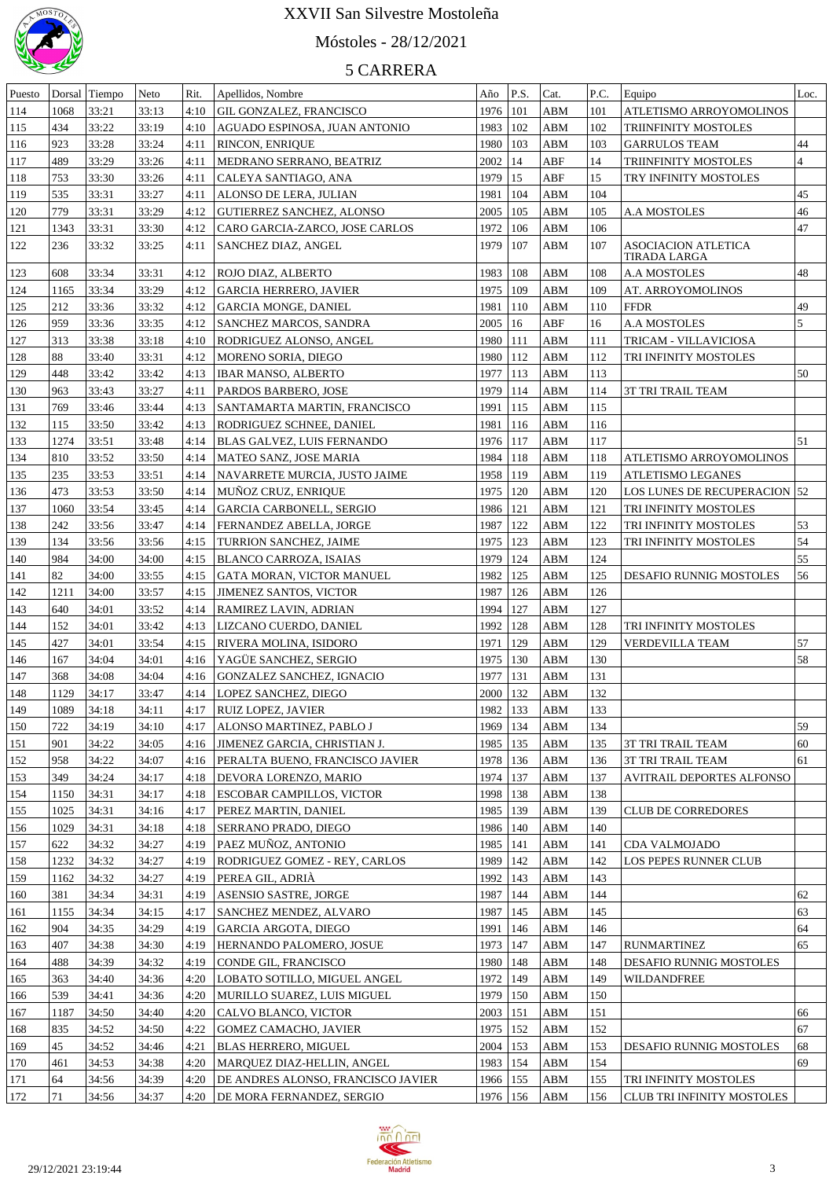

# Móstoles - 28/12/2021

| Puesto     | Dorsal | Tiempo | Neto  | Rit. | Apellidos, Nombre                      | Año        | P.S.        | Cat.       | P.C. | Equipo                              | Loc.           |
|------------|--------|--------|-------|------|----------------------------------------|------------|-------------|------------|------|-------------------------------------|----------------|
| 114        | 1068   | 33:21  | 33:13 | 4:10 | GIL GONZALEZ, FRANCISCO                | 1976   101 |             | ABM        | 101  | ATLETISMO ARROYOMOLINOS             |                |
| 115        | 434    | 33:22  | 33:19 | 4:10 | AGUADO ESPINOSA, JUAN ANTONIO          | 1983   102 |             | ABM        | 102  | TRIINFINITY MOSTOLES                |                |
| 116        | 923    | 33:28  | 33:24 | 4:11 | RINCON, ENRIQUE                        | 1980   103 |             | ABM        | 103  | <b>GARRULOS TEAM</b>                | 44             |
| 117        | 489    | 33:29  | 33:26 | 4:11 | MEDRANO SERRANO, BEATRIZ               | 2002   14  |             | ABF        | 14   | TRIINFINITY MOSTOLES                | $\overline{4}$ |
| 118        | 753    | 33:30  | 33:26 | 4:11 | CALEYA SANTIAGO, ANA                   | 1979   15  |             | ABF        | 15   | TRY INFINITY MOSTOLES               |                |
| 119        | 535    | 33:31  | 33:27 | 4:11 | ALONSO DE LERA, JULIAN                 | 1981   104 |             | ABM        | 104  |                                     | 45             |
| 120        | 779    | 33:31  | 33:29 | 4:12 | <b>GUTIERREZ SANCHEZ, ALONSO</b>       | 2005   105 |             | ABM        | 105  | <b>A.A MOSTOLES</b>                 | 46             |
|            |        |        |       |      |                                        |            |             |            |      |                                     | 47             |
| 121        | 1343   | 33:31  | 33:30 | 4:12 | CARO GARCIA-ZARCO, JOSE CARLOS         | 1972       | 106         | ABM        | 106  |                                     |                |
| 122        | 236    | 33:32  | 33:25 | 4:11 | SANCHEZ DIAZ, ANGEL                    | 1979       | 107         | ABM        | 107  | ASOCIACION ATLETICA<br>TIRADA LARGA |                |
| 123        | 608    | 33:34  | 33:31 | 4:12 | ROJO DIAZ, ALBERTO                     | 1983       | 108         | ABM        | 108  | A.A MOSTOLES                        | 48             |
| 124        | 1165   | 33:34  | 33:29 | 4:12 | <b>GARCIA HERRERO, JAVIER</b>          | 1975       | 109         | ABM        | 109  | AT. ARROYOMOLINOS                   |                |
| 125        | 212    | 33:36  | 33:32 | 4:12 | <b>GARCIA MONGE, DANIEL</b>            | 1981       | 110         | ABM        | 110  | <b>FFDR</b>                         | 49             |
| 126        | 959    | 33:36  | 33:35 | 4:12 | SANCHEZ MARCOS, SANDRA                 | 2005       | 16          | ABF        | 16   | A.A MOSTOLES                        | 5              |
| 127        | 313    | 33:38  | 33:18 | 4:10 | RODRIGUEZ ALONSO, ANGEL                | 1980       | 111         | ABM        | 111  | TRICAM - VILLAVICIOSA               |                |
| 128        | 88     | 33:40  | 33:31 | 4:12 | MORENO SORIA, DIEGO                    | 1980       | 112         | <b>ABM</b> | 112  | TRI INFINITY MOSTOLES               |                |
| 129        | 448    | 33:42  | 33:42 | 4:13 | IBAR MANSO, ALBERTO                    | 1977       | 113         | ABM        | 113  |                                     | 50             |
| 130        | 963    | 33:43  | 33:27 | 4:11 | PARDOS BARBERO, JOSE                   | 1979       | 114         | ABM        | 114  | <b>3T TRI TRAIL TEAM</b>            |                |
| 131        | 769    | 33:46  | 33:44 | 4:13 | SANTAMARTA MARTIN, FRANCISCO           | 1991       | 115         | ABM        | 115  |                                     |                |
| 132        | 115    | 33:50  | 33:42 | 4:13 | RODRIGUEZ SCHNEE, DANIEL               | 1981       | 116         | ABM        | 116  |                                     |                |
|            |        |        | 33:48 |      |                                        |            |             |            |      |                                     |                |
| 133        | 1274   | 33:51  |       | 4:14 | BLAS GALVEZ, LUIS FERNANDO             | 1976       | 117         | ABM        | 117  |                                     | 51             |
| 134        | 810    | 33:52  | 33:50 | 4:14 | MATEO SANZ, JOSE MARIA                 | 1984       | 118         | ABM        | 118  | ATLETISMO ARROYOMOLINOS             |                |
| 135        | 235    | 33:53  | 33:51 | 4:14 | NAVARRETE MURCIA, JUSTO JAIME          | 1958       | 119         | ABM        | 119  | <b>ATLETISMO LEGANES</b>            |                |
| 136        | 473    | 33:53  | 33:50 | 4:14 | MUNOZ CRUZ, ENRIQUE                    | 1975       | 120         | ABM        | 120  | LOS LUNES DE RECUPERACION   52      |                |
| 137        | 1060   | 33:54  | 33:45 | 4:14 | <b>GARCIA CARBONELL, SERGIO</b>        | 1986       | 121         | <b>ABM</b> | 121  | TRI INFINITY MOSTOLES               |                |
| 138        | 242    | 33:56  | 33:47 | 4:14 | FERNANDEZ ABELLA, JORGE                | 1987       | 122         | <b>ABM</b> | 122  | TRI INFINITY MOSTOLES               | 53             |
| 139        | 134    | 33:56  | 33:56 | 4:15 | TURRION SANCHEZ, JAIME                 | 1975       | 123         | ABM        | 123  | TRI INFINITY MOSTOLES               | 54             |
| 140        | 984    | 34:00  | 34:00 | 4:15 | BLANCO CARROZA, ISAIAS                 | 1979       | 124         | <b>ABM</b> | 124  |                                     | 55             |
| 141        | 82     | 34:00  | 33:55 | 4:15 | GATA MORAN, VICTOR MANUEL              | 1982       | 125         | ABM        | 125  | <b>DESAFIO RUNNIG MOSTOLES</b>      | 56             |
| 142        | 1211   | 34:00  | 33:57 | 4:15 | JIMENEZ SANTOS, VICTOR                 | 1987       | 126         | ABM        | 126  |                                     |                |
| 143        | 640    | 34:01  | 33:52 | 4:14 | RAMIREZ LAVIN, ADRIAN                  | 1994       | 127         | ABM        | 127  |                                     |                |
| 144        | 152    | 34:01  | 33:42 | 4:13 | LIZCANO CUERDO, DANIEL                 | 1992       | 128         | ABM        | 128  | TRI INFINITY MOSTOLES               |                |
| 145        | 427    | 34:01  | 33:54 | 4:15 | RIVERA MOLINA, ISIDORO                 | 1971       | 129         | ABM        | 129  | <b>VERDEVILLA TEAM</b>              | 57             |
| 146        | 167    | 34:04  | 34:01 | 4:16 | YAGUE SANCHEZ, SERGIO                  | 1975       | 130         | ABM        | 130  |                                     | 58             |
| 147        | 368    | 34:08  | 34:04 | 4:16 | GONZALEZ SANCHEZ, IGNACIO              | 1977       | 131         | ABM        | 131  |                                     |                |
| 148        | 1129   | 34:17  | 33:47 | 4:14 | <b>LOPEZ SANCHEZ, DIEGO</b>            | 2000       | 132         | ABM        | 132  |                                     |                |
| <u>149</u> | 1089   | 34:18  | 34:11 | 4:17 | <b>RUIZ LOPEZ, JAVIER</b>              | 1982       | $\vert$ 133 | ABM        | 133  |                                     |                |
| 150        | 722    | 34:19  | 34:10 | 4:17 | ALONSO MARTINEZ, PABLO J               | 1969       | 134         | ABM        | 134  |                                     | 59             |
| 151        | 901    | 34:22  | 34:05 | 4:16 | <b>JIMENEZ GARCIA, CHRISTIAN J.</b>    | 1985       | 135         | ABM        | 135  | 3T TRI TRAIL TEAM                   | 60             |
| 152        | 958    | 34:22  | 34:07 | 4:16 | <b>PERALTA BUENO, FRANCISCO JAVIER</b> | 1978       | 136         | <b>ABM</b> | 136  | 3T TRI TRAIL TEAM                   | 61             |
| 153        | 349    | 34:24  | 34:17 | 4:18 | DEVORA LORENZO, MARIO                  | 1974       | 137         | ABM        | 137  | AVITRAIL DEPORTES ALFONSO           |                |
| 154        | 1150   | 34:31  | 34:17 | 4:18 | ESCOBAR CAMPILLOS, VICTOR              | 1998       | 138         | ABM        | 138  |                                     |                |
|            |        |        | 34:16 | 4:17 |                                        |            | 139         | ABM        | 139  | <b>CLUB DE CORREDORES</b>           |                |
| 155        | 1025   | 34:31  |       |      | PEREZ MARTIN, DANIEL                   | 1985       |             |            | 140  |                                     |                |
| 156        | 1029   | 34:31  | 34:18 | 4:18 | <b>SERRANO PRADO, DIEGO</b>            | 1986       | 140         | ABM        |      |                                     |                |
| 157        | 622    | 34:32  | 34:27 | 4:19 | PAEZ MUÑOZ, ANTONIO                    | 1985       | 141         | ABM        | 141  | CDA VALMOJADO                       |                |
| 158        | 1232   | 34:32  | 34:27 | 4:19 | RODRIGUEZ GOMEZ - REY, CARLOS          | 1989       | 142         | ABM        | 142  | LOS PEPES RUNNER CLUB               |                |
| 159        | 1162   | 34:32  | 34:27 | 4:19 | PEREA GIL, ADRIÀ                       | 1992       | 143         | ABM        | 143  |                                     |                |
| 160        | 381    | 34:34  | 34:31 | 4:19 | ASENSIO SASTRE, JORGE                  | 1987       | 144         | ABM        | 144  |                                     | 62             |
| 161        | 1155   | 34:34  | 34:15 | 4:17 | SANCHEZ MENDEZ, ALVARO                 | 1987       | 145         | <b>ABM</b> | 145  |                                     | 63             |
| 162        | 904    | 34:35  | 34:29 | 4:19 | <b>GARCIA ARGOTA, DIEGO</b>            | 1991       | 146         | <b>ABM</b> | 146  |                                     | 64             |
| 163        | 407    | 34:38  | 34:30 | 4:19 | HERNANDO PALOMERO, JOSUE               | 1973       | 147         | <b>ABM</b> | 147  | <b>RUNMARTINEZ</b>                  | 65             |
| 164        | 488    | 34:39  | 34:32 | 4:19 | CONDE GIL, FRANCISCO                   | 1980       | 148         | ABM        | 148  | DESAFIO RUNNIG MOSTOLES             |                |
| 165        | 363    | 34:40  | 34:36 | 4:20 | LOBATO SOTILLO, MIGUEL ANGEL           | 1972       | 149         | ABM        | 149  | WILDANDFREE                         |                |
| 166        | 539    | 34:41  | 34:36 | 4:20 | MURILLO SUAREZ, LUIS MIGUEL            | 1979       | 150         | ABM        | 150  |                                     |                |
| 167        | 1187   | 34:50  | 34:40 | 4:20 | CALVO BLANCO, VICTOR                   | 2003       | 151         | ABM        | 151  |                                     | 66             |
| 168        | 835    | 34:52  | 34:50 | 4:22 | GOMEZ CAMACHO, JAVIER                  | 1975       | 152         | ABM        | 152  |                                     | 67             |
| 169        | 45     | 34:52  | 34:46 | 4:21 | BLAS HERRERO, MIGUEL                   | 2004       | 153         | ABM        | 153  | DESAFIO RUNNIG MOSTOLES             | 68             |
| 170        | 461    | 34:53  | 34:38 | 4:20 | MARQUEZ DIAZ-HELLIN, ANGEL             | 1983   154 |             | ABM        | 154  |                                     | 69             |
| 171        | 64     | 34:56  | 34:39 | 4:20 | DE ANDRES ALONSO, FRANCISCO JAVIER     | 1966   155 |             | <b>ABM</b> | 155  | TRI INFINITY MOSTOLES               |                |
| 172        | 71     | 34:56  | 34:37 | 4:20 | DE MORA FERNANDEZ, SERGIO              | 1976   156 |             | <b>ABM</b> | 156  | <b>CLUB TRI INFINITY MOSTOLES</b>   |                |
|            |        |        |       |      |                                        |            |             |            |      |                                     |                |

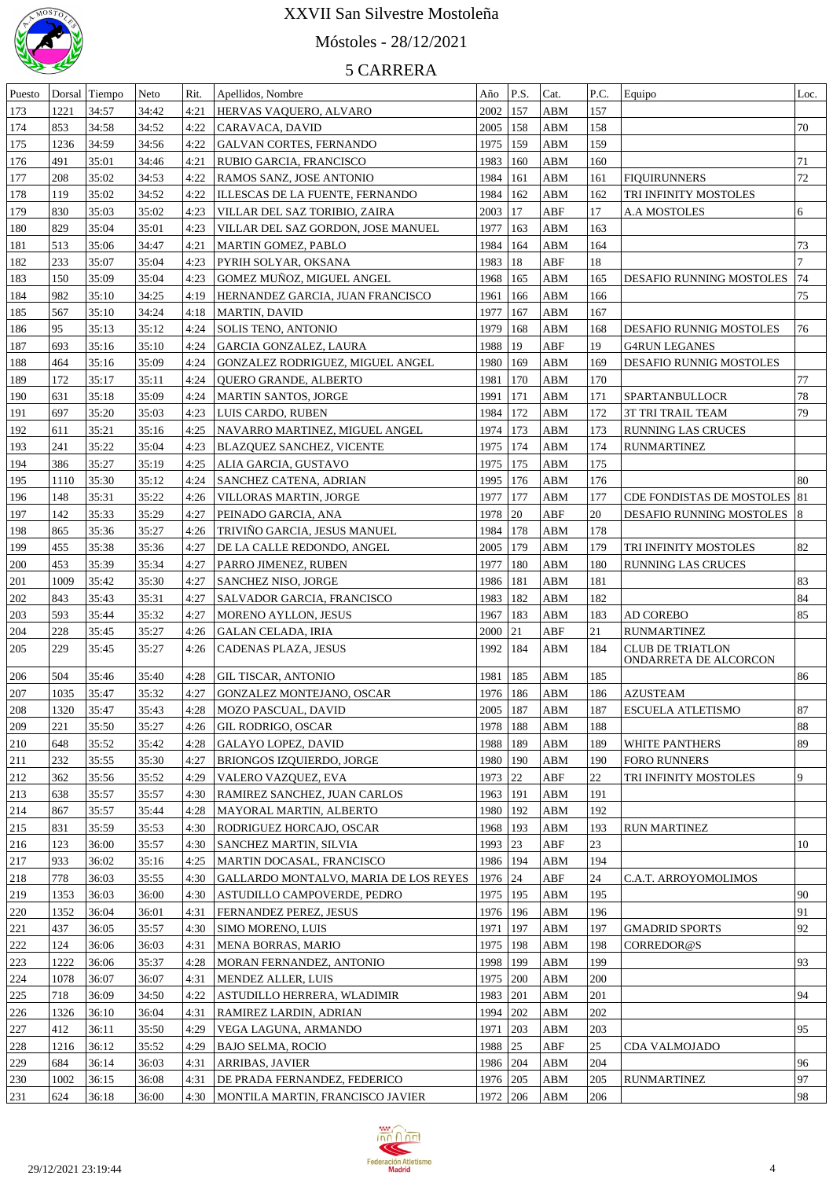

# Móstoles - 28/12/2021

| Puesto | Dorsal | Tiempo | <b>Neto</b> | Rit. | Apellidos, Nombre                     | Año        | P.S. | Cat.       | P.C. | Equipo                       | Loc. |
|--------|--------|--------|-------------|------|---------------------------------------|------------|------|------------|------|------------------------------|------|
| 173    | 1221   | 34:57  | 34:42       | 4:21 | <b>HERVAS VAQUERO, ALVARO</b>         | 2002       | 157  | ABM        | 157  |                              |      |
| 174    | 853    | 34:58  | 34:52       | 4:22 | CARAVACA, DAVID                       | 2005       | 158  | ABM        | 158  |                              | 70   |
| 175    | 1236   | 34:59  | 34:56       | 4:22 | <b>GALVAN CORTES, FERNANDO</b>        | 1975       | 159  | <b>ABM</b> | 159  |                              |      |
| 176    | 491    | 35:01  | 34:46       | 4:21 | RUBIO GARCIA, FRANCISCO               | 1983       | 160  | ABM        | 160  |                              | 71   |
| 177    | 208    | 35:02  | 34:53       | 4:22 | RAMOS SANZ, JOSE ANTONIO              | 1984       | 161  | ABM        | 161  | <b>FIQUIRUNNERS</b>          | 72   |
| 178    | 119    | 35:02  | 34:52       | 4:22 | ILLESCAS DE LA FUENTE, FERNANDO       | 1984       | 162  | ABM        | 162  | TRI INFINITY MOSTOLES        |      |
| 179    | 830    | 35:03  | 35:02       | 4:23 | VILLAR DEL SAZ TORIBIO, ZAIRA         | 2003       | 17   | ABF        | 17   | A.A MOSTOLES                 | 6    |
| 180    | 829    | 35:04  | 35:01       | 4:23 | VILLAR DEL SAZ GORDON, JOSE MANUEL    | 1977       | 163  | <b>ABM</b> | 163  |                              |      |
| 181    | 513    | 35:06  | 34:47       | 4:21 | MARTIN GOMEZ, PABLO                   | 1984       | 164  | <b>ABM</b> | 164  |                              | 73   |
| 182    | 233    | 35:07  | 35:04       | 4:23 | PYRIH SOLYAR, OKSANA                  | 1983       | 18   | ABF        | 18   |                              |      |
| 183    | 150    | 35:09  | 35:04       | 4:23 | <b>GOMEZ MUÑOZ, MIGUEL ANGEL</b>      | 1968       | 165  | <b>ABM</b> | 165  | DESAFIO RUNNING MOSTOLES     | 74   |
| 184    | 982    | 35:10  | 34:25       | 4:19 | HERNANDEZ GARCIA, JUAN FRANCISCO      | 1961       | 166  | ABM        | 166  |                              | 75   |
| 185    | 567    | 35:10  | 34:24       | 4:18 | <b>MARTIN, DAVID</b>                  | 1977       | 167  | ABM        | 167  |                              |      |
| 186    | 95     | 35:13  | 35:12       | 4:24 | <b>SOLIS TENO, ANTONIO</b>            | 1979       | 168  | ABM        | 168  | DESAFIO RUNNIG MOSTOLES      | 76   |
| 187    | 693    | 35:16  | 35:10       | 4:24 | <b>GARCIA GONZALEZ, LAURA</b>         | 1988       | 19   | ABF        | 19   | <b>G4RUN LEGANES</b>         |      |
| 188    | 464    | 35:16  | 35:09       | 4:24 | GONZALEZ RODRIGUEZ, MIGUEL ANGEL      | 1980       | 169  | ABM        | 169  | DESAFIO RUNNIG MOSTOLES      |      |
| 189    | 172    | 35:17  | 35:11       | 4:24 | QUERO GRANDE, ALBERTO                 | 1981       | 170  | ABM        | 170  |                              | 77   |
| 190    | 631    | 35:18  | 35:09       | 4:24 | MARTIN SANTOS, JORGE                  | 1991       | 171  | <b>ABM</b> | 171  | SPARTANBULLOCR               | 78   |
| 191    | 697    | 35:20  | 35:03       | 4:23 | LUIS CARDO, RUBEN                     | 1984       | 172  | ABM        | 172  | <b>3T TRI TRAIL TEAM</b>     | 79   |
| 192    | 611    | 35:21  | 35:16       | 4:25 | NAVARRO MARTINEZ, MIGUEL ANGEL        | 1974       | 173  | ABM        | 173  | RUNNING LAS CRUCES           |      |
| 193    | 241    | 35:22  | 35:04       | 4:23 | <b>BLAZQUEZ SANCHEZ, VICENTE</b>      | 1975       | 174  | ABM        | 174  | <b>RUNMARTINEZ</b>           |      |
| 194    | 386    | 35:27  | 35:19       | 4:25 | ALIA GARCIA, GUSTAVO                  | 1975       | 175  | ABM        | 175  |                              |      |
| 195    | 1110   | 35:30  | 35:12       | 4:24 | SANCHEZ CATENA, ADRIAN                | 1995       | 176  | ABM        | 176  |                              | 80   |
| 196    | 148    | 35:31  | 35:22       | 4:26 | VILLORAS MARTIN, JORGE                | 1977       | 177  | <b>ABM</b> | 177  | CDE FONDISTAS DE MOSTOLES 81 |      |
| 197    | 142    | 35:33  | 35:29       | 4:27 | PEINADO GARCIA, ANA                   | 1978       | 20   | ABF        | 20   | DESAFIO RUNNING MOSTOLES     | 8    |
| 198    | 865    | 35:36  | 35:27       | 4:26 | TRIVIÑO GARCIA, JESUS MANUEL          | 1984       | 178  | <b>ABM</b> | 178  |                              |      |
| 199    | 455    | 35:38  | 35:36       | 4:27 | DE LA CALLE REDONDO, ANGEL            | 2005       | 179  | <b>ABM</b> | 179  | TRI INFINITY MOSTOLES        | 82   |
| 200    | 453    | 35:39  | 35:34       | 4:27 | PARRO JIMENEZ, RUBEN                  | 1977       | 180  | ABM        | 180  | RUNNING LAS CRUCES           |      |
| 201    | 1009   | 35:42  | 35:30       | 4:27 | SANCHEZ NISO, JORGE                   | 1986       | 181  | ABM        | 181  |                              | 83   |
| 202    | 843    | 35:43  | 35:31       | 4:27 | SALVADOR GARCIA, FRANCISCO            | 1983       | 182  | <b>ABM</b> | 182  |                              | 84   |
| 203    | 593    | 35:44  | 35:32       | 4:27 | MORENO AYLLON, JESUS                  | 1967       | 183  | ABM        | 183  | AD COREBO                    | 85   |
| 204    | 228    | 35:45  | 35:27       | 4:26 | <b>GALAN CELADA, IRIA</b>             | 2000       | 21   | ABF        | 21   | <b>RUNMARTINEZ</b>           |      |
| 205    | 229    | 35:45  | 35:27       | 4:26 | CADENAS PLAZA, JESUS                  | 1992       | 184  | ABM        | 184  | <b>CLUB DE TRIATLON</b>      |      |
|        |        |        |             |      |                                       |            |      |            |      | ONDARRETA DE ALCORCON        |      |
| 206    | 504    | 35:46  | 35:40       | 4:28 | GIL TISCAR, ANTONIO                   | 1981       | 185  | ABM        | 185  |                              | 86   |
| 207    | 1035   | 35:47  | 35:32       | 4:27 | GONZALEZ MONTEJANO, OSCAR             | 1976       | 186  | <b>ABM</b> | 186  | <b>AZUSTEAM</b>              |      |
| 208    | 1320   | 35:47  | 35:43       |      | 4:28   MOZO PASCUAL, DAVID            | 2005   187 |      | ABM        | 187  | <b>ESCUELA ATLETISMO</b>     | 87   |
| 209    | 221    | 35:50  | 35:27       | 4:26 | GIL RODRIGO, OSCAR                    | 1978   188 |      | ABM        | 188  |                              | 88   |
| 210    | 648    | 35:52  | 35:42       | 4:28 | GALAYO LOPEZ, DAVID                   | 1988       | 189  | ABM        | 189  | WHITE PANTHERS               | 89   |
| 211    | 232    | 35:55  | 35:30       | 4:27 | BRIONGOS IZQUIERDO, JORGE             | 1980       | 190  | ABM        | 190  | <b>FORO RUNNERS</b>          |      |
| 212    | 362    | 35:56  | 35:52       | 4:29 | VALERO VAZQUEZ, EVA                   | 1973 22    |      | ABF        | 22   | TRI INFINITY MOSTOLES        | 9    |
| 213    | 638    | 35:57  | 35:57       | 4:30 | <b>RAMIREZ SANCHEZ, JUAN CARLOS</b>   | 1963   191 |      | <b>ABM</b> | 191  |                              |      |
| 214    | 867    | 35:57  | 35:44       | 4:28 | MAYORAL MARTIN, ALBERTO               | 1980       | 192  | ABM        | 192  |                              |      |
| 215    | 831    | 35:59  | 35:53       | 4:30 | <b>RODRIGUEZ HORCAJO, OSCAR</b>       | 1968   193 |      | ABM        | 193  | <b>RUN MARTINEZ</b>          |      |
| 216    | 123    | 36:00  | 35:57       | 4:30 | <b>SANCHEZ MARTIN, SILVIA</b>         | 1993 23    |      | ABF        | 23   |                              | 10   |
| 217    | 933    | 36:02  | 35:16       | 4:25 | MARTIN DOCASAL, FRANCISCO             | 1986   194 |      | ABM        | 194  |                              |      |
| 218    | 778    | 36:03  | 35:55       | 4:30 | GALLARDO MONTALVO, MARIA DE LOS REYES | 1976 24    |      | ABF        | 24   | C.A.T. ARROYOMOLIMOS         |      |
| 219    | 1353   | 36:03  | 36:00       | 4:30 | ASTUDILLO CAMPOVERDE, PEDRO           | 1975   195 |      | ABM        | 195  |                              | 90   |
| 220    | 1352   | 36:04  | 36:01       | 4:31 | <b>FERNANDEZ PEREZ, JESUS</b>         | 1976       | 196  | ABM        | 196  |                              | 91   |
| 221    | 437    | 36:05  | 35:57       | 4:30 | <b>SIMO MORENO, LUIS</b>              | 1971       | 197  | ABM        | 197  | <b>GMADRID SPORTS</b>        | 92   |
| 222    | 124    | 36:06  | 36:03       | 4:31 | MENA BORRAS, MARIO                    | 1975   198 |      | ABM        | 198  | CORREDOR@S                   |      |
| 223    | 1222   | 36:06  | 35:37       | 4:28 | MORAN FERNANDEZ, ANTONIO              | 1998       | 199  | ABM        | 199  |                              | 93   |
| 224    | 1078   | 36:07  | 36:07       | 4:31 | MENDEZ ALLER, LUIS                    | 1975   200 |      | ABM        | 200  |                              |      |
| 225    | 718    | 36:09  | 34:50       | 4:22 | ASTUDILLO HERRERA, WLADIMIR           | 1983       | 201  | ABM        | 201  |                              | 94   |
| 226    | 1326   | 36:10  | 36:04       | 4:31 | RAMIREZ LARDIN, ADRIAN                | 1994       | 202  | ABM        | 202  |                              |      |
| 227    | 412    | 36:11  | 35:50       | 4:29 | VEGA LAGUNA, ARMANDO                  | 1971       | 203  | ABM        | 203  |                              | 95   |
| 228    | 1216   | 36:12  | 35:52       | 4:29 | <b>BAJO SELMA, ROCIO</b>              | 1988 25    |      | ABF        | 25   | CDA VALMOJADO                |      |
| 229    | 684    | 36:14  | 36:03       | 4:31 | <b>ARRIBAS, JAVIER</b>                | 1986 204   |      | ABM        | 204  |                              | 96   |
| 230    | 1002   | 36:15  | 36:08       | 4:31 | DE PRADA FERNANDEZ, FEDERICO          | 1976 205   |      | ABM        | 205  | <b>RUNMARTINEZ</b>           | 97   |
| 231    | 624    | 36:18  | 36:00       | 4:30 | MONTILA MARTIN, FRANCISCO JAVIER      | 1972 206   |      | <b>ABM</b> | 206  |                              | 98   |

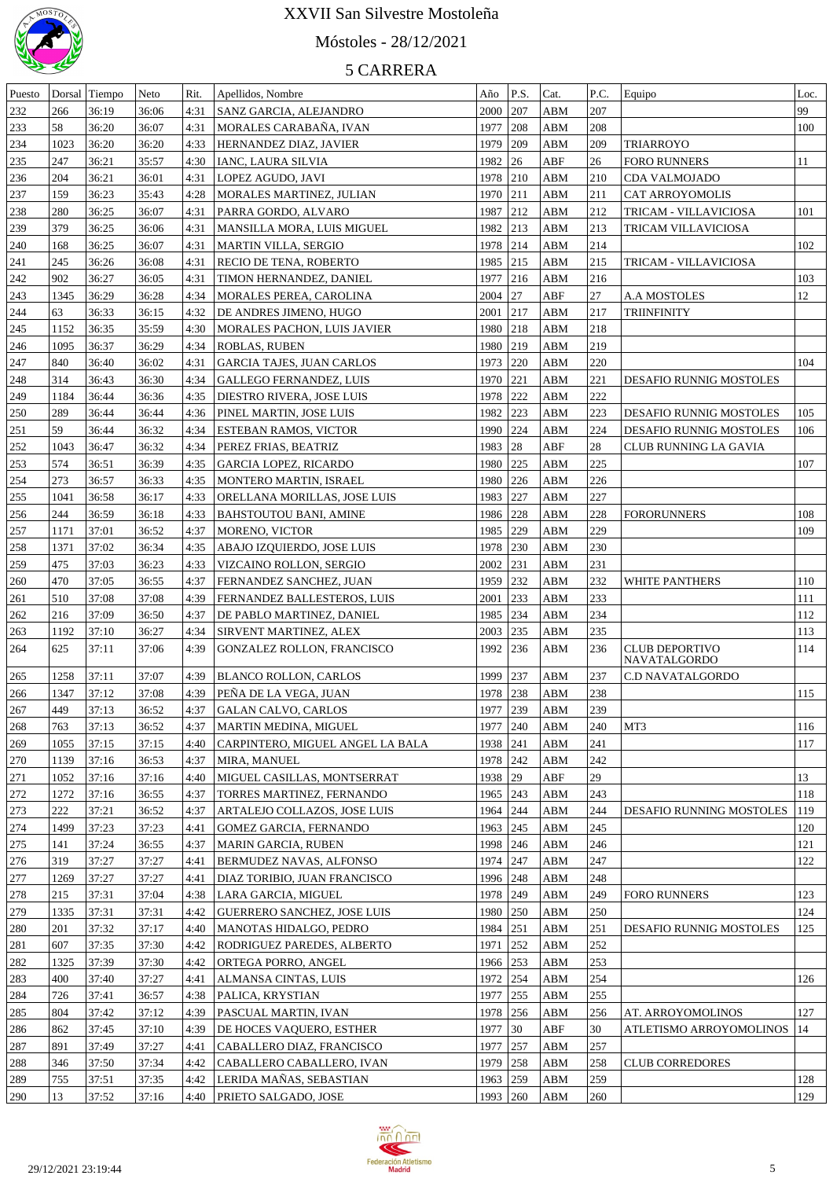

# Móstoles - 28/12/2021

| Puesto |      | Dorsal Tiempo | Neto  | Rit. | Apellidos, Nombre                  | Año      | P.S.         | Cat.                    | P.C. | Equipo                                | Loc. |
|--------|------|---------------|-------|------|------------------------------------|----------|--------------|-------------------------|------|---------------------------------------|------|
| 232    | 266  | 36:19         | 36:06 | 4:31 | <b>SANZ GARCIA, ALEJANDRO</b>      | 2000 207 |              | ${\bf A}{\bf B}{\bf M}$ | 207  |                                       | 99   |
| 233    | 58   | 36:20         | 36:07 | 4:31 | MORALES CARABAÑA, IVAN             | 1977     | 208          | ABM                     | 208  |                                       | 100  |
| 234    | 1023 | 36:20         | 36:20 | 4:33 | HERNANDEZ DIAZ, JAVIER             | 1979     | 209          | ABM                     | 209  | <b>TRIARROYO</b>                      |      |
| 235    | 247  | 36:21         | 35:57 | 4:30 | IANC, LAURA SILVIA                 | 1982     | $ 26\rangle$ | ABF                     | 26   | <b>FORO RUNNERS</b>                   | 11   |
| 236    | 204  | 36:21         | 36:01 | 4:31 | <b>LOPEZ AGUDO, JAVI</b>           | 1978 210 |              | ABM                     | 210  | CDA VALMOJADO                         |      |
| 237    | 159  | 36:23         | 35:43 | 4:28 | MORALES MARTINEZ, JULIAN           | 1970 211 |              | ABM                     | 211  | CAT ARROYOMOLIS                       |      |
| 238    | 280  | 36:25         | 36:07 | 4:31 | PARRA GORDO, ALVARO                | 1987     | $\vert 212$  | ABM                     | 212  | TRICAM - VILLAVICIOSA                 | 101  |
| 239    | 379  | 36:25         | 36:06 | 4:31 | MANSILLA MORA, LUIS MIGUEL         | 1982 213 |              | ABM                     | 213  | TRICAM VILLAVICIOSA                   |      |
|        |      |               | 36:07 |      | <b>MARTIN VILLA, SERGIO</b>        | 1978 214 |              | ABM                     | 214  |                                       | 102  |
| 240    | 168  | 36:25         |       | 4:31 |                                    |          |              |                         |      |                                       |      |
| 241    | 245  | 36:26         | 36:08 | 4:31 | RECIO DE TENA, ROBERTO             | 1985 215 |              | ABM                     | 215  | TRICAM - VILLAVICIOSA                 |      |
| 242    | 902  | 36:27         | 36:05 | 4:31 | TIMON HERNANDEZ, DANIEL            | 1977     | 216          | ABM                     | 216  |                                       | 103  |
| 243    | 1345 | 36:29         | 36:28 | 4:34 | MORALES PEREA, CAROLINA            | 2004 27  |              | ABF                     | 27   | <b>A.A MOSTOLES</b>                   | 12   |
| 244    | 63   | 36:33         | 36:15 | 4:32 | DE ANDRES JIMENO, HUGO             | 2001     | 217          | ABM                     | 217  | TRIINFINITY                           |      |
| 245    | 1152 | 36:35         | 35:59 | 4:30 | <b>MORALES PACHON, LUIS JAVIER</b> | 1980 218 |              | ABM                     | 218  |                                       |      |
| 246    | 1095 | 36:37         | 36:29 | 4:34 | <b>ROBLAS, RUBEN</b>               | 1980 219 |              | ABM                     | 219  |                                       |      |
| 247    | 840  | 36:40         | 36:02 | 4:31 | <b>GARCIA TAJES, JUAN CARLOS</b>   | 1973 220 |              | ABM                     | 220  |                                       | 104  |
| 248    | 314  | 36:43         | 36:30 | 4:34 | <b>GALLEGO FERNANDEZ, LUIS</b>     | 1970 221 |              | ABM                     | 221  | DESAFIO RUNNIG MOSTOLES               |      |
| 249    | 1184 | 36:44         | 36:36 | 4:35 | DIESTRO RIVERA, JOSE LUIS          | 1978 222 |              | ABM                     | 222  |                                       |      |
| 250    | 289  | 36:44         | 36:44 | 4:36 | PINEL MARTIN, JOSE LUIS            | 1982 223 |              | ABM                     | 223  | DESAFIO RUNNIG MOSTOLES               | 105  |
| 251    | 59   | 36:44         | 36:32 | 4:34 | <b>ESTEBAN RAMOS, VICTOR</b>       | 1990 224 |              | ABM                     | 224  | DESAFIO RUNNIG MOSTOLES               | 106  |
| 252    | 1043 | 36:47         | 36:32 | 4:34 | PEREZ FRIAS, BEATRIZ               | 1983 28  |              | ABF                     | 28   | CLUB RUNNING LA GAVIA                 |      |
| 253    | 574  | 36:51         | 36:39 | 4:35 | GARCIA LOPEZ, RICARDO              | 1980 225 |              | ABM                     | 225  |                                       | 107  |
| 254    | 273  | 36:57         | 36:33 | 4:35 | MONTERO MARTIN, ISRAEL             | 1980 226 |              | ABM                     | 226  |                                       |      |
| 255    | 1041 | 36:58         | 36:17 | 4:33 | ORELLANA MORILLAS, JOSE LUIS       | 1983 227 |              | ABM                     | 227  |                                       |      |
| 256    | 244  | 36:59         | 36:18 | 4:33 | <b>BAHSTOUTOU BANI, AMINE</b>      | 1986 228 |              | ABM                     | 228  | <b>FORORUNNERS</b>                    | 108  |
| 257    | 1171 | 37:01         | 36:52 | 4:37 | <b>MORENO, VICTOR</b>              | 1985 229 |              | ABM                     | 229  |                                       | 109  |
| 258    | 1371 | 37:02         | 36:34 | 4:35 | ABAJO IZQUIERDO, JOSE LUIS         | 1978 230 |              | ABM                     | 230  |                                       |      |
| 259    | 475  | 37:03         | 36:23 | 4:33 | VIZCAINO ROLLON, SERGIO            | 2002     | 231          | ABM                     | 231  |                                       |      |
|        | 470  | 37:05         |       |      |                                    | 1959 232 |              | ABM                     | 232  |                                       | 110  |
| 260    |      |               | 36:55 | 4:37 | FERNANDEZ SANCHEZ, JUAN            |          |              |                         |      | WHITE PANTHERS                        |      |
| 261    | 510  | 37:08         | 37:08 | 4:39 | FERNANDEZ BALLESTEROS, LUIS        | 2001     | 233          | ABM                     | 233  |                                       | 111  |
| 262    | 216  | 37:09         | 36:50 | 4:37 | DE PABLO MARTINEZ, DANIEL          | 1985 234 |              | ABM                     | 234  |                                       | 112  |
| 263    | 1192 | 37:10         | 36:27 | 4:34 | SIRVENT MARTINEZ, ALEX             | 2003 235 |              | ABM                     | 235  |                                       | 113  |
| 264    | 625  | 37:11         | 37:06 | 4:39 | GONZALEZ ROLLON, FRANCISCO         | 1992 236 |              | ABM                     | 236  | <b>CLUB DEPORTIVO</b><br>NAVATALGORDO | 114  |
| 265    | 1258 | 37:11         | 37:07 | 4:39 | BLANCO ROLLON, CARLOS              | 1999     | 237          | <b>ABM</b>              | 237  | <b>C.D NAVATALGORDO</b>               |      |
| 266    | 1347 | 37:12         | 37:08 | 4:39 | PEÑA DE LA VEGA, JUAN              | 1978     | 238          | <b>ABM</b>              | 238  |                                       | 115  |
| 267    | 449  | 37:13         | 36:52 |      | 4:37 GALAN CALVO, CARLOS           | 1977 239 |              | ${\bf ABM}$             | 239  |                                       |      |
| 268    | 763  | 37:13         | 36:52 | 4:37 | MARTIN MEDINA, MIGUEL              | 1977     | 240          | ABM                     | 240  | MT3                                   | 116  |
| 269    | 1055 | 37:15         | 37:15 | 4:40 | CARPINTERO, MIGUEL ANGEL LA BALA   | 1938     | 241          | ABM                     | 241  |                                       | 117  |
| 270    | 1139 | 37:16         | 36:53 | 4:37 |                                    | 1978 242 |              |                         | 242  |                                       |      |
|        |      |               |       |      | MIRA, MANUEL                       |          |              | ABM                     |      |                                       |      |
| 271    | 1052 | 37:16         | 37:16 | 4:40 | MIGUEL CASILLAS, MONTSERRAT        | 1938     | 29           | ABF                     | 29   |                                       | 13   |
| 272    | 1272 | 37:16         | 36:55 | 4:37 | TORRES MARTINEZ, FERNANDO          | 1965 243 |              | ABM                     | 243  |                                       | 118  |
| 273    | 222  | 37:21         | 36:52 | 4:37 | ARTALEJO COLLAZOS, JOSE LUIS       | 1964     | 244          | ABM                     | 244  | DESAFIO RUNNING MOSTOLES              | 119  |
| 274    | 1499 | 37:23         | 37:23 | 4:41 | GOMEZ GARCIA, FERNANDO             | 1963     | 245          | ABM                     | 245  |                                       | 120  |
| 275    | 141  | 37:24         | 36:55 | 4:37 | MARIN GARCIA, RUBEN                | 1998     | 246          | ABM                     | 246  |                                       | 121  |
| 276    | 319  | 37:27         | 37:27 | 4:41 | <b>BERMUDEZ NAVAS, ALFONSO</b>     | 1974 247 |              | ABM                     | 247  |                                       | 122  |
| 277    | 1269 | 37:27         | 37:27 | 4:41 | DIAZ TORIBIO, JUAN FRANCISCO       | 1996 248 |              | ABM                     | 248  |                                       |      |
| 278    | 215  | 37:31         | 37:04 | 4:38 | LARA GARCIA, MIGUEL                | 1978 249 |              | ABM                     | 249  | <b>FORO RUNNERS</b>                   | 123  |
| 279    | 1335 | 37:31         | 37:31 | 4:42 | <b>GUERRERO SANCHEZ, JOSE LUIS</b> | 1980 250 |              | ABM                     | 250  |                                       | 124  |
| 280    | 201  | 37:32         | 37:17 | 4:40 | MANOTAS HIDALGO, PEDRO             | 1984 251 |              | ABM                     | 251  | DESAFIO RUNNIG MOSTOLES               | 125  |
| 281    | 607  | 37:35         | 37:30 | 4:42 | <b>RODRIGUEZ PAREDES, ALBERTO</b>  | 1971     | 252          | ABM                     | 252  |                                       |      |
| 282    | 1325 | 37:39         | 37:30 | 4:42 | ORTEGA PORRO, ANGEL                | 1966 253 |              | ${\bf ABM}$             | 253  |                                       |      |
| 283    | 400  | 37:40         | 37:27 | 4:41 | ALMANSA CINTAS, LUIS               | 1972 254 |              | ${\bf ABM}$             | 254  |                                       | 126  |
| 284    | 726  | 37:41         | 36:57 | 4:38 | PALICA, KRYSTIAN                   | 1977     | 255          | ABM                     | 255  |                                       |      |
| 285    | 804  | 37:42         | 37:12 | 4:39 | <b>PASCUAL MARTIN, IVAN</b>        | 1978 256 |              | ABM                     | 256  | AT. ARROYOMOLINOS                     | 127  |
| 286    | 862  | 37:45         | 37:10 | 4:39 | DE HOCES VAQUERO, ESTHER           | 1977     | $ 30\rangle$ | ABF                     | 30   | ATLETISMO ARROYOMOLINOS               | 14   |
| 287    | 891  | 37:49         | 37:27 | 4:41 | CABALLERO DIAZ, FRANCISCO          | 1977 257 |              | ABM                     | 257  |                                       |      |
| 288    | 346  | 37:50         | 37:34 | 4:42 | CABALLERO CABALLERO, IVAN          | 1979 258 |              | ABM                     | 258  | <b>CLUB CORREDORES</b>                |      |
| 289    | 755  | 37:51         | 37:35 | 4:42 | LERIDA MAÑAS, SEBASTIAN            | 1963 259 |              | ABM                     | 259  |                                       | 128  |
| 290    | 13   | 37:52         | 37:16 | 4:40 | <b>PRIETO SALGADO, JOSE</b>        | 1993 260 |              |                         | 260  |                                       | 129  |
|        |      |               |       |      |                                    |          |              | ABM                     |      |                                       |      |

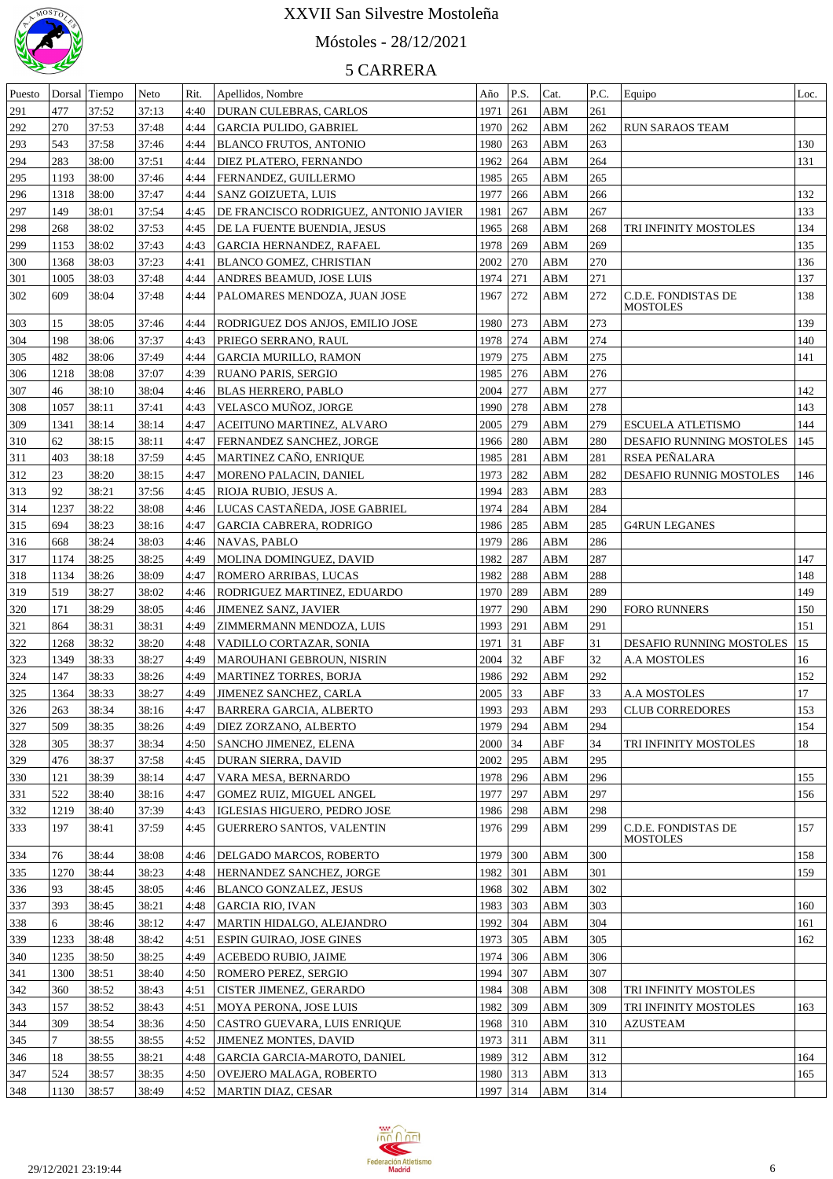

# Móstoles - 28/12/2021

| Puesto |                | Dorsal Tiempo | Neto  | Rit. | Apellidos, Nombre                      | Año        | P.S. | Cat.        | P.C.       | Equipo                                 | Loc. |
|--------|----------------|---------------|-------|------|----------------------------------------|------------|------|-------------|------------|----------------------------------------|------|
| 291    | 477            | 37:52         | 37:13 | 4:40 | DURAN CULEBRAS, CARLOS                 | 1971       | 261  | ABM         | 261        |                                        |      |
| 292    | 270            | 37:53         | 37:48 | 4:44 | <b>GARCIA PULIDO, GABRIEL</b>          | 1970 262   |      | ABM         | 262        | <b>RUN SARAOS TEAM</b>                 |      |
| 293    | 543            | 37:58         | 37:46 | 4:44 | <b>BLANCO FRUTOS, ANTONIO</b>          | 1980 263   |      | ABM         | 263        |                                        | 130  |
| 294    | 283            | 38:00         | 37:51 | 4:44 | <b>DIEZ PLATERO, FERNANDO</b>          | 1962 264   |      | ABM         | 264        |                                        | 131  |
| 295    | 1193           | 38:00         | 37:46 | 4:44 | FERNANDEZ, GUILLERMO                   | 1985 265   |      | ABM         | 265        |                                        |      |
| 296    | 1318           | 38:00         | 37:47 | 4:44 | SANZ GOIZUETA, LUIS                    | 1977       | 266  | ABM         | 266        |                                        | 132  |
| 297    | 149            | 38:01         | 37:54 | 4:45 | DE FRANCISCO RODRIGUEZ, ANTONIO JAVIER | 1981       | 267  | ABM         | 267        |                                        | 133  |
| 298    | 268            | 38:02         | 37:53 | 4:45 | DE LA FUENTE BUENDIA, JESUS            | 1965 268   |      | ABM         | 268        | TRI INFINITY MOSTOLES                  | 134  |
| 299    | 1153           | 38:02         | 37:43 | 4:43 | <b>GARCIA HERNANDEZ, RAFAEL</b>        | 1978 269   |      | ABM         | 269        |                                        | 135  |
|        | 1368           | 38:03         | 37:23 | 4:41 | <b>BLANCO GOMEZ, CHRISTIAN</b>         | 2002 270   |      | ABM         | 270        |                                        | 136  |
| 300    |                |               |       |      |                                        |            |      |             |            |                                        |      |
| 301    | 1005           | 38:03         | 37:48 | 4:44 | ANDRES BEAMUD, JOSE LUIS               | 1974 271   |      | ABM         | 271        |                                        | 137  |
| 302    | 609            | 38:04         | 37:48 | 4:44 | PALOMARES MENDOZA, JUAN JOSE           | 1967 272   |      | ABM         | 272        | C.D.E. FONDISTAS DE<br><b>MOSTOLES</b> | 138  |
| 303    | 15             | 38:05         | 37:46 | 4:44 | RODRIGUEZ DOS ANJOS, EMILIO JOSE       | 1980       | 273  | ABM         | 273        |                                        | 139  |
| 304    | 198            | 38:06         | 37:37 | 4:43 | PRIEGO SERRANO, RAUL                   | 1978       | 274  | ABM         | 274        |                                        | 140  |
| 305    | 482            | 38:06         | 37:49 | 4:44 | <b>GARCIA MURILLO, RAMON</b>           | 1979       | 275  | ABM         | 275        |                                        | 141  |
| 306    | 1218           | 38:08         | 37:07 | 4:39 | RUANO PARIS, SERGIO                    | 1985       | 276  | ABM         | 276        |                                        |      |
| 307    | 46             | 38:10         | 38:04 | 4:46 | <b>BLAS HERRERO, PABLO</b>             | 2004       | 277  | ABM         | 277        |                                        | 142  |
|        | 1057           |               | 37:41 | 4:43 | VELASCO MUÑOZ, JORGE                   | 1990       | 278  | ABM         | 278        |                                        | 143  |
| 308    |                | 38:11         |       |      |                                        |            |      |             | 279        |                                        |      |
| 309    | 1341           | 38:14         | 38:14 | 4:47 | ACEITUNO MARTINEZ, ALVARO              | 2005       | 279  | ABM         |            | <b>ESCUELA ATLETISMO</b>               | 144  |
| 310    | 62             | 38:15         | 38:11 | 4:47 | FERNANDEZ SANCHEZ, JORGE               | 1966       | 280  | ABM         | 280        | DESAFIO RUNNING MOSTOLES               | 145  |
| 311    | 403            | 38:18         | 37:59 | 4:45 | MARTINEZ CAÑO, ENRIQUE                 | 1985       | 281  | ABM         | 281        | RSEA PEÑALARA                          |      |
| 312    | 23             | 38:20         | 38:15 | 4:47 | MORENO PALACIN, DANIEL                 | 1973       | 282  | ABM         | 282        | DESAFIO RUNNIG MOSTOLES                | 146  |
| 313    | 92             | 38:21         | 37:56 | 4:45 | RIOJA RUBIO, JESUS A.                  | 1994       | 283  | ABM         | 283        |                                        |      |
| 314    | 1237           | 38:22         | 38:08 | 4:46 | LUCAS CASTAÑEDA, JOSE GABRIEL          | 1974       | 284  | ABM         | 284        |                                        |      |
| 315    | 694            | 38:23         | 38:16 | 4:47 | <b>GARCIA CABRERA, RODRIGO</b>         | 1986       | 285  | ABM         | 285        | <b>G4RUN LEGANES</b>                   |      |
| 316    | 668            | 38:24         | 38:03 | 4:46 | <b>NAVAS, PABLO</b>                    | 1979       | 286  | ABM         | 286        |                                        |      |
| 317    | 1174           | 38:25         | 38:25 | 4:49 | MOLINA DOMINGUEZ, DAVID                | 1982       | 287  | ABM         | 287        |                                        | 147  |
| 318    | 1134           | 38:26         | 38:09 | 4:47 | ROMERO ARRIBAS, LUCAS                  | 1982       | 288  | ABM         | 288        |                                        | 148  |
| 319    | 519            | 38:27         | 38:02 | 4:46 | RODRIGUEZ MARTINEZ, EDUARDO            | 1970       | 289  | ABM         | 289        |                                        | 149  |
| 320    | 171            | 38:29         | 38:05 | 4:46 | <b>JIMENEZ SANZ, JAVIER</b>            | 1977       | 290  | ABM         | 290        | <b>FORO RUNNERS</b>                    | 150  |
| 321    | 864            | 38:31         | 38:31 | 4:49 | ZIMMERMANN MENDOZA, LUIS               | 1993       | 291  | ABM         | 291        |                                        | 151  |
| 322    | 1268           | 38:32         | 38:20 | 4:48 | VADILLO CORTAZAR, SONIA                | 1971       | 31   | ABF         | 31         | DESAFIO RUNNING MOSTOLES               | 15   |
| 323    | 1349           | 38:33         | 38:27 | 4:49 | MAROUHANI GEBROUN, NISRIN              | 2004       | 32   | ABF         | 32         | <b>A.A MOSTOLES</b>                    | 16   |
| 324    | 147            | 38:33         | 38:26 | 4:49 | <b>MARTINEZ TORRES, BORJA</b>          | 1986       | 292  | ABM         | 292        |                                        | 152  |
| 325    | 1364           | 38:33         | 38:27 | 4:49 | <b>JIMENEZ SANCHEZ, CARLA</b>          | 2005       | 33   | ABF         | 33         | <b>A.A MOSTOLES</b>                    | 17   |
| 326    | 263            | 38:34         | 38:16 | 4:47 | <b>BARRERA GARCIA, ALBERTO</b>         | 1993 293   |      | ABM         | 293        | <b>CLUB CORREDORES</b>                 | 153  |
| 327    | 509            | 38:35         | 38:26 | 4:49 | DIEZ ZORZANO, ALBERTO                  | 1979   294 |      | ABM         | 294        |                                        | 154  |
| 328    | 305            | 38:37         | 38:34 | 4:50 | SANCHO JIMENEZ, ELENA                  | 2000       | 34   | ABF         | 34         | TRI INFINITY MOSTOLES                  | 18   |
| 329    | 476            | 38:37         | 37:58 | 4:45 | DURAN SIERRA, DAVID                    | 2002 295   |      | ABM         | 295        |                                        |      |
|        |                |               |       |      |                                        |            |      |             |            |                                        |      |
| 330    | 121<br>522     | 38:39         | 38:14 | 4:47 | VARA MESA, BERNARDO                    | 1978       | 296  | ABM         | 296<br>297 |                                        | 155  |
| 331    |                | 38:40         | 38:16 | 4:47 | GOMEZ RUIZ, MIGUEL ANGEL               | 1977       | 297  | ABM         |            |                                        | 156  |
| 332    | 1219           | 38:40         | 37:39 | 4:43 | IGLESIAS HIGUERO, PEDRO JOSE           | 1986       | 298  | ABM         | 298        |                                        |      |
| 333    | 197            | 38:41         | 37:59 | 4:45 | <b>GUERRERO SANTOS, VALENTIN</b>       | 1976       | 299  | ABM         | 299        | C.D.E. FONDISTAS DE<br><b>MOSTOLES</b> | 157  |
| 334    | 76             | 38:44         | 38:08 | 4:46 | <b>DELGADO MARCOS, ROBERTO</b>         | 1979 300   |      | ABM         | 300        |                                        | 158  |
| 335    | 1270           | 38:44         | 38:23 | 4:48 | HERNANDEZ SANCHEZ, JORGE               | 1982 301   |      | ABM         | 301        |                                        | 159  |
| 336    | 93             | 38:45         | 38:05 |      | <b>BLANCO GONZALEZ, JESUS</b>          | 1968 302   |      | ${\bf ABM}$ | 302        |                                        |      |
|        |                |               |       | 4:46 |                                        |            |      |             | 303        |                                        |      |
| 337    | 393            | 38:45         | 38:21 | 4:48 | <b>GARCIA RIO, IVAN</b>                | 1983 303   |      | ABM         |            |                                        | 160  |
| 338    | 6              | 38:46         | 38:12 | 4:47 | MARTIN HIDALGO, ALEJANDRO              | 1992 304   |      | ${\bf ABM}$ | 304        |                                        | 161  |
| 339    | 1233           | 38:48         | 38:42 | 4:51 | <b>ESPIN GUIRAO, JOSE GINES</b>        | 1973 305   |      | ${\bf ABM}$ | 305        |                                        | 162  |
| 340    | 1235           | 38:50         | 38:25 | 4:49 | <b>ACEBEDO RUBIO, JAIME</b>            | 1974 306   |      | ABM         | 306        |                                        |      |
| 341    | 1300           | 38:51         | 38:40 | 4:50 | <b>ROMERO PEREZ, SERGIO</b>            | 1994 307   |      | ${\bf ABM}$ | 307        |                                        |      |
| 342    | 360            | 38:52         | 38:43 | 4:51 | <b>CISTER JIMENEZ, GERARDO</b>         | 1984 308   |      | ${\bf ABM}$ | 308        | TRI INFINITY MOSTOLES                  |      |
| 343    | 157            | 38:52         | 38:43 | 4:51 | MOYA PERONA, JOSE LUIS                 | 1982 309   |      | ABM         | 309        | TRI INFINITY MOSTOLES                  | 163  |
| 344    | 309            | 38:54         | 38:36 | 4:50 | CASTRO GUEVARA, LUIS ENRIQUE           | 1968 310   |      | ${\bf ABM}$ | 310        | <b>AZUSTEAM</b>                        |      |
| 345    | $\overline{7}$ | 38:55         | 38:55 | 4:52 | <b>JIMENEZ MONTES, DAVID</b>           | 1973 311   |      | ${\bf ABM}$ | 311        |                                        |      |
| 346    | 18             | 38:55         | 38:21 | 4:48 | GARCIA GARCIA-MAROTO, DANIEL           | 1989 312   |      | ${\bf ABM}$ | 312        |                                        | 164  |
| 347    | 524            | 38:57         | 38:35 | 4:50 | OVEJERO MALAGA, ROBERTO                | 1980 313   |      | ${\bf ABM}$ | 313        |                                        | 165  |
| 348    | 1130           | 38:57         | 38:49 |      | 4:52   MARTIN DIAZ, CESAR              | 1997 314   |      | ABM         | 314        |                                        |      |

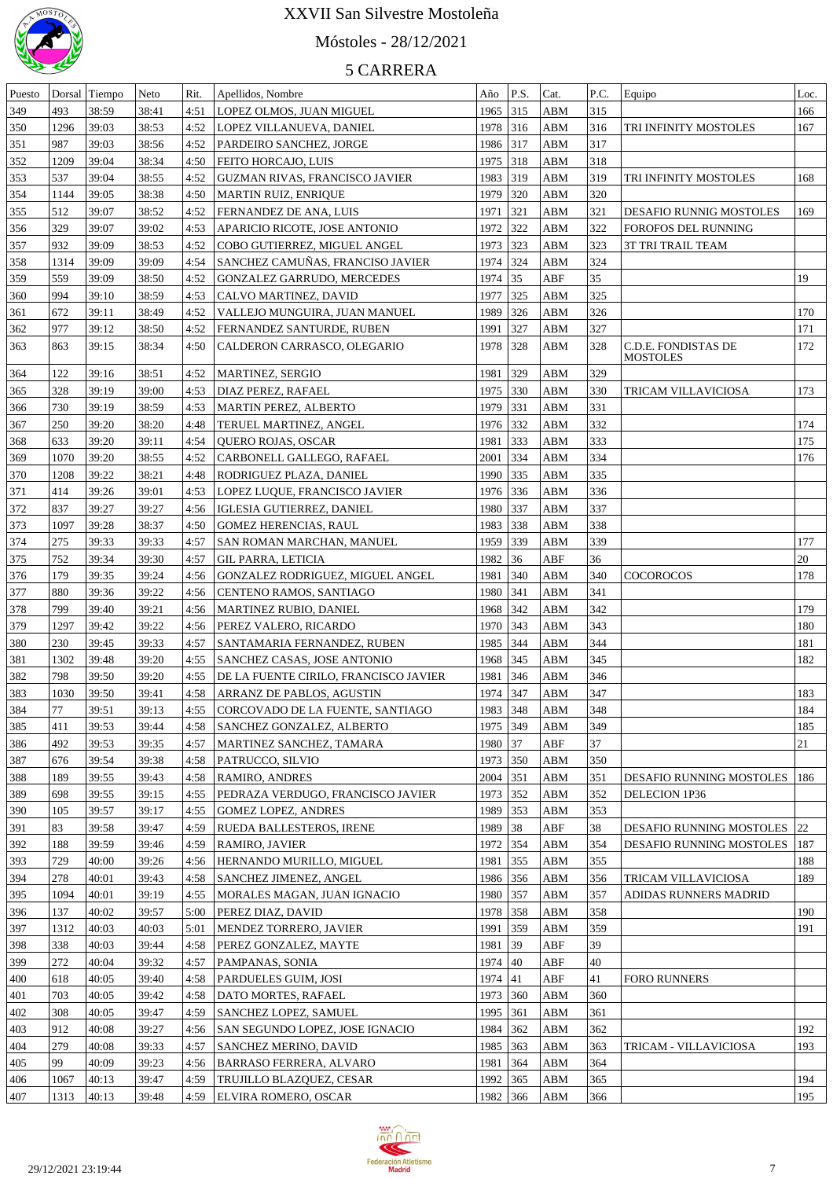

# Móstoles - 28/12/2021

| Puesto |      | Dorsal Tiempo | Neto  | Rit. | Apellidos, Nombre                     | Año      | P.S.   | Cat.        | P.C. | Equipo                   | Loc. |
|--------|------|---------------|-------|------|---------------------------------------|----------|--------|-------------|------|--------------------------|------|
| 349    | 493  | 38:59         | 38:41 | 4:51 | LOPEZ OLMOS, JUAN MIGUEL              | 1965 315 |        | ABM         | 315  |                          | 166  |
| 350    | 1296 | 39:03         | 38:53 | 4:52 | LOPEZ VILLANUEVA, DANIEL              | 1978 316 |        | ABM         | 316  | TRI INFINITY MOSTOLES    | 167  |
| 351    | 987  | 39:03         | 38:56 | 4:52 | PARDEIRO SANCHEZ, JORGE               | 1986 317 |        | ABM         | 317  |                          |      |
| 352    | 1209 | 39:04         | 38:34 | 4:50 | FEITO HORCAJO, LUIS                   | 1975 318 |        | ABM         | 318  |                          |      |
| 353    | 537  | 39:04         | 38:55 | 4:52 | GUZMAN RIVAS, FRANCISCO JAVIER        | 1983 319 |        | ABM         | 319  | TRI INFINITY MOSTOLES    | 168  |
| 354    | 1144 | 39:05         | 38:38 | 4:50 | MARTIN RUIZ, ENRIQUE                  | 1979     | 320    | ABM         | 320  |                          |      |
| 355    | 512  | 39:07         | 38:52 | 4:52 | FERNANDEZ DE ANA, LUIS                | 1971     | 321    | ABM         | 321  | DESAFIO RUNNIG MOSTOLES  | 169  |
| 356    | 329  | 39:07         | 39:02 | 4:53 | APARICIO RICOTE, JOSE ANTONIO         | 1972     | 322    | ABM         | 322  | FOROFOS DEL RUNNING      |      |
|        | 932  | 39:09         | 38:53 |      | COBO GUTIERREZ, MIGUEL ANGEL          |          | $ 323$ | ABM         | 323  |                          |      |
| 357    |      |               |       | 4:52 |                                       | 1973     |        |             |      | 3T TRI TRAIL TEAM        |      |
| 358    | 1314 | 39:09         | 39:09 | 4:54 | SANCHEZ CAMUÑAS, FRANCISO JAVIER      | 1974 324 |        | ABM         | 324  |                          |      |
| 359    | 559  | 39:09         | 38:50 | 4:52 | <b>GONZALEZ GARRUDO, MERCEDES</b>     | 1974 35  |        | ABF         | 35   |                          | 19   |
| 360    | 994  | 39:10         | 38:59 | 4:53 | CALVO MARTINEZ, DAVID                 | 1977     | 325    | ABM         | 325  |                          |      |
| 361    | 672  | 39:11         | 38:49 | 4:52 | VALLEJO MUNGUIRA, JUAN MANUEL         | 1989     | 326    | ABM         | 326  |                          | 170  |
| 362    | 977  | 39:12         | 38:50 | 4:52 | FERNANDEZ SANTURDE, RUBEN             | 1991     | 327    | ABM         | 327  |                          | 171  |
| 363    | 863  | 39:15         | 38:34 | 4:50 | CALDERON CARRASCO, OLEGARIO           | 1978 328 |        | ABM         | 328  | C.D.E. FONDISTAS DE      | 172  |
|        |      |               |       |      |                                       |          |        |             |      | <b>MOSTOLES</b>          |      |
| 364    | 122  | 39:16         | 38:51 | 4:52 | MARTINEZ, SERGIO                      | 1981     | 329    | ABM         | 329  |                          |      |
| 365    | 328  | 39:19         | 39:00 | 4:53 | DIAZ PEREZ, RAFAEL                    | 1975     | 330    | ABM         | 330  | TRICAM VILLAVICIOSA      | 173  |
| 366    | 730  | 39:19         | 38:59 | 4:53 | MARTIN PEREZ, ALBERTO                 | 1979     | 331    | ABM         | 331  |                          |      |
| 367    | 250  | 39:20         | 38:20 | 4:48 | TERUEL MARTINEZ, ANGEL                | 1976 332 |        | ABM         | 332  |                          | 174  |
| 368    | 633  | 39:20         | 39:11 | 4:54 | QUERO ROJAS, OSCAR                    | 1981     | 333    | ${\bf ABM}$ | 333  |                          | 175  |
| 369    | 1070 | 39:20         | 38:55 | 4:52 | CARBONELL GALLEGO, RAFAEL             | 2001     | 334    | ABM         | 334  |                          | 176  |
| 370    | 1208 | 39:22         | 38:21 | 4:48 | RODRIGUEZ PLAZA, DANIEL               | 1990     | 335    | ABM         | 335  |                          |      |
| 371    | 414  | 39:26         | 39:01 | 4:53 | LOPEZ LUQUE, FRANCISCO JAVIER         | 1976     | 336    | <b>ABM</b>  | 336  |                          |      |
| 372    | 837  | 39:27         | 39:27 | 4:56 | IGLESIA GUTIERREZ, DANIEL             | 1980     | 337    | ABM         | 337  |                          |      |
| 373    | 1097 | 39:28         | 38:37 | 4:50 | <b>GOMEZ HERENCIAS, RAUL</b>          | 1983 338 |        | ABM         | 338  |                          |      |
| 374    | 275  | 39:33         | 39:33 | 4:57 | SAN ROMAN MARCHAN, MANUEL             | 1959     | 339    | <b>ABM</b>  | 339  |                          | 177  |
| 375    | 752  | 39:34         | 39:30 | 4:57 | <b>GIL PARRA, LETICIA</b>             | 1982     | 36     | ABF         | 36   |                          | 20   |
| 376    | 179  | 39:35         | 39:24 | 4:56 | GONZALEZ RODRIGUEZ, MIGUEL ANGEL      | 1981     | 340    | ABM         | 340  | <b>COCOROCOS</b>         | 178  |
| 377    | 880  | 39:36         | 39:22 | 4:56 | CENTENO RAMOS, SANTIAGO               | 1980     | 341    | <b>ABM</b>  | 341  |                          |      |
| 378    | 799  | 39:40         | 39:21 | 4:56 | MARTINEZ RUBIO, DANIEL                | 1968     | 342    | ABM         | 342  |                          | 179  |
| 379    | 1297 | 39:42         | 39:22 | 4:56 | PEREZ VALERO, RICARDO                 | 1970     | 343    | ABM         | 343  |                          | 180  |
|        | 230  |               | 39:33 |      |                                       | 1985     | 344    | ABM         | 344  |                          | 181  |
| 380    |      | 39:45         |       | 4:57 | SANTAMARIA FERNANDEZ, RUBEN           |          |        |             |      |                          | 182  |
| 381    | 1302 | 39:48         | 39:20 | 4:55 | <b>SANCHEZ CASAS, JOSE ANTONIO</b>    | 1968     | 345    | ABM         | 345  |                          |      |
| 382    | 798  | 39:50         | 39:20 | 4:55 | DE LA FUENTE CIRILO, FRANCISCO JAVIER | 1981     | 346    | ABM         | 346  |                          |      |
| 383    | 1030 | 39:50         | 39:41 | 4:58 | <b>ARRANZ DE PABLOS, AGUSTIN</b>      | 1974     | 347    | <b>ABM</b>  | 347  |                          | 183  |
| 384    | 77   | 39:51         | 39:13 |      | 4:55 CORCOVADO DE LA FUENTE, SANTIAGO | 1983 348 |        | ABM         | 348  |                          | 184  |
| 385    | 411  | 39:53         | 39:44 | 4:58 | SANCHEZ GONZALEZ, ALBERTO             | 1975     | 349    | ABM         | 349  |                          | 185  |
| 386    | 492  | 39:53         | 39:35 | 4:57 | MARTINEZ SANCHEZ, TAMARA              | 1980 37  |        | ABF         | 37   |                          | 21   |
| 387    | 676  | 39:54         | 39:38 | 4:58 | PATRUCCO, SILVIO                      | 1973 350 |        | <b>ABM</b>  | 350  |                          |      |
| 388    | 189  | 39:55         | 39:43 | 4:58 | RAMIRO, ANDRES                        | 2004     | 351    | ABM         | 351  | DESAFIO RUNNING MOSTOLES | 186  |
| 389    | 698  | 39:55         | 39:15 | 4:55 | PEDRAZA VERDUGO, FRANCISCO JAVIER     | 1973     | 352    | ABM         | 352  | DELECION 1P36            |      |
| 390    | 105  | 39:57         | 39:17 | 4:55 | <b>GOMEZ LOPEZ, ANDRES</b>            | 1989     | 353    | ABM         | 353  |                          |      |
| 391    | 83   | 39:58         | 39:47 | 4:59 | RUEDA BALLESTEROS, IRENE              | 1989     | 38     | ABF         | 38   | DESAFIO RUNNING MOSTOLES | 22   |
| 392    | 188  | 39:59         | 39:46 | 4:59 | RAMIRO, JAVIER                        | 1972     | 354    | ABM         | 354  | DESAFIO RUNNING MOSTOLES | 187  |
| 393    | 729  | 40:00         | 39:26 | 4:56 | HERNANDO MURILLO, MIGUEL              | 1981     | 355    | ABM         | 355  |                          | 188  |
| 394    | 278  | 40:01         | 39:43 | 4:58 | <b>SANCHEZ JIMENEZ, ANGEL</b>         | 1986     | 356    | ABM         | 356  | TRICAM VILLAVICIOSA      | 189  |
| 395    | 1094 | 40:01         | 39:19 | 4:55 | MORALES MAGAN, JUAN IGNACIO           | 1980     | 357    | ABM         | 357  | ADIDAS RUNNERS MADRID    |      |
| 396    | 137  | 40:02         | 39:57 | 5:00 | PEREZ DIAZ, DAVID                     | 1978     | 358    | ABM         | 358  |                          | 190  |
| 397    | 1312 | 40:03         | 40:03 | 5:01 | MENDEZ TORRERO, JAVIER                | 1991     | 359    | ABM         | 359  |                          | 191  |
| 398    | 338  | 40:03         | 39:44 | 4:58 | PEREZ GONZALEZ, MAYTE                 | 1981     | 39     | ABF         | 39   |                          |      |
| 399    | 272  | 40:04         | 39:32 | 4:57 | PAMPANAS, SONIA                       | 1974 40  |        | ${\sf ABF}$ | 40   |                          |      |
|        |      |               |       |      |                                       |          |        |             |      |                          |      |
| 400    | 618  | 40:05         | 39:40 | 4:58 | PARDUELES GUIM, JOSI                  | 1974 41  |        | ABF         | 41   | <b>FORO RUNNERS</b>      |      |
| 401    | 703  | 40:05         | 39:42 | 4:58 | DATO MORTES, RAFAEL                   | 1973 360 |        | ABM         | 360  |                          |      |
| 402    | 308  | 40:05         | 39:47 | 4:59 | SANCHEZ LOPEZ, SAMUEL                 | 1995     | 361    | ABM         | 361  |                          |      |
| 403    | 912  | 40:08         | 39:27 | 4:56 | SAN SEGUNDO LOPEZ, JOSE IGNACIO       | 1984     | 362    | ABM         | 362  |                          | 192  |
| 404    | 279  | 40:08         | 39:33 | 4:57 | <b>SANCHEZ MERINO, DAVID</b>          | 1985     | 363    | ABM         | 363  | TRICAM - VILLAVICIOSA    | 193  |
| 405    | 99   | 40:09         | 39:23 | 4:56 | BARRASO FERRERA, ALVARO               | 1981     | 364    | ABM         | 364  |                          |      |
| 406    | 1067 | 40:13         | 39:47 | 4:59 | TRUJILLO BLAZQUEZ, CESAR              | 1992     | 365    | ABM         | 365  |                          | 194  |
| 407    | 1313 | 40:13         | 39:48 | 4:59 | ELVIRA ROMERO, OSCAR                  | 1982 366 |        | <b>ABM</b>  | 366  |                          | 195  |

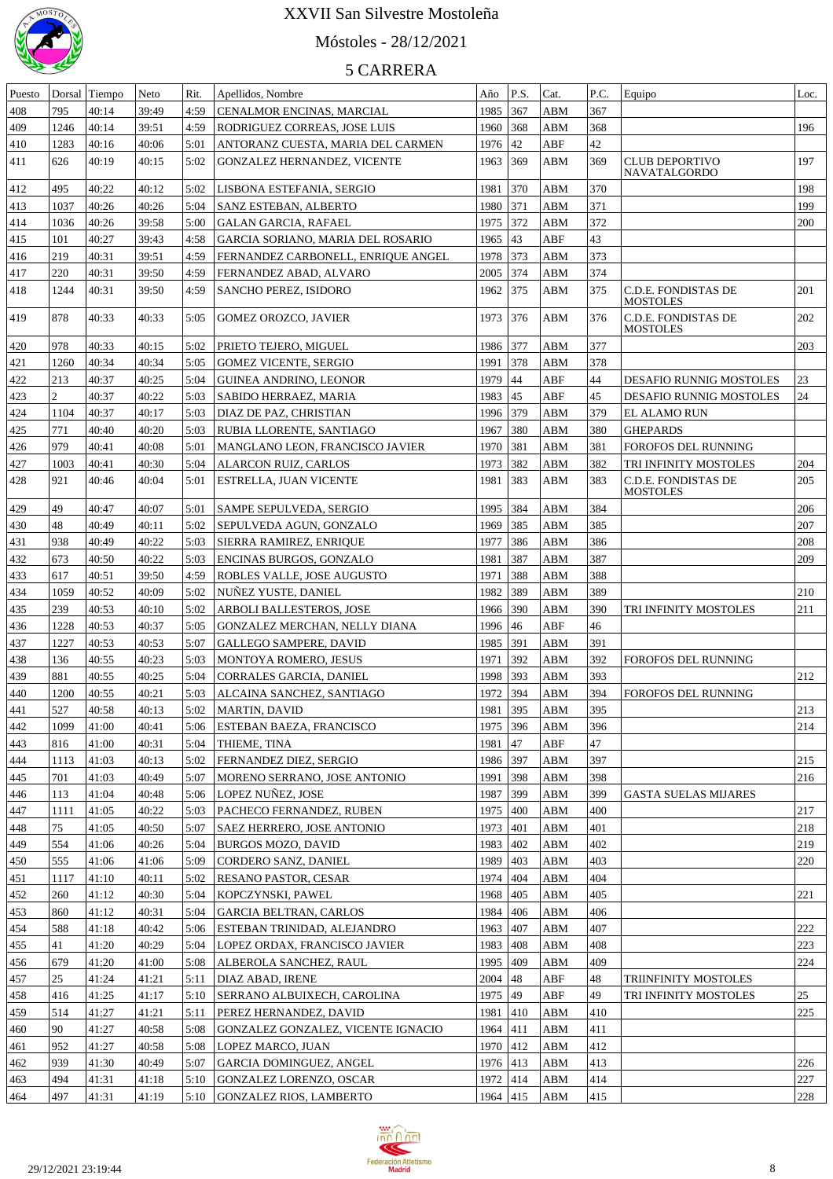

## Móstoles - 28/12/2021

| Puesto |                | Dorsal Tiempo | Neto  | Rit. | Apellidos, Nombre                  | Año        | P.S. | Cat.        | P.C.       | Equipo                                       | Loc. |
|--------|----------------|---------------|-------|------|------------------------------------|------------|------|-------------|------------|----------------------------------------------|------|
| 408    | 795            | 40:14         | 39:49 | 4:59 | CENALMOR ENCINAS, MARCIAL          | 1985 367   |      | ABM         | 367        |                                              |      |
| 409    | 1246           | 40:14         | 39:51 | 4:59 | RODRIGUEZ CORREAS, JOSE LUIS       | 1960       | 368  | ABM         | 368        |                                              | 196  |
| 410    | 1283           | 40:16         | 40:06 | 5:01 | ANTORANZ CUESTA, MARIA DEL CARMEN  | 1976 42    |      | ABF         | 42         |                                              |      |
| 411    | 626            | 40:19         | 40:15 | 5:02 | GONZALEZ HERNANDEZ, VICENTE        | 1963       | 369  | ABM         | 369        | <b>CLUB DEPORTIVO</b><br><b>NAVATALGORDO</b> | 197  |
| 412    | 495            | 40:22         | 40:12 | 5:02 | LISBONA ESTEFANIA, SERGIO          | 1981       | 370  | <b>ABM</b>  | 370        |                                              | 198  |
| 413    | 1037           | 40:26         | 40:26 | 5:04 | SANZ ESTEBAN, ALBERTO              | 1980       | 371  | <b>ABM</b>  | 371        |                                              | 199  |
| 414    | 1036           | 40:26         | 39:58 | 5:00 | <b>GALAN GARCIA, RAFAEL</b>        | 1975       | 372  | <b>ABM</b>  | 372        |                                              | 200  |
| 415    | 101            | 40:27         | 39:43 | 4:58 | GARCIA SORIANO, MARIA DEL ROSARIO  | 1965       | 43   | ABF         | 43         |                                              |      |
| 416    | 219            | 40:31         | 39:51 | 4:59 | FERNANDEZ CARBONELL, ENRIQUE ANGEL | 1978       | 373  | <b>ABM</b>  | 373        |                                              |      |
| 417    | 220            | 40:31         | 39:50 | 4:59 | FERNANDEZ ABAD, ALVARO             | 2005       | 374  | ABM         | 374        |                                              |      |
| 418    | 1244           | 40:31         | 39:50 | 4:59 | SANCHO PEREZ, ISIDORO              | 1962       | 375  | ABM         | 375        | C.D.E. FONDISTAS DE<br>MOSTOLES              | 201  |
| 419    | 878            | 40:33         | 40:33 | 5:05 | GOMEZ OROZCO, JAVIER               | 1973       | 376  | ABM         | 376        | C.D.E. FONDISTAS DE<br><b>MOSTOLES</b>       | 202  |
| 420    | 978            | 40:33         | 40:15 | 5:02 | PRIETO TEJERO, MIGUEL              | 1986 377   |      | ABM         | 377        |                                              | 203  |
| 421    | 1260           | 40:34         | 40:34 | 5:05 | <b>GOMEZ VICENTE, SERGIO</b>       | 1991       | 378  | ABM         | 378        |                                              |      |
| 422    | 213            | 40:37         | 40:25 | 5:04 | GUINEA ANDRINO, LEONOR             | 1979       | 44   | ABF         | 44         | <b>DESAFIO RUNNIG MOSTOLES</b>               | 23   |
| 423    | $\overline{c}$ | 40:37         | 40:22 | 5:03 | SABIDO HERRAEZ, MARIA              | 1983   45  |      | ABF         | 45         | DESAFIO RUNNIG MOSTOLES                      | 24   |
| 424    | 1104           | 40:37         | 40:17 | 5:03 | DIAZ DE PAZ, CHRISTIAN             | 1996 379   |      | <b>ABM</b>  | 379        | EL ALAMO RUN                                 |      |
| 425    | 771            | 40:40         | 40:20 | 5:03 | RUBIA LLORENTE, SANTIAGO           | 1967       | 380  | ABM         | 380        | <b>GHEPARDS</b>                              |      |
| 426    | 979            | 40:41         | 40:08 | 5:01 | MANGLANO LEON, FRANCISCO JAVIER    | 1970       | 381  | ABM         | 381        | FOROFOS DEL RUNNING                          |      |
| 427    | 1003           | 40:41         | 40:30 | 5:04 | <b>ALARCON RUIZ, CARLOS</b>        | 1973       | 382  | ABM         | 382        | TRI INFINITY MOSTOLES                        | 204  |
| 428    | 921            | 40:46         | 40:04 | 5:01 | ESTRELLA, JUAN VICENTE             | 1981       | 383  | ABM         | 383        | C.D.E. FONDISTAS DE<br><b>MOSTOLES</b>       | 205  |
| 429    | 49             | 40:47         | 40:07 | 5:01 | SAMPE SEPULVEDA, SERGIO            | 1995       | 384  | ABM         | 384        |                                              | 206  |
| 430    | 48             | 40:49         | 40:11 | 5:02 | SEPULVEDA AGUN, GONZALO            | 1969       | 385  | <b>ABM</b>  | 385        |                                              | 207  |
| 431    | 938            | 40:49         | 40:22 | 5:03 | SIERRA RAMIREZ, ENRIQUE            | 1977       | 386  | <b>ABM</b>  | 386        |                                              | 208  |
| 432    | 673            | 40:50         | 40:22 | 5:03 | ENCINAS BURGOS, GONZALO            | 1981       | 387  | <b>ABM</b>  | 387        |                                              | 209  |
| 433    | 617            | 40:51         | 39:50 | 4:59 | ROBLES VALLE, JOSE AUGUSTO         | 1971       | 388  | <b>ABM</b>  | 388        |                                              |      |
| 434    | 1059           | 40:52         | 40:09 | 5:02 | NUÑEZ YUSTE, DANIEL                | 1982       | 389  | <b>ABM</b>  | 389        |                                              | 210  |
| 435    | 239            | 40:53         | 40:10 | 5:02 | ARBOLI BALLESTEROS, JOSE           | 1966       | 390  | <b>ABM</b>  | 390        | TRI INFINITY MOSTOLES                        | 211  |
|        | 1228           | 40:53         | 40:37 | 5:05 |                                    | 1996       | 46   | ABF         | 46         |                                              |      |
| 436    |                |               | 40:53 | 5:07 | GONZALEZ MERCHAN, NELLY DIANA      |            |      |             | 391        |                                              |      |
| 437    | 1227           | 40:53         |       |      | <b>GALLEGO SAMPERE, DAVID</b>      | 1985       | 391  | <b>ABM</b>  | 392        |                                              |      |
| 438    | 136            | 40:55         | 40:23 | 5:03 | MONTOYA ROMERO, JESUS              | 1971       | 392  | <b>ABM</b>  |            | <b>FOROFOS DEL RUNNING</b>                   |      |
| 439    | 881            | 40:55         | 40:25 | 5:04 | CORRALES GARCIA, DANIEL            | 1998       | 393  | <b>ABM</b>  | 393<br>394 |                                              | 212  |
| 440    | 1200           | 40:55         | 40:21 | 5:03 | ALCAINA SANCHEZ, SANTIAGO          | 1972       | 394  | ABM         |            | FOROFOS DEL RUNNING                          |      |
| 441    | 527            | 40:58         | 40:13 | 5:02 | MARTIN, DAVID                      | 1981 395   |      | ABM         | 395        |                                              | 213  |
| 442    | 1099           | 41:00         | 40:41 | 5:06 | ESTEBAN BAEZA, FRANCISCO           | 1975 396   |      | ABM         | 396        |                                              | 214  |
| 443    | 816            | 41:00         | 40:31 | 5:04 | THIEME, TINA                       | 1981       | 47   | ABF         | 47         |                                              |      |
| 444    | 1113           | 41:03         | 40:13 | 5:02 | FERNANDEZ DIEZ, SERGIO             | 1986 397   |      | ABM         | 397        |                                              | 215  |
| 445    | 701            | 41:03         | 40:49 | 5:07 | MORENO SERRANO, JOSE ANTONIO       | 1991       | 398  | ABM         | 398        |                                              | 216  |
| 446    | 113            | 41:04         | 40:48 | 5:06 | LOPEZ NUÑEZ, JOSE                  | 1987       | 399  | ABM         | 399        | <b>GASTA SUELAS MIJARES</b>                  |      |
| 447    | 1111           | 41:05         | 40:22 | 5:03 | PACHECO FERNANDEZ, RUBEN           | 1975 400   |      | ABM         | 400        |                                              | 217  |
| 448    | 75             | 41:05         | 40:50 | 5:07 | SAEZ HERRERO, JOSE ANTONIO         | 1973       | 401  | ABM         | 401        |                                              | 218  |
| 449    | 554            | 41:06         | 40:26 | 5:04 | BURGOS MOZO, DAVID                 | 1983       | 402  | ABM         | 402        |                                              | 219  |
| 450    | 555            | 41:06         | 41:06 | 5:09 | CORDERO SANZ, DANIEL               | 1989       | 403  | ABM         | 403        |                                              | 220  |
| 451    | 1117           | 41:10         | 40:11 | 5:02 | RESANO PASTOR, CESAR               | 1974       | 404  | ABM         | 404        |                                              |      |
| 452    | 260            | 41:12         | 40:30 | 5:04 | KOPCZYNSKI, PAWEL                  | 1968 405   |      | ABM         | 405        |                                              | 221  |
| 453    | 860            | 41:12         | 40:31 | 5:04 | <b>GARCIA BELTRAN, CARLOS</b>      | 1984 406   |      | <b>ABM</b>  | 406        |                                              |      |
| 454    | 588            | 41:18         | 40:42 | 5:06 | ESTEBAN TRINIDAD, ALEJANDRO        | 1963 407   |      | <b>ABM</b>  | 407        |                                              | 222  |
| 455    | 41             | 41:20         | 40:29 | 5:04 | LOPEZ ORDAX, FRANCISCO JAVIER      | 1983 408   |      | <b>ABM</b>  | 408        |                                              | 223  |
| 456    | 679            | 41:20         | 41:00 | 5:08 | ALBEROLA SANCHEZ, RAUL             | 1995 409   |      | <b>ABM</b>  | 409        |                                              | 224  |
| 457    | 25             | 41:24         | 41:21 | 5:11 | DIAZ ABAD, IRENE                   | $2004$  48 |      | ${\rm ABF}$ | 48         | TRIINFINITY MOSTOLES                         |      |
| 458    | 416            | 41:25         | 41:17 | 5:10 | SERRANO ALBUIXECH, CAROLINA        | 1975 49    |      | ${\rm ABF}$ | 49         | TRI INFINITY MOSTOLES                        | 25   |
| 459    | 514            | 41:27         | 41:21 | 5:11 | PEREZ HERNANDEZ, DAVID             | 1981 410   |      | ABM         | 410        |                                              | 225  |
| 460    | 90             | 41:27         | 40:58 | 5:08 | GONZALEZ GONZALEZ, VICENTE IGNACIO | 1964 411   |      | ABM         | 411        |                                              |      |
| 461    | 952            | 41:27         | 40:58 | 5:08 | LOPEZ MARCO, JUAN                  | 1970 412   |      | ABM         | 412        |                                              |      |
| 462    | 939            | 41:30         | 40:49 | 5:07 | GARCIA DOMINGUEZ, ANGEL            | 1976 413   |      | ABM         | 413        |                                              | 226  |
| 463    | 494            | 41:31         | 41:18 | 5:10 | GONZALEZ LORENZO, OSCAR            | 1972 414   |      | ABM         | 414        |                                              | 227  |
| 464    | 497            | 41:31         | 41:19 |      | 5:10 GONZALEZ RIOS, LAMBERTO       | 1964 415   |      | <b>ABM</b>  | 415        |                                              | 228  |

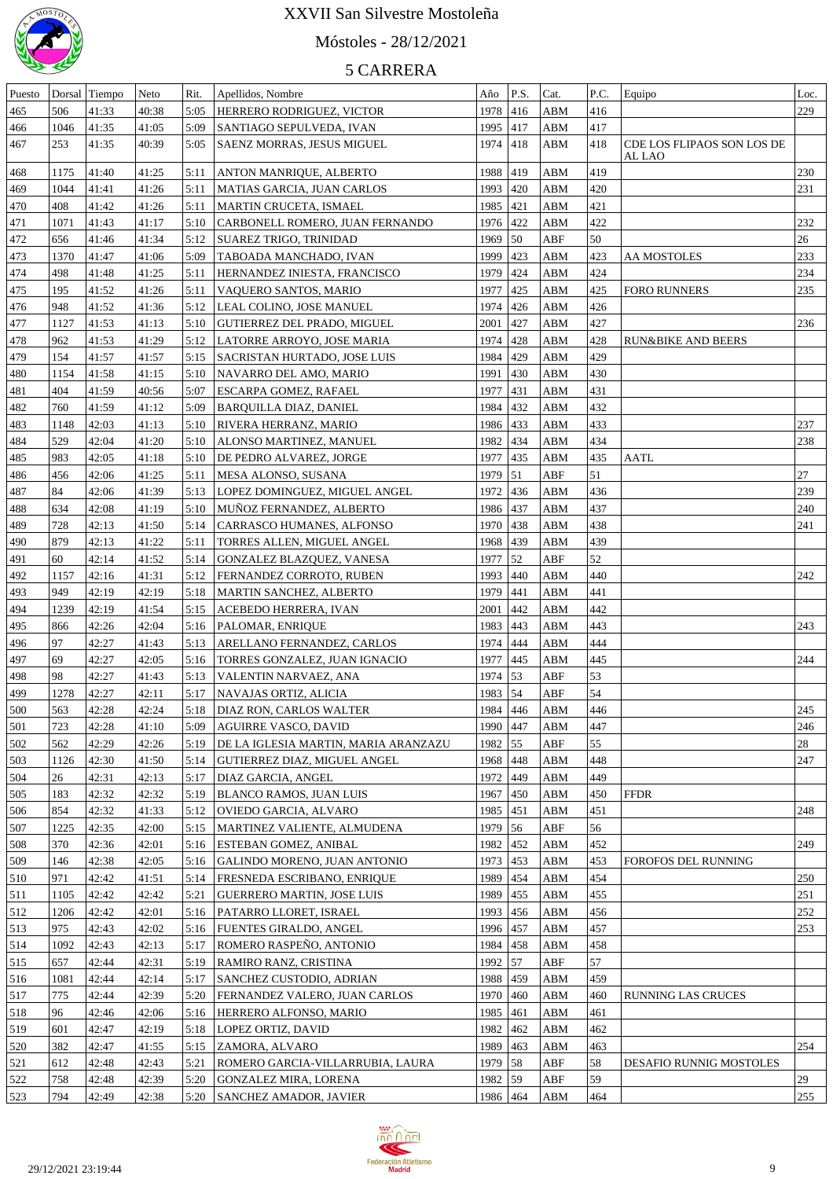

# Móstoles - 28/12/2021

| Puesto |      | Dorsal Tiempo | Neto  | Rit. | Apellidos, Nombre                    | Año        | P.S.             | Cat.        | P.C. | Equipo                               | Loc. |
|--------|------|---------------|-------|------|--------------------------------------|------------|------------------|-------------|------|--------------------------------------|------|
| 465    | 506  | 41:33         | 40:38 | 5:05 | HERRERO RODRIGUEZ, VICTOR            | 1978       | 416              | ABM         | 416  |                                      | 229  |
| 466    | 1046 | 41:35         | 41:05 | 5:09 | SANTIAGO SEPULVEDA, IVAN             | 1995       | 417              | ABM         | 417  |                                      |      |
| 467    | 253  | 41:35         | 40:39 | 5:05 | SAENZ MORRAS, JESUS MIGUEL           | 1974       | 418              | ABM         | 418  | CDE LOS FLIPAOS SON LOS DE<br>AL LAO |      |
| 468    | 1175 | 41:40         | 41:25 | 5:11 | ANTON MANRIQUE, ALBERTO              | 1988       | 419              | ABM         | 419  |                                      | 230  |
| 469    | 1044 | 41:41         | 41:26 | 5:11 | MATIAS GARCIA, JUAN CARLOS           | 1993       | 420              | ABM         | 420  |                                      | 231  |
| 470    | 408  | 41:42         | 41:26 | 5:11 | MARTIN CRUCETA, ISMAEL               | 1985       | 421              | ABM         | 421  |                                      |      |
| 471    | 1071 | 41:43         | 41:17 | 5:10 | CARBONELL ROMERO, JUAN FERNANDO      | 1976 422   |                  | ABM         | 422  |                                      | 232  |
| 472    | 656  | 41:46         | 41:34 | 5:12 | SUAREZ TRIGO, TRINIDAD               | 1969       | $\vert$ 50       | ABF         | 50   |                                      | 26   |
| 473    | 1370 | 41:47         | 41:06 | 5:09 | TABOADA MANCHADO, IVAN               | 1999       | 423              | ABM         | 423  | <b>AA MOSTOLES</b>                   | 233  |
| 474    | 498  | 41:48         | 41:25 | 5:11 | HERNANDEZ INIESTA, FRANCISCO         | 1979       | 424              | ABM         | 424  |                                      | 234  |
|        | 195  | 41:52         |       | 5:11 |                                      | 1977       | 425              | ABM         | 425  |                                      | 235  |
| 475    |      |               | 41:26 |      | VAQUERO SANTOS, MARIO                |            |                  |             |      | <b>FORO RUNNERS</b>                  |      |
| 476    | 948  | 41:52         | 41:36 | 5:12 | LEAL COLINO, JOSE MANUEL             | 1974       | 426              | ABM         | 426  |                                      |      |
| 477    | 1127 | 41:53         | 41:13 | 5:10 | GUTIERREZ DEL PRADO, MIGUEL          | 2001       | 427              | ABM         | 427  |                                      | 236  |
| 478    | 962  | 41:53         | 41:29 | 5:12 | LATORRE ARROYO, JOSE MARIA           | 1974       | 428              | ABM         | 428  | <b>RUN&amp;BIKE AND BEERS</b>        |      |
| 479    | 154  | 41:57         | 41:57 | 5:15 | <b>SACRISTAN HURTADO, JOSE LUIS</b>  | 1984       | 429              | ABM         | 429  |                                      |      |
| 480    | 1154 | 41:58         | 41:15 | 5:10 | NAVARRO DEL AMO, MARIO               | 1991       | 430              | ABM         | 430  |                                      |      |
| 481    | 404  | 41:59         | 40:56 | 5:07 | ESCARPA GOMEZ, RAFAEL                | 1977       | 431              | ABM         | 431  |                                      |      |
| 482    | 760  | 41:59         | 41:12 | 5:09 | <b>BARQUILLA DIAZ, DANIEL</b>        | 1984       | 432              | ABM         | 432  |                                      |      |
| 483    | 1148 | 42:03         | 41:13 | 5:10 | <b>RIVERA HERRANZ, MARIO</b>         | 1986 433   |                  | ABM         | 433  |                                      | 237  |
| 484    | 529  | 42:04         | 41:20 | 5:10 | ALONSO MARTINEZ, MANUEL              | 1982       | 434              | ABM         | 434  |                                      | 238  |
| 485    | 983  | 42:05         | 41:18 | 5:10 | DE PEDRO ALVAREZ, JORGE              | 1977       | 435              | ABM         | 435  | AATL                                 |      |
| 486    | 456  | 42:06         | 41:25 | 5:11 | MESA ALONSO, SUSANA                  | 1979       | $\vert 51 \vert$ | ABF         | 51   |                                      | 27   |
| 487    | 84   | 42:06         | 41:39 | 5:13 | LOPEZ DOMINGUEZ, MIGUEL ANGEL        | 1972       | 436              | ABM         | 436  |                                      | 239  |
| 488    | 634  | 42:08         | 41:19 | 5:10 | MUÑOZ FERNANDEZ, ALBERTO             | 1986 437   |                  | ABM         | 437  |                                      | 240  |
| 489    | 728  | 42:13         | 41:50 | 5:14 | CARRASCO HUMANES, ALFONSO            | 1970 438   |                  | ABM         | 438  |                                      | 241  |
| 490    | 879  | 42:13         | 41:22 | 5:11 | TORRES ALLEN, MIGUEL ANGEL           | 1968 439   |                  | ABM         | 439  |                                      |      |
| 491    | 60   | 42:14         | 41:52 | 5:14 | GONZALEZ BLAZQUEZ, VANESA            | 1977       | 52               | ABF         | 52   |                                      |      |
| 492    | 1157 | 42:16         | 41:31 | 5:12 | FERNANDEZ CORROTO, RUBEN             | 1993       | 440              | ABM         | 440  |                                      | 242  |
| 493    | 949  | 42:19         | 42:19 | 5:18 | MARTIN SANCHEZ, ALBERTO              | 1979       | 441              | ABM         | 441  |                                      |      |
|        |      |               |       |      |                                      |            |                  |             |      |                                      |      |
| 494    | 1239 | 42:19         | 41:54 | 5:15 | ACEBEDO HERRERA, IVAN                | 2001       | 442              | ABM         | 442  |                                      |      |
| 495    | 866  | 42:26         | 42:04 | 5:16 | <b>PALOMAR, ENRIQUE</b>              | 1983       | 443              | ABM         | 443  |                                      | 243  |
| 496    | 97   | 42:27         | 41:43 | 5:13 | ARELLANO FERNANDEZ, CARLOS           | 1974       | 444              | ABM         | 444  |                                      |      |
| 497    | 69   | 42:27         | 42:05 | 5:16 | TORRES GONZALEZ, JUAN IGNACIO        | 1977       | 445              | ABM         | 445  |                                      | 244  |
| 498    | 98   | 42:27         | 41:43 |      | 5:13 VALENTIN NARVAEZ, ANA           | 1974 53    |                  | ABF         | 53   |                                      |      |
| 499    | 1278 | 42:27         | 42:11 |      | 5:17   NAVAJAS ORTIZ, ALICIA         | $1983$ 54  |                  | ABF         | 54   |                                      |      |
| 500    | 563  | 42:28         | 42:24 |      | 5:18   DIAZ RON, CARLOS WALTER       | 1984 446   |                  | ABM         | 446  |                                      | 245  |
| 501    | 723  | 42:28         | 41:10 | 5:09 | <b>AGUIRRE VASCO, DAVID</b>          | 1990   447 |                  | ABM         | 447  |                                      | 246  |
| 502    | 562  | 42:29         | 42:26 | 5:19 | DE LA IGLESIA MARTIN, MARIA ARANZAZU | 1982 55    |                  | ABF         | 55   |                                      | 28   |
| 503    | 1126 | 42:30         | 41:50 | 5:14 | GUTIERREZ DIAZ, MIGUEL ANGEL         | 1968 448   |                  | ABM         | 448  |                                      | 247  |
| 504    | 26   | 42:31         | 42:13 | 5:17 | <b>DIAZ GARCIA, ANGEL</b>            | 1972 449   |                  | ABM         | 449  |                                      |      |
| 505    | 183  | 42:32         | 42:32 | 5:19 | <b>BLANCO RAMOS, JUAN LUIS</b>       | 1967   450 |                  | ABM         | 450  | <b>FFDR</b>                          |      |
| 506    | 854  | 42:32         | 41:33 | 5:12 | OVIEDO GARCIA, ALVARO                | 1985 451   |                  | ABM         | 451  |                                      | 248  |
| 507    | 1225 | 42:35         | 42:00 | 5:15 | MARTINEZ VALIENTE, ALMUDENA          | 1979 56    |                  | ABF         | 56   |                                      |      |
| 508    | 370  | 42:36         | 42:01 |      | 5:16   ESTEBAN GOMEZ, ANIBAL         | 1982 452   |                  | ABM         | 452  |                                      | 249  |
| 509    | 146  | 42:38         | 42:05 |      | 5:16 GALINDO MORENO, JUAN ANTONIO    | 1973 453   |                  | ABM         | 453  | <b>FOROFOS DEL RUNNING</b>           |      |
| 510    | 971  | 42:42         | 41:51 |      | 5:14   FRESNEDA ESCRIBANO, ENRIQUE   | 1989 454   |                  | ABM         | 454  |                                      | 250  |
| 511    | 1105 | 42:42         | 42:42 | 5:21 | GUERRERO MARTIN, JOSE LUIS           | 1989 455   |                  | ABM         | 455  |                                      | 251  |
| 512    | 1206 | 42:42         | 42:01 |      | 5:16   PATARRO LLORET, ISRAEL        | 1993 456   |                  | ABM         | 456  |                                      | 252  |
| 513    | 975  | 42:43         | 42:02 |      | 5:16   FUENTES GIRALDO, ANGEL        | 1996 457   |                  | ABM         | 457  |                                      | 253  |
| 514    | 1092 | 42:43         |       | 5:17 |                                      | 1984 458   |                  | ABM         | 458  |                                      |      |
|        |      |               | 42:13 |      | ROMERO RASPEÑO, ANTONIO              |            |                  |             |      |                                      |      |
| 515    | 657  | 42:44         | 42:31 |      | 5:19 RAMIRO RANZ, CRISTINA           | 1992 57    |                  | ABF         | 57   |                                      |      |
| 516    | 1081 | 42:44         | 42:14 |      | 5:17 SANCHEZ CUSTODIO, ADRIAN        | 1988 459   |                  | ABM         | 459  |                                      |      |
| 517    | 775  | 42:44         | 42:39 |      | 5:20 FERNANDEZ VALERO, JUAN CARLOS   | 1970 460   |                  | ABM         | 460  | <b>RUNNING LAS CRUCES</b>            |      |
| 518    | 96   | 42:46         | 42:06 |      | 5:16   HERRERO ALFONSO, MARIO        | 1985 461   |                  | ABM         | 461  |                                      |      |
| 519    | 601  | 42:47         | 42:19 |      | 5:18   LOPEZ ORTIZ, DAVID            | 1982 462   |                  | ${\bf ABM}$ | 462  |                                      |      |
| 520    | 382  | 42:47         | 41:55 |      | 5:15   ZAMORA, ALVARO                | 1989 463   |                  | ABM         | 463  |                                      | 254  |
| 521    | 612  | 42:48         | 42:43 | 5:21 | ROMERO GARCIA-VILLARRUBIA, LAURA     | 1979 58    |                  | ABF         | 58   | DESAFIO RUNNIG MOSTOLES              |      |
| 522    | 758  | 42:48         | 42:39 |      | 5:20 GONZALEZ MIRA, LORENA           | 1982 59    |                  | ABF         | 59   |                                      | 29   |
| 523    | 794  | 42:49         | 42:38 |      | 5:20 SANCHEZ AMADOR, JAVIER          | 1986 464   |                  | ABM         | 464  |                                      | 255  |

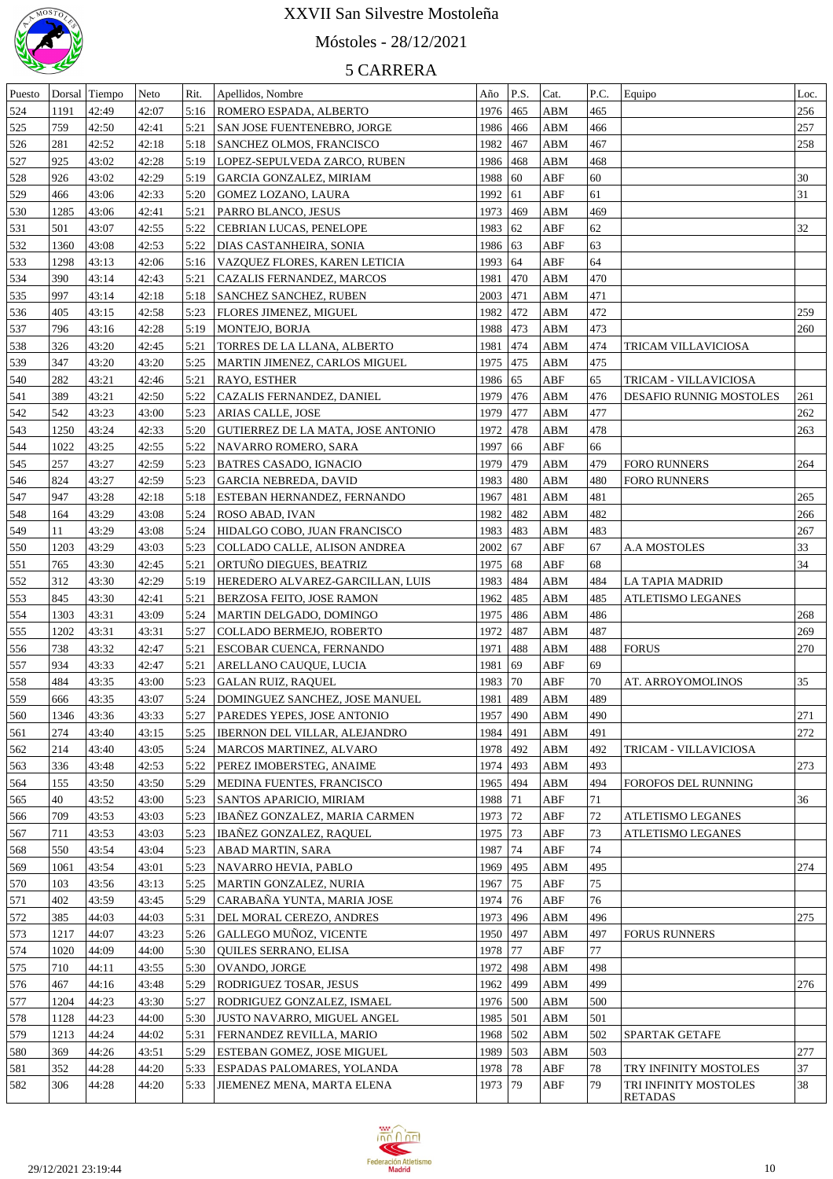

# Móstoles - 28/12/2021

| Puesto     | Dorsal | Tiempo | Neto  | Rit. | Apellidos, Nombre                  | Año        | P.S.          | Cat.       | P.C. | Equipo                     | Loc. |
|------------|--------|--------|-------|------|------------------------------------|------------|---------------|------------|------|----------------------------|------|
| 524        | 1191   | 42:49  | 42:07 | 5:16 | ROMERO ESPADA, ALBERTO             | 1976       | 465           | ABM        | 465  |                            | 256  |
| 525        | 759    | 42:50  | 42:41 | 5:21 | SAN JOSE FUENTENEBRO, JORGE        | 1986       | 466           | ABM        | 466  |                            | 257  |
| 526        | 281    | 42:52  | 42:18 | 5:18 | SANCHEZ OLMOS, FRANCISCO           | 1982       | 467           | ABM        | 467  |                            | 258  |
| 527        | 925    | 43:02  | 42:28 | 5:19 | LOPEZ-SEPULVEDA ZARCO, RUBEN       | 1986       | 468           | ABM        | 468  |                            |      |
| 528        | 926    | 43:02  | 42:29 | 5:19 | GARCIA GONZALEZ, MIRIAM            | 1988       | 60            | ABF        | 60   |                            | 30   |
| 529        | 466    | 43:06  | 42:33 | 5:20 | GOMEZ LOZANO, LAURA                | 1992       | 61            | ABF        | 61   |                            | 31   |
| 530        | 1285   | 43:06  | 42:41 | 5:21 | PARRO BLANCO, JESUS                | 1973       | 469           | <b>ABM</b> | 469  |                            |      |
| 531        | 501    | 43:07  | 42:55 | 5:22 | CEBRIAN LUCAS, PENELOPE            | 1983       | 62            | ABF        | 62   |                            | 32   |
| 532        | 1360   | 43:08  | 42:53 | 5:22 | DIAS CASTANHEIRA, SONIA            | 1986 63    |               | ABF        | 63   |                            |      |
| 533        | 1298   | 43:13  | 42:06 | 5:16 | VAZQUEZ FLORES, KAREN LETICIA      | 1993       | 64            | ABF        | 64   |                            |      |
| 534        | 390    | 43:14  | 42:43 | 5:21 | <b>CAZALIS FERNANDEZ, MARCOS</b>   | 1981       | $ 470\rangle$ | <b>ABM</b> | 470  |                            |      |
| 535        | 997    | 43:14  | 42:18 | 5:18 | SANCHEZ SANCHEZ, RUBEN             | 2003       | 471           | ABM        | 471  |                            |      |
| 536        | 405    | 43:15  | 42:58 | 5:23 | <b>FLORES JIMENEZ, MIGUEL</b>      | 1982       | 472           | ABM        | 472  |                            | 259  |
| 537        | 796    | 43:16  | 42:28 | 5:19 | MONTEJO, BORJA                     | 1988       | 473           | ABM        | 473  |                            | 260  |
| 538        | 326    | 43:20  | 42:45 | 5:21 | TORRES DE LA LLANA, ALBERTO        | 1981       | 474           | ABM        | 474  | TRICAM VILLAVICIOSA        |      |
| 539        | 347    | 43:20  | 43:20 | 5:25 | MARTIN JIMENEZ, CARLOS MIGUEL      | 1975       | 475           | ABM        | 475  |                            |      |
| 540        | 282    | 43:21  | 42:46 | 5:21 | <b>RAYO, ESTHER</b>                | 1986       | 65            | ABF        | 65   | TRICAM - VILLAVICIOSA      |      |
| 541        | 389    | 43:21  | 42:50 | 5:22 | CAZALIS FERNANDEZ, DANIEL          | 1979       | 476           | ABM        | 476  | DESAFIO RUNNIG MOSTOLES    | 261  |
| 542        | 542    | 43:23  | 43:00 | 5:23 | ARIAS CALLE, JOSE                  | 1979       | 477           | ABM        | 477  |                            | 262  |
| 543        | 1250   | 43:24  | 42:33 | 5:20 | GUTIERREZ DE LA MATA, JOSE ANTONIO | 1972       | 478           | ABM        | 478  |                            | 263  |
| 544        | 1022   | 43:25  | 42:55 | 5:22 | NAVARRO ROMERO, SARA               | 1997       | 66            | ABF        | 66   |                            |      |
| 545        | 257    | 43:27  | 42:59 | 5:23 | BATRES CASADO, IGNACIO             | 1979       | 479           | ABM        | 479  | <b>FORO RUNNERS</b>        | 264  |
| 546        | 824    | 43:27  | 42:59 | 5:23 | <b>GARCIA NEBREDA, DAVID</b>       | 1983       | 480           | ABM        | 480  | <b>FORO RUNNERS</b>        |      |
| 547        | 947    | 43:28  | 42:18 | 5:18 | ESTEBAN HERNANDEZ, FERNANDO        | 1967       | 481           | ABM        | 481  |                            | 265  |
| 548        | 164    | 43:29  | 43:08 | 5:24 | ROSO ABAD, IVAN                    | 1982       | 482           | ABM        | 482  |                            | 266  |
| 549        | 11     | 43:29  | 43:08 | 5:24 | HIDALGO COBO, JUAN FRANCISCO       | 1983       | 483           | ABM        | 483  |                            | 267  |
| 550        | 1203   | 43:29  | 43:03 | 5:23 | COLLADO CALLE, ALISON ANDREA       | 2002       | 67            | ABF        | 67   | A.A MOSTOLES               | 33   |
| 551        | 765    | 43:30  | 42:45 | 5:21 | ORTUNO DIEGUES, BEATRIZ            | 1975       | 68            | ABF        | 68   |                            | 34   |
| 552        | 312    | 43:30  | 42:29 | 5:19 | HEREDERO ALVAREZ-GARCILLAN, LUIS   | 1983       | 484           | <b>ABM</b> | 484  | LA TAPIA MADRID            |      |
| 553        | 845    | 43:30  | 42:41 | 5:21 | BERZOSA FEITO, JOSE RAMON          | 1962       | 485           | ABM        | 485  | ATLETISMO LEGANES          |      |
| 554        | 1303   | 43:31  | 43:09 | 5:24 | MARTIN DELGADO, DOMINGO            | 1975       | 486           | ABM        | 486  |                            | 268  |
| 555        | 1202   | 43:31  | 43:31 | 5:27 | COLLADO BERMEJO, ROBERTO           | 1972       | 487           | ABM        | 487  |                            | 269  |
| 556        | 738    | 43:32  | 42:47 | 5:21 | ESCOBAR CUENCA, FERNANDO           | 1971       | 488           | ABM        | 488  | <b>FORUS</b>               | 270  |
| 557        | 934    | 43:33  | 42:47 | 5:21 | ARELLANO CAUQUE, LUCIA             | 1981       | 69            | ABF        | 69   |                            |      |
| 558        | 484    | 43:35  | 43:00 | 5:23 | GALAN RUIZ, RAQUEL                 | 1983       | $ 70\rangle$  | ABF        | 70   | AT. ARROYOMOLINOS          | 35   |
| 559        | 666    | 43:35  | 43:07 | 5:24 | DOMINGUEZ SANCHEZ, JOSE MANUEL     | 1981       | 489           | ABM        | 489  |                            |      |
| 560        | 1346   | 43:36  | 43:33 | 5:27 | <b>PAREDES YEPES, JOSE ANTONIO</b> | 1957   490 |               | ABM        | 490  |                            | 271  |
| 561        | 274    | 43:40  | 43:15 | 5:25 | IBERNON DEL VILLAR, ALEJANDRO      | 1984       | 491           | ABM        | 491  |                            | 272  |
| 562        | 214    | 43:40  | 43:05 | 5:24 | MARCOS MARTINEZ, ALVARO            | 1978 492   |               | ABM        | 492  | TRICAM - VILLAVICIOSA      |      |
| 563        | 336    | 43:48  | 42:53 | 5:22 | PEREZ IMOBERSTEG, ANAIME           | 1974   493 |               | ABM        | 493  |                            | 273  |
| 564        | 155    | 43:50  | 43:50 | 5:29 | MEDINA FUENTES, FRANCISCO          | 1965   494 |               | ABM        | 494  | <b>FOROFOS DEL RUNNING</b> |      |
| 565        | 40     | 43:52  | 43:00 | 5:23 | SANTOS APARICIO, MIRIAM            | 1988       | 71            | ABF        | 71   |                            | 36   |
| 566        | 709    | 43:53  | 43:03 | 5:23 | IBANEZ GONZALEZ, MARIA CARMEN      | 1973       | 72            | ABF        | 72   | ATLETISMO LEGANES          |      |
| 567        | 711    | 43:53  | 43:03 | 5:23 | <b>IBANEZ GONZALEZ, RAQUEL</b>     | 1975 73    |               | ABF        | 73   | ATLETISMO LEGANES          |      |
| 568        | 550    | 43:54  | 43:04 | 5:23 | ABAD MARTIN, SARA                  | 1987       | 74            | ABF        | 74   |                            |      |
| 569        | 1061   | 43:54  | 43:01 | 5:23 | NAVARRO HEVIA, PABLO               | 1969       | 495           | ABM        | 495  |                            | 274  |
| 570        | 103    | 43:56  | 43:13 | 5:25 | MARTIN GONZALEZ, NURIA             | 1967       | 75            | ABF        | 75   |                            |      |
| 571        | 402    | 43:59  | 43:45 | 5:29 | CARABANA YUNTA, MARIA JOSE         | 1974       | 76            | ABF        | 76   |                            |      |
| 572        | 385    | 44:03  | 44:03 | 5:31 | DEL MORAL CEREZO, ANDRES           | 1973       | 496           | ABM        | 496  |                            | 275  |
| 573        | 1217   | 44:07  | 43:23 | 5:26 | GALLEGO MUNOZ, VICENTE             | 1950       | 497           | ABM        | 497  | <b>FORUS RUNNERS</b>       |      |
| 574        | 1020   | 44:09  | 44:00 | 5:30 | QUILES SERRANO, ELISA              | 1978       | 77            | ABF        | 77   |                            |      |
|            | 710    | 44:11  | 43:55 | 5:30 | OVANDO, JORGE                      | 1972       | 498           | ABM        | 498  |                            |      |
| 575<br>576 | 467    | 44:16  | 43:48 | 5:29 | RODRIGUEZ TOSAR, JESUS             | 1962       | 499           | ABM        | 499  |                            | 276  |
| 577        | 1204   | 44:23  | 43:30 | 5:27 | RODRIGUEZ GONZALEZ, ISMAEL         | 1976       | 500           | ABM        | 500  |                            |      |
| 578        | 1128   | 44:23  | 44:00 | 5:30 | JUSTO NAVARRO, MIGUEL ANGEL        | 1985       | 501           | ABM        | 501  |                            |      |
| 579        | 1213   | 44:24  | 44:02 | 5:31 | FERNANDEZ REVILLA, MARIO           | 1968       | 502           | ABM        | 502  | <b>SPARTAK GETAFE</b>      |      |
| 580        | 369    | 44:26  | 43:51 | 5:29 | ESTEBAN GOMEZ, JOSE MIGUEL         | 1989       | 503           | ABM        | 503  |                            | 277  |
| 581        | 352    | 44:28  | 44:20 | 5:33 | ESPADAS PALOMARES, YOLANDA         | 1978 78    |               | ABF        | 78   | TRY INFINITY MOSTOLES      | 37   |
| 582        | 306    | 44:28  | 44:20 | 5:33 | JIEMENEZ MENA, MARTA ELENA         | 1973       | $ 79\rangle$  | ABF        | 79   | TRI INFINITY MOSTOLES      | 38   |
|            |        |        |       |      |                                    |            |               |            |      | RETADAS                    |      |

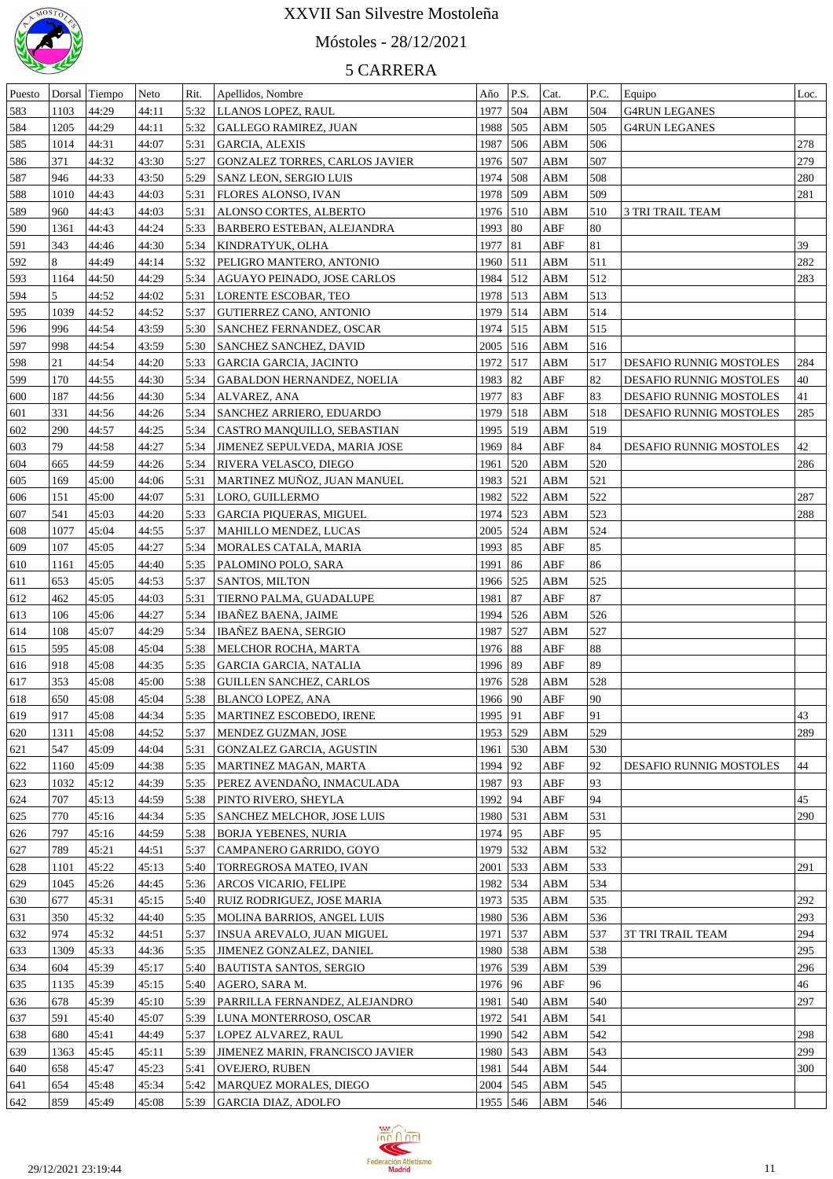

# Móstoles - 28/12/2021

| Puesto |      | Dorsal Tiempo | Neto  | Rit. | Apellidos, Nombre                    | Año        | P.S.        | Cat.       | P.C. | Equipo                         | Loc. |
|--------|------|---------------|-------|------|--------------------------------------|------------|-------------|------------|------|--------------------------------|------|
| 583    | 1103 | 44:29         | 44:11 | 5:32 | LLANOS LOPEZ, RAUL                   | 1977       | $\vert$ 504 | ABM        | 504  | <b>G4RUN LEGANES</b>           |      |
| 584    | 1205 | 44:29         | 44:11 | 5:32 | GALLEGO RAMIREZ, JUAN                | 1988 505   |             | ABM        | 505  | <b>G4RUN LEGANES</b>           |      |
| 585    | 1014 | 44:31         | 44:07 | 5:31 | <b>GARCIA, ALEXIS</b>                | 1987       | 506         | ABM        | 506  |                                | 278  |
| 586    | 371  | 44:32         | 43:30 | 5:27 | GONZALEZ TORRES, CARLOS JAVIER       | 1976 507   |             | ABM        | 507  |                                | 279  |
| 587    | 946  | 44:33         | 43:50 | 5:29 | SANZ LEON, SERGIO LUIS               | 1974 508   |             | ABM        | 508  |                                | 280  |
| 588    | 1010 | 44:43         | 44:03 | 5:31 | <b>FLORES ALONSO, IVAN</b>           | 1978 509   |             | ABM        | 509  |                                | 281  |
| 589    | 960  | 44:43         | 44:03 | 5:31 | ALONSO CORTES, ALBERTO               | 1976 510   |             | ABM        | 510  | 3 TRI TRAIL TEAM               |      |
| 590    | 1361 | 44:43         | 44:24 | 5:33 | <b>BARBERO ESTEBAN, ALEJANDRA</b>    | 1993   80  |             | ABF        | 80   |                                |      |
| 591    | 343  | 44:46         | 44:30 | 5:34 | KINDRATYUK, OLHA                     | 1977   81  |             | ABF        | 81   |                                | 39   |
| 592    | 8    | 44:49         | 44:14 | 5:32 | PELIGRO MANTERO, ANTONIO             | 1960 511   |             | ABM        | 511  |                                | 282  |
| 593    | 1164 | 44:50         | 44:29 | 5:34 | AGUAYO PEINADO, JOSE CARLOS          | 1984 512   |             | ABM        | 512  |                                | 283  |
| 594    | 5    | 44:52         | 44:02 | 5:31 | LORENTE ESCOBAR, TEO                 | 1978 513   |             | ABM        | 513  |                                |      |
|        |      |               |       |      |                                      |            |             |            |      |                                |      |
| 595    | 1039 | 44:52         | 44:52 | 5:37 | GUTIERREZ CANO, ANTONIO              | 1979       | 514         | ABM        | 514  |                                |      |
| 596    | 996  | 44:54         | 43:59 | 5:30 | <b>SANCHEZ FERNANDEZ, OSCAR</b>      | 1974 515   |             | ABM        | 515  |                                |      |
| 597    | 998  | 44:54         | 43:59 | 5:30 | <b>SANCHEZ SANCHEZ, DAVID</b>        | $2005$ 516 |             | ABM        | 516  |                                |      |
| 598    | 21   | 44:54         | 44:20 | 5:33 | <b>GARCIA GARCIA, JACINTO</b>        | 1972 517   |             | ABM        | 517  | <b>DESAFIO RUNNIG MOSTOLES</b> | 284  |
| 599    | 170  | 44:55         | 44:30 | 5:34 | GABALDON HERNANDEZ, NOELIA           | 1983   82  |             | ABF        | 82   | DESAFIO RUNNIG MOSTOLES        | 40   |
| 600    | 187  | 44:56         | 44:30 | 5:34 | ALVAREZ, ANA                         | 1977   83  |             | ABF        | 83   | DESAFIO RUNNIG MOSTOLES        | 41   |
| 601    | 331  | 44:56         | 44:26 | 5:34 | <b>SANCHEZ ARRIERO, EDUARDO</b>      | 1979       | 518         | ABM        | 518  | DESAFIO RUNNIG MOSTOLES        | 285  |
| 602    | 290  | 44:57         | 44:25 | 5:34 | CASTRO MANQUILLO, SEBASTIAN          | 1995 519   |             | ABM        | 519  |                                |      |
| 603    | 79   | 44:58         | 44:27 | 5:34 | <b>JIMENEZ SEPULVEDA, MARIA JOSE</b> | 1969       | 84          | ABF        | 84   | <b>DESAFIO RUNNIG MOSTOLES</b> | 42   |
| 604    | 665  | 44:59         | 44:26 | 5:34 | RIVERA VELASCO, DIEGO                | 1961       | $\vert$ 520 | ABM        | 520  |                                | 286  |
| 605    | 169  | 45:00         | 44:06 | 5:31 | MARTINEZ MUÑOZ, JUAN MANUEL          | 1983 521   |             | ABM        | 521  |                                |      |
| 606    | 151  | 45:00         | 44:07 | 5:31 | LORO, GUILLERMO                      | 1982 522   |             | ABM        | 522  |                                | 287  |
| 607    | 541  | 45:03         | 44:20 | 5:33 | <b>GARCIA PIQUERAS, MIGUEL</b>       | 1974 523   |             | ABM        | 523  |                                | 288  |
|        |      |               |       |      |                                      |            |             |            |      |                                |      |
| 608    | 1077 | 45:04         | 44:55 | 5:37 | MAHILLO MENDEZ, LUCAS                | 2005   524 |             | ABM        | 524  |                                |      |
| 609    | 107  | 45:05         | 44:27 | 5:34 | MORALES CATALA, MARIA                | 1993   85  |             | ABF        | 85   |                                |      |
| 610    | 1161 | 45:05         | 44:40 | 5:35 | PALOMINO POLO, SARA                  | 1991       | 86          | ABF        | 86   |                                |      |
| 611    | 653  | 45:05         | 44:53 | 5:37 | <b>SANTOS, MILTON</b>                | 1966 525   |             | <b>ABM</b> | 525  |                                |      |
| 612    | 462  | 45:05         | 44:03 | 5:31 | TIERNO PALMA, GUADALUPE              | 1981       | 87          | ABF        | 87   |                                |      |
| 613    | 106  | 45:06         | 44:27 | 5:34 | IBAÑEZ BAENA, JAIME                  | 1994 526   |             | ABM        | 526  |                                |      |
| 614    | 108  | 45:07         | 44:29 | 5:34 | <b>IBAÑEZ BAENA, SERGIO</b>          | 1987 527   |             | ABM        | 527  |                                |      |
| 615    | 595  | 45:08         | 45:04 | 5:38 | MELCHOR ROCHA, MARTA                 | 1976 88    |             | ABF        | 88   |                                |      |
| 616    | 918  | 45:08         | 44:35 | 5:35 | GARCIA GARCIA, NATALIA               | 1996 89    |             | ABF        | 89   |                                |      |
| 617    | 353  | 45:08         | 45:00 | 5:38 | <b>GUILLEN SANCHEZ, CARLOS</b>       | 1976 528   |             | ABM        | 528  |                                |      |
| 618    | 650  | 45:08         | 45:04 | 5:38 | <b>BLANCO LOPEZ, ANA</b>             | 1966   90  |             | ABF        | 90   |                                |      |
| 619    | 917  | 45:08         | 44:34 | 5:35 | MARTINEZ ESCOBEDO, IRENE             | 1995   91  |             | ABF        | 91   |                                | 43   |
| 620    | 1311 | 45:08         | 44:52 | 5:37 | MENDEZ GUZMAN, JOSE                  | 1953 529   |             | ABM        | 529  |                                | 289  |
| 621    | 547  | 45:09         | 44:04 | 5:31 | <b>GONZALEZ GARCIA, AGUSTIN</b>      | 1961       | 530         | ABM        | 530  |                                |      |
| 622    | 1160 | 45:09         | 44:38 | 5:35 | MARTINEZ MAGAN, MARTA                | 1994   92  |             | ABF        | 92   | DESAFIO RUNNIG MOSTOLES        | 44   |
|        |      |               |       |      |                                      |            |             |            |      |                                |      |
| 623    | 1032 | 45:12         | 44:39 | 5:35 | PEREZ AVENDAÑO, INMACULADA           | 1987   93  |             | ABF        | 93   |                                |      |
| 624    | 707  | 45:13         | 44:59 | 5:38 | PINTO RIVERO, SHEYLA                 | 1992   94  |             | ABF        | 94   |                                | 45   |
| 625    | 770  | 45:16         | 44:34 | 5:35 | SANCHEZ MELCHOR, JOSE LUIS           | 1980 531   |             | ABM        | 531  |                                | 290  |
| 626    | 797  | 45:16         | 44:59 | 5:38 | <b>BORJA YEBENES, NURIA</b>          | 1974   95  |             | ABF        | 95   |                                |      |
| 627    | 789  | 45:21         | 44:51 | 5:37 | CAMPANERO GARRIDO, GOYO              | 1979 532   |             | ABM        | 532  |                                |      |
| 628    | 1101 | 45:22         | 45:13 | 5:40 | TORREGROSA MATEO, IVAN               | 2001       | 533         | ABM        | 533  |                                | 291  |
| 629    | 1045 | 45:26         | 44:45 | 5:36 | <b>ARCOS VICARIO, FELIPE</b>         | 1982 534   |             | ABM        | 534  |                                |      |
| 630    | 677  | 45:31         | 45:15 | 5:40 | RUIZ RODRIGUEZ, JOSE MARIA           | 1973 535   |             | ABM        | 535  |                                | 292  |
| 631    | 350  | 45:32         | 44:40 | 5:35 | MOLINA BARRIOS, ANGEL LUIS           | 1980 536   |             | ABM        | 536  |                                | 293  |
| 632    | 974  | 45:32         | 44:51 | 5:37 | INSUA AREVALO, JUAN MIGUEL           | 1971       | 537         | ABM        | 537  | <b>3T TRI TRAIL TEAM</b>       | 294  |
| 633    | 1309 | 45:33         | 44:36 | 5:35 | JIMENEZ GONZALEZ, DANIEL             | 1980 538   |             | ABM        | 538  |                                | 295  |
| 634    | 604  | 45:39         | 45:17 | 5:40 | <b>BAUTISTA SANTOS, SERGIO</b>       | 1976 539   |             | ABM        | 539  |                                | 296  |
| 635    | 1135 | 45:39         | 45:15 | 5:40 | AGERO, SARA M.                       | 1976   96  |             | ABF        | 96   |                                | 46   |
| 636    | 678  | 45:39         | 45:10 | 5:39 | PARRILLA FERNANDEZ, ALEJANDRO        | 1981       | 540         | ABM        | 540  |                                | 297  |
| 637    | 591  | 45:40         | 45:07 | 5:39 | LUNA MONTERROSO, OSCAR               | 1972   541 |             | ABM        | 541  |                                |      |
|        |      |               |       |      |                                      |            |             |            |      |                                |      |
| 638    | 680  | 45:41         | 44:49 | 5:37 | LOPEZ ALVAREZ, RAUL                  | 1990 542   |             | ABM        | 542  |                                | 298  |
| 639    | 1363 | 45:45         | 45:11 | 5:39 | JIMENEZ MARIN, FRANCISCO JAVIER      | 1980   543 |             | ABM        | 543  |                                | 299  |
| 640    | 658  | 45:47         | 45:23 | 5:41 | <b>OVEJERO, RUBEN</b>                | 1981       | 544         | ABM        | 544  |                                | 300  |
| 641    | 654  | 45:48         | 45:34 | 5:42 | MARQUEZ MORALES, DIEGO               | 2004 545   |             | ABM        | 545  |                                |      |
| 642    | 859  | 45:49         | 45:08 | 5:39 | GARCIA DIAZ, ADOLFO                  | 1955 546   |             | ABM        | 546  |                                |      |

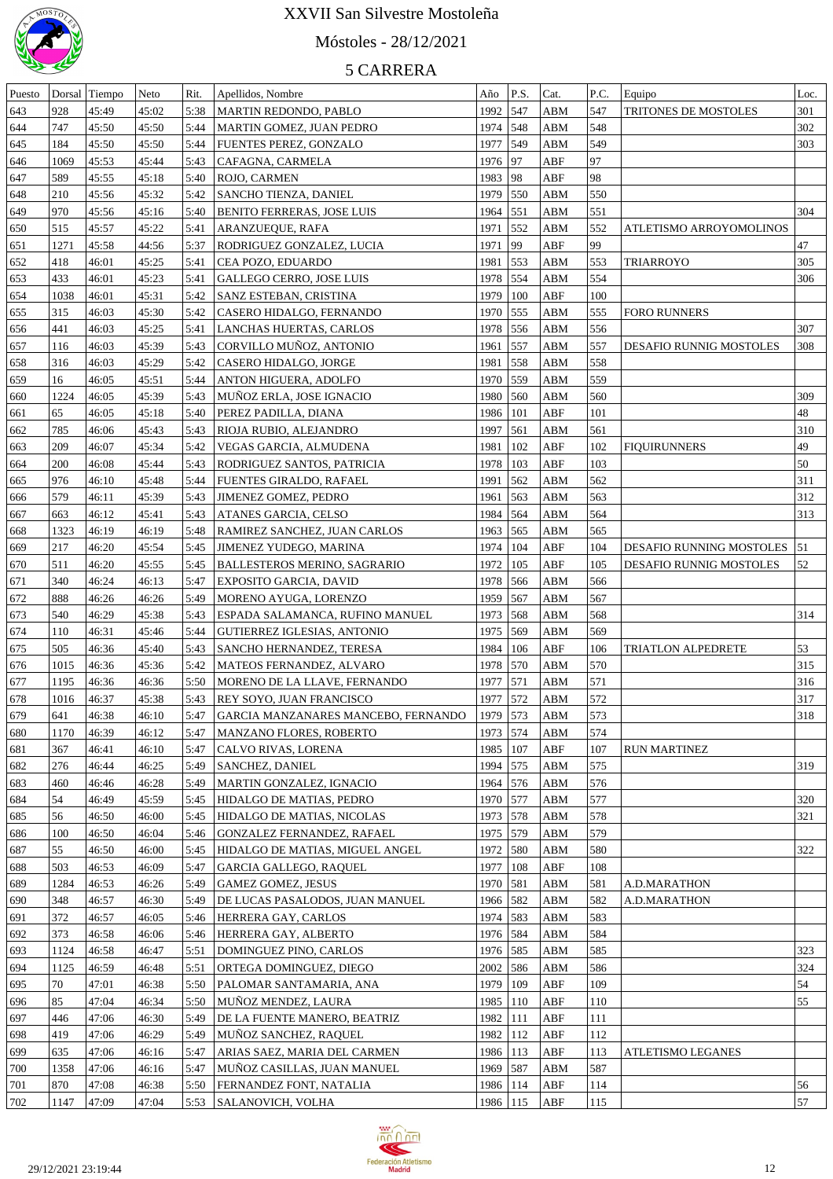

# Móstoles - 28/12/2021

| Puesto |      | Dorsal Tiempo | Neto  | Rit. | Apellidos, Nombre                   | Año        | P.S. | Cat.       | P.C. | Equipo                        | Loc. |
|--------|------|---------------|-------|------|-------------------------------------|------------|------|------------|------|-------------------------------|------|
| 643    | 928  | 45:49         | 45:02 | 5:38 | MARTIN REDONDO, PABLO               | 1992       | 547  | ABM        | 547  | <b>TRITONES DE MOSTOLES</b>   | 301  |
| 644    | 747  | 45:50         | 45:50 | 5:44 | MARTIN GOMEZ, JUAN PEDRO            | 1974 548   |      | ABM        | 548  |                               | 302  |
| 645    | 184  | 45:50         | 45:50 | 5:44 | FUENTES PEREZ, GONZALO              | 1977       | 549  | ABM        | 549  |                               | 303  |
| 646    | 1069 | 45:53         | 45:44 | 5:43 | CAFAGNA, CARMELA                    | 1976   97  |      | ABF        | 97   |                               |      |
| 647    | 589  | 45:55         | 45:18 | 5:40 | ROJO, CARMEN                        | 1983   98  |      | ABF        | 98   |                               |      |
| 648    | 210  | 45:56         | 45:32 | 5:42 | SANCHO TIENZA, DANIEL               | 1979       | 550  | ABM        | 550  |                               |      |
| 649    | 970  | 45:56         | 45:16 | 5:40 | BENITO FERRERAS, JOSE LUIS          | 1964       | 551  | ABM        | 551  |                               | 304  |
| 650    | 515  | 45:57         | 45:22 | 5:41 | ARANZUEQUE, RAFA                    | 1971       | 552  | ABM        | 552  | ATLETISMO ARROYOMOLINOS       |      |
| 651    | 1271 | 45:58         | 44:56 | 5:37 | RODRIGUEZ GONZALEZ, LUCIA           | 1971       | 99   | ABF        | 99   |                               | 47   |
|        | 418  |               |       |      | CEA POZO, EDUARDO                   | 1981       | 553  | ABM        | 553  | <b>TRIARROYO</b>              | 305  |
| 652    |      | 46:01         | 45:25 | 5:41 |                                     |            |      |            |      |                               |      |
| 653    | 433  | 46:01         | 45:23 | 5:41 | <b>GALLEGO CERRO, JOSE LUIS</b>     | 1978 554   |      | ABM        | 554  |                               | 306  |
| 654    | 1038 | 46:01         | 45:31 | 5:42 | SANZ ESTEBAN, CRISTINA              | 1979       | 100  | ABF        | 100  |                               |      |
| 655    | 315  | 46:03         | 45:30 | 5:42 | CASERO HIDALGO, FERNANDO            | 1970       | 555  | ABM        | 555  | <b>FORO RUNNERS</b>           |      |
| 656    | 441  | 46:03         | 45:25 | 5:41 | LANCHAS HUERTAS, CARLOS             | 1978 556   |      | ABM        | 556  |                               | 307  |
| 657    | 116  | 46:03         | 45:39 | 5:43 | CORVILLO MUÑOZ, ANTONIO             | 1961       | 557  | ABM        | 557  | DESAFIO RUNNIG MOSTOLES       | 308  |
| 658    | 316  | 46:03         | 45:29 | 5:42 | CASERO HIDALGO, JORGE               | 1981       | 558  | ABM        | 558  |                               |      |
| 659    | 16   | 46:05         | 45:51 | 5:44 | ANTON HIGUERA, ADOLFO               | 1970 559   |      | ABM        | 559  |                               |      |
| 660    | 1224 | 46:05         | 45:39 | 5:43 | MUÑOZ ERLA, JOSE IGNACIO            | 1980       | 560  | ABM        | 560  |                               | 309  |
| 661    | 65   | 46:05         | 45:18 | 5:40 | PEREZ PADILLA, DIANA                | 1986       | 101  | ABF        | 101  |                               | 48   |
| 662    | 785  | 46:06         | 45:43 | 5:43 | RIOJA RUBIO, ALEJANDRO              | 1997       | 561  | <b>ABM</b> | 561  |                               | 310  |
| 663    | 209  | 46:07         | 45:34 | 5:42 | VEGAS GARCIA, ALMUDENA              | 1981       | 102  | ABF        | 102  | <b>FIQUIRUNNERS</b>           | 49   |
| 664    | 200  | 46:08         | 45:44 | 5:43 | RODRIGUEZ SANTOS, PATRICIA          | 1978       | 103  | ABF        | 103  |                               | 50   |
| 665    | 976  | 46:10         | 45:48 | 5:44 | FUENTES GIRALDO, RAFAEL             | 1991       | 562  | ABM        | 562  |                               | 311  |
| 666    | 579  | 46:11         | 45:39 | 5:43 | JIMENEZ GOMEZ, PEDRO                | 1961       | 563  | ABM        | 563  |                               | 312  |
| 667    | 663  | 46:12         | 45:41 | 5:43 | ATANES GARCIA, CELSO                | 1984       | 564  | ABM        | 564  |                               | 313  |
| 668    | 1323 | 46:19         | 46:19 | 5:48 | <b>RAMIREZ SANCHEZ, JUAN CARLOS</b> | 1963   565 |      | ABM        | 565  |                               |      |
| 669    | 217  | 46:20         | 45:54 | 5:45 | <b>JIMENEZ YUDEGO, MARINA</b>       | 1974       | 104  | ABF        | 104  | DESAFIO RUNNING MOSTOLES   51 |      |
| 670    | 511  | 46:20         | 45:55 | 5:45 | <b>BALLESTEROS MERINO, SAGRARIO</b> | 1972       | 105  | ABF        | 105  | DESAFIO RUNNIG MOSTOLES       | 52   |
| 671    | 340  | 46:24         | 46:13 | 5:47 | EXPOSITO GARCIA, DAVID              | 1978       | 566  | ABM        | 566  |                               |      |
| 672    | 888  | 46:26         | 46:26 | 5:49 | MORENO AYUGA, LORENZO               | 1959       | 567  | ABM        | 567  |                               |      |
| 673    | 540  | 46:29         | 45:38 | 5:43 | ESPADA SALAMANCA, RUFINO MANUEL     | 1973 568   |      | ABM        | 568  |                               | 314  |
|        |      |               |       |      |                                     |            |      |            |      |                               |      |
| 674    | 110  | 46:31         | 45:46 | 5:44 | GUTIERREZ IGLESIAS, ANTONIO         | 1975 569   |      | ABM        | 569  |                               |      |
| 675    | 505  | 46:36         | 45:40 | 5:43 | SANCHO HERNANDEZ, TERESA            | 1984       | 106  | ABF        | 106  | TRIATLON ALPEDRETE            | 53   |
| 676    | 1015 | 46:36         | 45:36 | 5:42 | MATEOS FERNANDEZ, ALVARO            | 1978       | 570  | ABM        | 570  |                               | 315  |
| 677    | 1195 | 46:36         | 46:36 | 5:50 | MORENO DE LA LLAVE, FERNANDO        | 1977       | 571  | ABM        | 571  |                               | 316  |
| 678    | 1016 | 46:37         | 45:38 | 5:43 | <b>REY SOYO, JUAN FRANCISCO</b>     | 1977 572   |      | <b>ABM</b> | 572  |                               | 317  |
| 679    | 641  | 46:38         | 46:10 | 5:47 | GARCIA MANZANARES MANCEBO, FERNANDO | $1979$ 573 |      | <b>ABM</b> | 573  |                               | 318  |
| 680    | 1170 | 46:39         | 46:12 | 5:47 | MANZANO FLORES, ROBERTO             | 1973 574   |      | ABM        | 574  |                               |      |
| 681    | 367  | 46:41         | 46:10 | 5:47 | CALVO RIVAS, LORENA                 | 1985   107 |      | ABF        | 107  | <b>RUN MARTINEZ</b>           |      |
| 682    | 276  | 46:44         | 46:25 | 5:49 | <b>SANCHEZ, DANIEL</b>              | 1994 575   |      | ABM        | 575  |                               | 319  |
| 683    | 460  | 46:46         | 46:28 | 5:49 | MARTIN GONZALEZ, IGNACIO            | 1964 576   |      | ABM        | 576  |                               |      |
| 684    | 54   | 46:49         | 45:59 | 5:45 | HIDALGO DE MATIAS, PEDRO            | 1970 577   |      | ABM        | 577  |                               | 320  |
| 685    | 56   | 46:50         | 46:00 | 5:45 | HIDALGO DE MATIAS, NICOLAS          | 1973 578   |      | ABM        | 578  |                               | 321  |
| 686    | 100  | 46:50         | 46:04 | 5:46 | GONZALEZ FERNANDEZ, RAFAEL          | 1975 579   |      | ABM        | 579  |                               |      |
| 687    | 55   | 46:50         | 46:00 | 5:45 | HIDALGO DE MATIAS, MIGUEL ANGEL     | 1972 580   |      | ABM        | 580  |                               | 322  |
| 688    | 503  | 46:53         | 46:09 | 5:47 | <b>GARCIA GALLEGO, RAQUEL</b>       | 1977       | 108  | ABF        | 108  |                               |      |
| 689    | 1284 | 46:53         | 46:26 | 5:49 | <b>GAMEZ GOMEZ, JESUS</b>           | 1970 581   |      | ABM        | 581  | A.D.MARATHON                  |      |
| 690    | 348  | 46:57         | 46:30 | 5:49 | DE LUCAS PASALODOS, JUAN MANUEL     | 1966 582   |      | ABM        | 582  | A.D.MARATHON                  |      |
| 691    | 372  | 46:57         | 46:05 | 5:46 | HERRERA GAY, CARLOS                 | 1974 583   |      | ABM        | 583  |                               |      |
| 692    | 373  | 46:58         | 46:06 | 5:46 | HERRERA GAY, ALBERTO                | 1976 584   |      | ABM        | 584  |                               |      |
| 693    | 1124 | 46:58         | 46:47 | 5:51 | DOMINGUEZ PINO, CARLOS              | 1976 585   |      | ABM        | 585  |                               | 323  |
| 694    | 1125 | 46:59         | 46:48 | 5:51 | ORTEGA DOMINGUEZ, DIEGO             | 2002 586   |      | ABM        | 586  |                               | 324  |
|        | 70   | 47:01         | 46:38 |      |                                     | 1979       | 109  |            | 109  |                               | 54   |
| 695    |      |               |       | 5:50 | PALOMAR SANTAMARIA, ANA             |            |      | ABF        |      |                               |      |
| 696    | 85   | 47:04         | 46:34 | 5:50 | MUÑOZ MENDEZ, LAURA                 | 1985   110 |      | ABF        | 110  |                               | 55   |
| 697    | 446  | 47:06         | 46:30 | 5:49 | DE LA FUENTE MANERO, BEATRIZ        | 1982       | 111  | ABF        | 111  |                               |      |
| 698    | 419  | 47:06         | 46:29 | 5:49 | MUÑOZ SANCHEZ, RAQUEL               | 1982       | 112  | ABF        | 112  |                               |      |
| 699    | 635  | 47:06         | 46:16 | 5:47 | ARIAS SAEZ, MARIA DEL CARMEN        | 1986   113 |      | ABF        | 113  | ATLETISMO LEGANES             |      |
| 700    | 1358 | 47:06         | 46:16 | 5:47 | MUNOZ CASILLAS, JUAN MANUEL         | 1969 587   |      | ABM        | 587  |                               |      |
| 701    | 870  | 47:08         | 46:38 | 5:50 | <b>FERNANDEZ FONT, NATALIA</b>      | 1986       | 114  | ABF        | 114  |                               | 56   |
| 702    | 1147 | 47:09         | 47:04 | 5:53 | <b>SALANOVICH, VOLHA</b>            | 1986   115 |      | ABF        | 115  |                               | 57   |

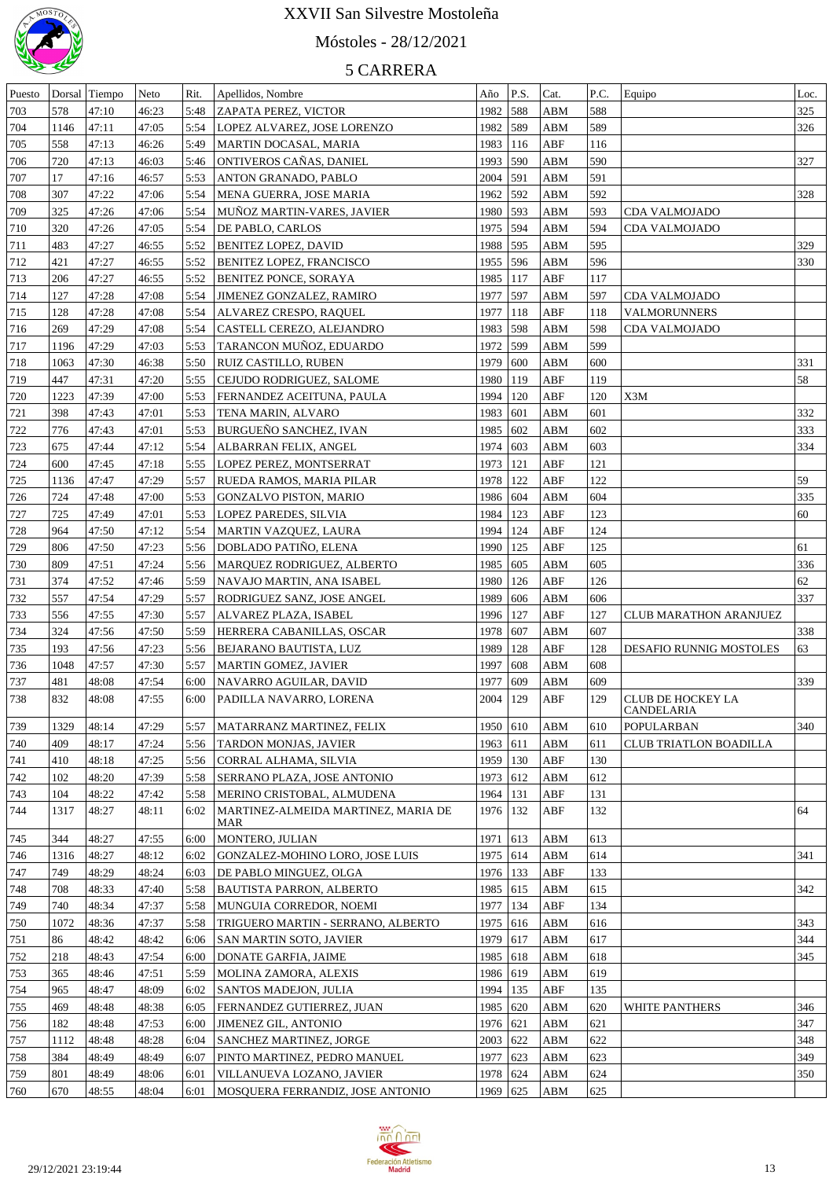

# Móstoles - 28/12/2021

| Puesto |      | Dorsal Tiempo | Neto  | Rit. | Apellidos, Nombre                          | Año        | P.S. | Cat.                    | P.C. | Equipo                          | Loc. |
|--------|------|---------------|-------|------|--------------------------------------------|------------|------|-------------------------|------|---------------------------------|------|
| 703    | 578  | 47:10         | 46:23 | 5:48 | <b>ZAPATA PEREZ, VICTOR</b>                | 1982 588   |      | ABM                     | 588  |                                 | 325  |
| 704    | 1146 | 47:11         | 47:05 | 5:54 | LOPEZ ALVAREZ, JOSE LORENZO                | 1982 589   |      | ABM                     | 589  |                                 | 326  |
| 705    | 558  | 47:13         | 46:26 | 5:49 | MARTIN DOCASAL, MARIA                      | 1983   116 |      | ABF                     | 116  |                                 |      |
| 706    | 720  | 47:13         | 46:03 | 5:46 | ONTIVEROS CAÑAS, DANIEL                    | 1993 590   |      | ABM                     | 590  |                                 | 327  |
| 707    | 17   | 47:16         | 46:57 | 5:53 | <b>ANTON GRANADO, PABLO</b>                | 2004 591   |      | ABM                     | 591  |                                 |      |
| 708    | 307  | 47:22         | 47:06 | 5:54 | MENA GUERRA, JOSE MARIA                    | 1962 592   |      | ABM                     | 592  |                                 | 328  |
|        |      |               |       |      |                                            |            |      |                         |      |                                 |      |
| 709    | 325  | 47:26         | 47:06 | 5:54 | MUNOZ MARTIN-VARES, JAVIER                 | 1980 593   |      | ABM                     | 593  | CDA VALMOJADO                   |      |
| 710    | 320  | 47:26         | 47:05 | 5:54 | DE PABLO, CARLOS                           | 1975 594   |      | ABM                     | 594  | CDA VALMOJADO                   |      |
| 711    | 483  | 47:27         | 46:55 | 5:52 | <b>BENITEZ LOPEZ, DAVID</b>                | 1988 595   |      | ABM                     | 595  |                                 | 329  |
| 712    | 421  | 47:27         | 46:55 | 5:52 | <b>BENITEZ LOPEZ, FRANCISCO</b>            | 1955 596   |      | ABM                     | 596  |                                 | 330  |
| 713    | 206  | 47:27         | 46:55 | 5:52 | <b>BENITEZ PONCE, SORAYA</b>               | 1985   117 |      | ABF                     | 117  |                                 |      |
| 714    | 127  | 47:28         | 47:08 | 5:54 | JIMENEZ GONZALEZ, RAMIRO                   | 1977 597   |      | ABM                     | 597  | CDA VALMOJADO                   |      |
| 715    | 128  | 47:28         | 47:08 | 5:54 | ALVAREZ CRESPO, RAQUEL                     | 1977   118 |      | ABF                     | 118  | <b>VALMORUNNERS</b>             |      |
| 716    | 269  | 47:29         | 47:08 | 5:54 | CASTELL CEREZO, ALEJANDRO                  | 1983 598   |      | ABM                     | 598  | CDA VALMOJADO                   |      |
| 717    | 1196 | 47:29         | 47:03 | 5:53 | TARANCON MUNOZ, EDUARDO                    | 1972 599   |      | ABM                     | 599  |                                 |      |
| 718    | 1063 | 47:30         | 46:38 | 5:50 | RUIZ CASTILLO, RUBEN                       | 1979       | 600  | ABM                     | 600  |                                 | 331  |
| 719    | 447  | 47:31         | 47:20 | 5:55 | CEJUDO RODRIGUEZ, SALOME                   | 1980   119 |      | ABF                     | 119  |                                 | 58   |
| 720    | 1223 | 47:39         | 47:00 | 5:53 | FERNANDEZ ACEITUNA, PAULA                  | 1994 120   |      | ABF                     | 120  | X3M                             |      |
| 721    | 398  | 47:43         | 47:01 | 5:53 | TENA MARIN, ALVARO                         | 1983 601   |      | ABM                     | 601  |                                 | 332  |
| 722    | 776  | 47:43         | 47:01 | 5:53 | BURGUEÑO SANCHEZ, IVAN                     | 1985 602   |      | ABM                     | 602  |                                 | 333  |
| 723    | 675  | 47:44         | 47:12 | 5:54 | ALBARRAN FELIX, ANGEL                      | 1974 603   |      | ABM                     | 603  |                                 | 334  |
| 724    | 600  | 47:45         | 47:18 | 5:55 | LOPEZ PEREZ, MONTSERRAT                    | 1973   121 |      | ABF                     | 121  |                                 |      |
| 725    | 1136 | 47:47         | 47:29 | 5:57 | RUEDA RAMOS, MARIA PILAR                   | 1978   122 |      | ABF                     | 122  |                                 | 59   |
| 726    | 724  | 47:48         | 47:00 | 5:53 | <b>GONZALVO PISTON, MARIO</b>              | 1986 604   |      | ABM                     | 604  |                                 | 335  |
| 727    | 725  | 47:49         | 47:01 | 5:53 | LOPEZ PAREDES, SILVIA                      | 1984   123 |      | ABF                     | 123  |                                 | 60   |
| 728    | 964  | 47:50         | 47:12 | 5:54 | MARTIN VAZQUEZ, LAURA                      | 1994   124 |      | ABF                     | 124  |                                 |      |
|        | 806  | 47:50         |       |      | DOBLADO PATIÑO, ELENA                      | 1990   125 |      |                         | 125  |                                 | 61   |
| 729    |      |               | 47:23 | 5:56 |                                            |            |      | ABF                     |      |                                 |      |
| 730    | 809  | 47:51         | 47:24 | 5:56 | MARQUEZ RODRIGUEZ, ALBERTO                 | 1985 605   |      | ABM                     | 605  |                                 | 336  |
| 731    | 374  | 47:52         | 47:46 | 5:59 | NAVAJO MARTIN, ANA ISABEL                  | 1980   126 |      | ABF                     | 126  |                                 | 62   |
| 732    | 557  | 47:54         | 47:29 | 5:57 | RODRIGUEZ SANZ, JOSE ANGEL                 | 1989       | 606  | ABM                     | 606  |                                 | 337  |
| 733    | 556  | 47:55         | 47:30 | 5:57 | ALVAREZ PLAZA, ISABEL                      | 1996   127 |      | ABF                     | 127  | <b>CLUB MARATHON ARANJUEZ</b>   |      |
| 734    | 324  | 47:56         | 47:50 | 5:59 | HERRERA CABANILLAS, OSCAR                  | 1978 607   |      | ABM                     | 607  |                                 | 338  |
| 735    | 193  | 47:56         | 47:23 | 5:56 | BEJARANO BAUTISTA, LUZ                     | 1989   128 |      | ABF                     | 128  | DESAFIO RUNNIG MOSTOLES         | 63   |
| 736    | 1048 | 47:57         | 47:30 | 5:57 | MARTIN GOMEZ, JAVIER                       | 1997       | 608  | ABM                     | 608  |                                 |      |
| 737    | 481  | 48:08         | 47:54 | 6:00 | NAVARRO AGUILAR, DAVID                     | 1977       | 609  | ABM                     | 609  |                                 | 339  |
| 738    | 832  | 48:08         | 47:55 | 6:00 | PADILLA NAVARRO, LORENA                    | 2004       | 129  | ABF                     | 129  | CLUB DE HOCKEY LA<br>CANDELARIA |      |
| 739    | 1329 | 48:14         | 47:29 | 5:57 | MATARRANZ MARTINEZ, FELIX                  | 1950       | 610  | ABM                     | 610  | <b>POPULARBAN</b>               | 340  |
| 740    | 409  | 48:17         | 47:24 | 5:56 | TARDON MONJAS, JAVIER                      | 1963 611   |      | ABM                     | 611  | <b>CLUB TRIATLON BOADILLA</b>   |      |
| 741    | 410  | 48:18         | 47:25 | 5:56 | CORRAL ALHAMA, SILVIA                      | 1959       | 130  | ${\sf ABF}$             | 130  |                                 |      |
| 742    | 102  | 48:20         | 47:39 | 5:58 | <b>SERRANO PLAZA, JOSE ANTONIO</b>         | 1973       | 612  | ABM                     | 612  |                                 |      |
| 743    | 104  | 48:22         | 47:42 | 5:58 | MERINO CRISTOBAL, ALMUDENA                 | 1964       | 131  | ABF                     | 131  |                                 |      |
| 744    | 1317 | 48:27         | 48:11 | 6:02 | MARTINEZ-ALMEIDA MARTINEZ, MARIA DE<br>MAR | 1976   132 |      | ABF                     | 132  |                                 | 64   |
| 745    | 344  | 48:27         | 47:55 | 6:00 | MONTERO, JULIAN                            | 1971 613   |      | ABM                     | 613  |                                 |      |
| 746    | 1316 | 48:27         | 48:12 | 6:02 | GONZALEZ-MOHINO LORO, JOSE LUIS            | 1975 614   |      | ABM                     | 614  |                                 | 341  |
| 747    | 749  | 48:29         | 48:24 | 6:03 | DE PABLO MINGUEZ, OLGA                     | 1976   133 |      | ABF                     | 133  |                                 |      |
| 748    | 708  | 48:33         | 47:40 | 5:58 | <b>BAUTISTA PARRON, ALBERTO</b>            | 1985 615   |      | ${\bf A}{\bf B}{\bf M}$ | 615  |                                 | 342  |
| 749    | 740  | 48:34         | 47:37 | 5:58 | MUNGUIA CORREDOR, NOEMI                    | 1977   134 |      | ABF                     | 134  |                                 |      |
| 750    | 1072 | 48:36         | 47:37 | 5:58 | TRIGUERO MARTIN - SERRANO, ALBERTO         | 1975 616   |      | ABM                     | 616  |                                 | 343  |
|        |      |               |       |      |                                            |            |      |                         |      |                                 | 344  |
| 751    | 86   | 48:42         | 48:42 |      | 6:06 SAN MARTIN SOTO, JAVIER               | 1979 617   |      | ${\bf ABM}$             | 617  |                                 |      |
| 752    | 218  | 48:43         | 47:54 | 6:00 | DONATE GARFIA, JAIME                       | 1985 618   |      | ABM                     | 618  |                                 | 345  |
| 753    | 365  | 48:46         | 47:51 | 5:59 | MOLINA ZAMORA, ALEXIS                      | 1986 619   |      | ABM                     | 619  |                                 |      |
| 754    | 965  | 48:47         | 48:09 | 6:02 | <b>SANTOS MADEJON, JULIA</b>               | 1994   135 |      | ABF                     | 135  |                                 |      |
| 755    | 469  | 48:48         | 48:38 | 6:05 | <b>FERNANDEZ GUTIERREZ, JUAN</b>           | 1985 620   |      | ABM                     | 620  | WHITE PANTHERS                  | 346  |
| 756    | 182  | 48:48         | 47:53 | 6:00 | <b>JIMENEZ GIL, ANTONIO</b>                | 1976 621   |      | ABM                     | 621  |                                 | 347  |
| 757    | 1112 | 48:48         | 48:28 | 6:04 | <b>SANCHEZ MARTINEZ, JORGE</b>             | 2003   622 |      | ABM                     | 622  |                                 | 348  |
| 758    | 384  | 48:49         | 48:49 | 6:07 | PINTO MARTINEZ, PEDRO MANUEL               | 1977 623   |      | ABM                     | 623  |                                 | 349  |
| 759    | 801  | 48:49         | 48:06 | 6:01 | VILLANUEVA LOZANO, JAVIER                  | 1978 624   |      | ABM                     | 624  |                                 | 350  |
| 760    | 670  | 48:55         | 48:04 |      | 6:01   MOSQUERA FERRANDIZ, JOSE ANTONIO    | 1969 625   |      | ABM                     | 625  |                                 |      |

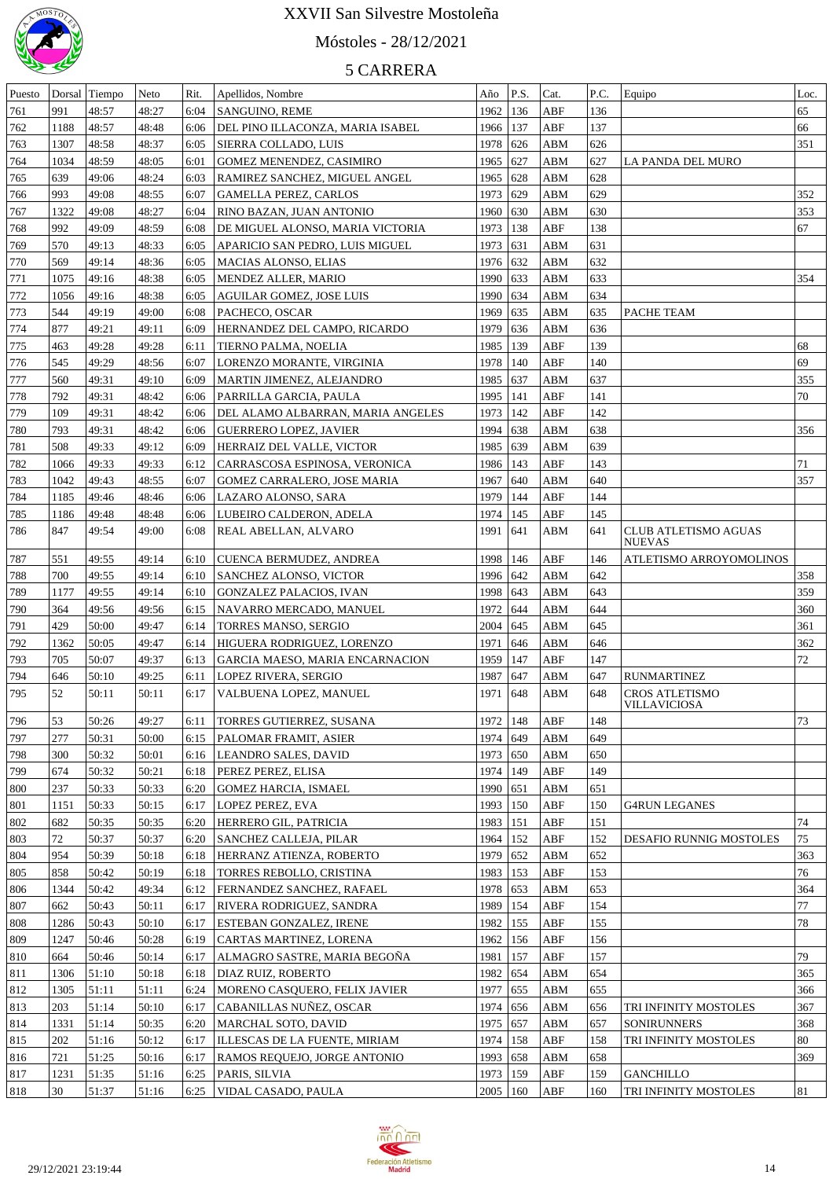

# Móstoles - 28/12/2021

| Puesto |      | Dorsal Tiempo | Neto  | Rit. | Apellidos, Nombre                    | Año             | P.S.          | Cat.        | P.C. | Equipo                                | Loc.      |
|--------|------|---------------|-------|------|--------------------------------------|-----------------|---------------|-------------|------|---------------------------------------|-----------|
| 761    | 991  | 48:57         | 48:27 | 6:04 | <b>SANGUINO, REME</b>                | 1962            | 136           | ABF         | 136  |                                       | 65        |
| 762    | 1188 | 48:57         | 48:48 | 6:06 | DEL PINO ILLACONZA, MARIA ISABEL     | 1966            | 137           | ABF         | 137  |                                       | 66        |
| 763    | 1307 | 48:58         | 48:37 | 6:05 | SIERRA COLLADO, LUIS                 | 1978            | 626           | ABM         | 626  |                                       | 351       |
| 764    | 1034 | 48:59         | 48:05 | 6:01 | GOMEZ MENENDEZ, CASIMIRO             | 1965            | 627           | ABM         | 627  | LA PANDA DEL MURO                     |           |
| 765    | 639  | 49:06         | 48:24 | 6:03 | RAMIREZ SANCHEZ, MIGUEL ANGEL        | 1965            | 628           | ABM         | 628  |                                       |           |
| 766    | 993  | 49:08         | 48:55 | 6:07 | <b>GAMELLA PEREZ, CARLOS</b>         | 1973            | 629           | ABM         | 629  |                                       | 352       |
| 767    | 1322 | 49:08         | 48:27 | 6:04 | RINO BAZAN, JUAN ANTONIO             | 1960            | 630           | ABM         | 630  |                                       | 353       |
|        | 992  | 49:09         | 48:59 |      |                                      | 1973            | 138           | ABF         | 138  |                                       | 67        |
| 768    |      |               |       | 6:08 | DE MIGUEL ALONSO, MARIA VICTORIA     |                 |               |             |      |                                       |           |
| 769    | 570  | 49:13         | 48:33 | 6:05 | APARICIO SAN PEDRO, LUIS MIGUEL      | 1973            | 631           | ABM         | 631  |                                       |           |
| 770    | 569  | 49:14         | 48:36 | 6:05 | MACIAS ALONSO, ELIAS                 | 1976            | 632           | ABM         | 632  |                                       |           |
| 771    | 1075 | 49:16         | 48:38 | 6:05 | MENDEZ ALLER, MARIO                  | 1990            | 633           | <b>ABM</b>  | 633  |                                       | 354       |
| 772    | 1056 | 49:16         | 48:38 | 6:05 | <b>AGUILAR GOMEZ, JOSE LUIS</b>      | 1990            | 634           | ABM         | 634  |                                       |           |
| 773    | 544  | 49:19         | 49:00 | 6:08 | PACHECO, OSCAR                       | 1969            | 635           | ABM         | 635  | PACHE TEAM                            |           |
| 774    | 877  | 49:21         | 49:11 | 6:09 | HERNANDEZ DEL CAMPO, RICARDO         | 1979            | 636           | ABM         | 636  |                                       |           |
| 775    | 463  | 49:28         | 49:28 | 6:11 | TIERNO PALMA, NOELIA                 | 1985            | 139           | ABF         | 139  |                                       | 68        |
| 776    | 545  | 49:29         | 48:56 | 6:07 | LORENZO MORANTE, VIRGINIA            | 1978            | 140           | ABF         | 140  |                                       | 69        |
| 777    | 560  | 49:31         | 49:10 | 6:09 | MARTIN JIMENEZ, ALEJANDRO            | 1985            | 637           | ABM         | 637  |                                       | 355       |
| 778    | 792  | 49:31         | 48:42 | 6:06 | PARRILLA GARCIA, PAULA               | 1995            | 141           | ABF         | 141  |                                       | 70        |
| 779    | 109  | 49:31         | 48:42 | 6:06 | DEL ALAMO ALBARRAN, MARIA ANGELES    | 1973            | 142           | ABF         | 142  |                                       |           |
| 780    | 793  | 49:31         | 48:42 | 6:06 | GUERRERO LOPEZ, JAVIER               | 1994            | 638           | ABM         | 638  |                                       | 356       |
| 781    | 508  | 49:33         | 49:12 | 6:09 | HERRAIZ DEL VALLE, VICTOR            | 1985            | 639           | ABM         | 639  |                                       |           |
| 782    | 1066 | 49:33         | 49:33 | 6:12 | CARRASCOSA ESPINOSA, VERONICA        | 1986            | 143           | ABF         | 143  |                                       | 71        |
| 783    | 1042 | 49:43         | 48:55 | 6:07 | <b>GOMEZ CARRALERO, JOSE MARIA</b>   | 1967            | 640           | ABM         | 640  |                                       | 357       |
| 784    | 1185 | 49:46         | 48:46 | 6:06 | LAZARO ALONSO, SARA                  | 1979            | 144           | ABF         | 144  |                                       |           |
| 785    | 1186 | 49:48         | 48:48 | 6:06 | LUBEIRO CALDERON, ADELA              | 1974            | 145           | ABF         | 145  |                                       |           |
|        | 847  | 49:54         | 49:00 |      |                                      |                 |               | <b>ABM</b>  |      |                                       |           |
| 786    |      |               |       | 6:08 | REAL ABELLAN, ALVARO                 | 1991            | 641           |             | 641  | CLUB ATLETISMO AGUAS<br>NUEVAS        |           |
| 787    | 551  | 49:55         | 49:14 | 6:10 | CUENCA BERMUDEZ, ANDREA              | 1998            | 146           | ABF         | 146  | ATLETISMO ARROYOMOLINOS               |           |
| 788    | 700  | 49:55         | 49:14 | 6:10 | <b>SANCHEZ ALONSO, VICTOR</b>        | 1996 642        |               | ABM         | 642  |                                       | 358       |
| 789    | 1177 | 49:55         | 49:14 | 6:10 | GONZALEZ PALACIOS, IVAN              | 1998            | $ 643\rangle$ | ABM         | 643  |                                       | 359       |
| 790    | 364  | 49:56         | 49:56 | 6:15 | NAVARRO MERCADO, MANUEL              | 1972            | 644           | ABM         | 644  |                                       | 360       |
| 791    | 429  | 50:00         | 49:47 | 6:14 | <b>TORRES MANSO, SERGIO</b>          | 2004   645      |               | ABM         | 645  |                                       | 361       |
|        | 1362 | 50:05         |       | 6:14 |                                      | 1971            | 646           | ABM         | 646  |                                       |           |
| 792    | 705  | 50:07         | 49:47 |      | HIGUERA RODRIGUEZ, LORENZO           |                 |               | ${\rm ABF}$ |      |                                       | 362<br>72 |
| 793    |      |               | 49:37 | 6:13 | GARCIA MAESO, MARIA ENCARNACION      | 1959            | 147           |             | 147  |                                       |           |
| 794    | 646  | 50:10         | 49:25 | 6:11 | <b>LOPEZ RIVERA, SERGIO</b>          | 1987            | 647           | ABM         | 647  | <b>RUNMARTINEZ</b>                    |           |
| 795    | 52   | 50:11         | 50:11 |      | 6:17 VALBUENA LOPEZ, MANUEL          | 1971            | 648           | ABM         | 648  | <b>CROS ATLETISMO</b><br>VILLAVICIOSA |           |
| 796    | 53   | 50:26         | 49:27 | 6:11 | <b>TORRES GUTIERREZ, SUSANA</b>      | 1972   148      |               | ABF         | 148  |                                       | 73        |
| 797    | 277  | 50:31         | 50:00 | 6:15 | <b>PALOMAR FRAMIT, ASIER</b>         | 1974 649        |               | ABM         | 649  |                                       |           |
|        | 300  | 50:32         | 50:01 |      |                                      | 1973 650        |               | ABM         | 650  |                                       |           |
| 798    |      |               |       |      | 6:16   LEANDRO SALES, DAVID          |                 |               |             |      |                                       |           |
| 799    | 674  | 50:32         | 50:21 | 6:18 | PEREZ PEREZ, ELISA                   | 1974   149      |               | ${\sf ABF}$ | 149  |                                       |           |
| 800    | 237  | 50:33         | 50:33 | 6:20 | GOMEZ HARCIA, ISMAEL                 | 1990            | 651           | ABM         | 651  |                                       |           |
| 801    | 1151 | 50:33         | 50:15 | 6:17 | <b>LOPEZ PEREZ, EVA</b>              | 1993   150      |               | ${\sf ABF}$ | 150  | <b>G4RUN LEGANES</b>                  |           |
| 802    | 682  | 50:35         | 50:35 | 6:20 | HERRERO GIL, PATRICIA                | 1983 151        |               | ${\sf ABF}$ | 151  |                                       | 74        |
| 803    | 72   | 50:37         | 50:37 | 6:20 | SANCHEZ CALLEJA, PILAR               | 1964   152      |               | ${\sf ABF}$ | 152  | DESAFIO RUNNIG MOSTOLES               | 75        |
| 804    | 954  | 50:39         | 50:18 | 6:18 | HERRANZ ATIENZA, ROBERTO             | 1979 652        |               | ${\bf ABM}$ | 652  |                                       | 363       |
| 805    | 858  | 50:42         | 50:19 | 6:18 | <b>TORRES REBOLLO, CRISTINA</b>      | 1983   153      |               | ABF         | 153  |                                       | 76        |
| 806    | 1344 | 50:42         | 49:34 | 6:12 | <b>FERNANDEZ SANCHEZ, RAFAEL</b>     | 1978 653        |               | ABM         | 653  |                                       | 364       |
| 807    | 662  | 50:43         | 50:11 | 6:17 | <b>RIVERA RODRIGUEZ, SANDRA</b>      | 1989   154      |               | ${\sf ABF}$ | 154  |                                       | 77        |
| 808    | 1286 | 50:43         | 50:10 | 6:17 | <b>ESTEBAN GONZALEZ, IRENE</b>       | 1982   155      |               | ABF         | 155  |                                       | 78        |
| 809    | 1247 | 50:46         | 50:28 | 6:19 | CARTAS MARTINEZ, LORENA              | 1962   156      |               | ${\sf ABF}$ | 156  |                                       |           |
| 810    | 664  | 50:46         | 50:14 | 6:17 | ALMAGRO SASTRE, MARIA BEGOÑA         | 1981            | 157           | ABF         | 157  |                                       | 79        |
| 811    | 1306 | 51:10         | 50:18 | 6:18 | <b>DIAZ RUIZ, ROBERTO</b>            | 1982 654        |               | ABM         | 654  |                                       | 365       |
| 812    | 1305 | 51:11         | 51:11 | 6:24 | MORENO CASQUERO, FELIX JAVIER        | 1977            | 655           | ${\bf ABM}$ | 655  |                                       | 366       |
| 813    | 203  | 51:14         | 50:10 | 6:17 | CABANILLAS NUÑEZ, OSCAR              | 1974 656        |               | ABM         | 656  | TRI INFINITY MOSTOLES                 | 367       |
| 814    | 1331 | 51:14         | 50:35 | 6:20 | MARCHAL SOTO, DAVID                  | 1975 657        |               | ABM         | 657  | SONIRUNNERS                           | 368       |
| 815    | 202  | 51:16         | 50:12 | 6:17 | <b>ILLESCAS DE LA FUENTE, MIRIAM</b> | 1974   158      |               | ${\sf ABF}$ | 158  | TRI INFINITY MOSTOLES                 | 80        |
|        | 721  | 51:25         |       |      | RAMOS REQUEJO, JORGE ANTONIO         | 1993 658        |               | ABM         | 658  |                                       | 369       |
| 816    |      |               | 50:16 | 6:17 |                                      |                 |               |             |      |                                       |           |
| 817    | 1231 | 51:35         | 51:16 | 6:25 | PARIS, SILVIA                        | 1973   159      |               | ABF         | 159  | <b>GANCHILLO</b>                      |           |
| 818    | 30   | 51:37         | 51:16 |      | 6:25   VIDAL CASADO, PAULA           | $2005 \mid 160$ |               | <b>ABF</b>  | 160  | TRI INFINITY MOSTOLES                 | 81        |

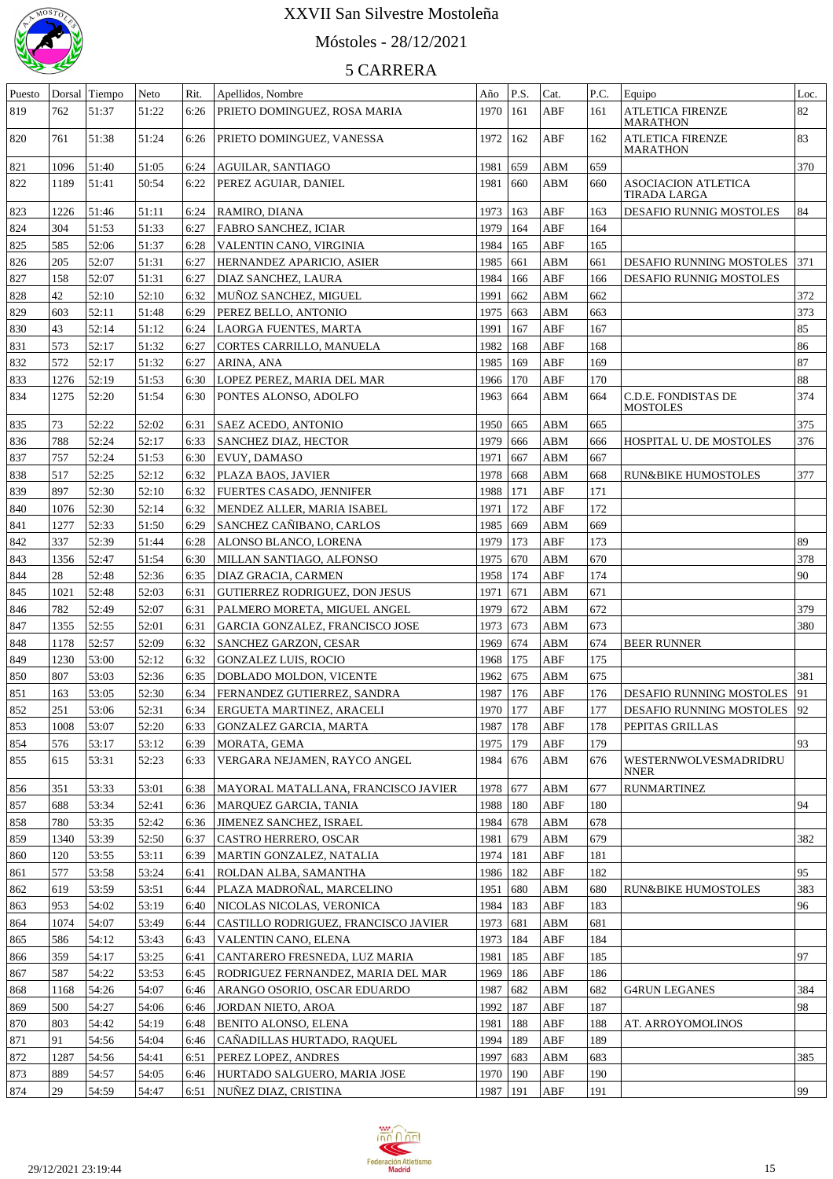

# Móstoles - 28/12/2021

| Puesto |      | Dorsal Tiempo | Neto  | Rit. | Apellidos, Nombre                          | Año        | P.S.          | Cat. | P.C. | Equipo                                     | Loc. |
|--------|------|---------------|-------|------|--------------------------------------------|------------|---------------|------|------|--------------------------------------------|------|
| 819    | 762  | 51:37         | 51:22 | 6:26 | PRIETO DOMINGUEZ, ROSA MARIA               | 1970       | 161           | ABF  | 161  | <b>ATLETICA FIRENZE</b><br><b>MARATHON</b> | 82   |
| 820    | 761  | 51:38         | 51:24 | 6:26 | PRIETO DOMINGUEZ, VANESSA                  | 1972       | 162           | ABF  | 162  | <b>ATLETICA FIRENZE</b><br><b>MARATHON</b> | 83   |
| 821    | 1096 | 51:40         | 51:05 | 6:24 | AGUILAR, SANTIAGO                          | 1981       | 659           | ABM  | 659  |                                            | 370  |
| 822    | 1189 | 51:41         | 50:54 | 6:22 | PEREZ AGUIAR, DANIEL                       | 1981       | 660           | ABM  | 660  | <b>ASOCIACION ATLETICA</b><br>TIRADA LARGA |      |
| 823    | 1226 | 51:46         | 51:11 | 6:24 | RAMIRO, DIANA                              | 1973       | 163           | ABF  | 163  | DESAFIO RUNNIG MOSTOLES                    | 84   |
| 824    | 304  | 51:53         | 51:33 | 6:27 | FABRO SANCHEZ, ICIAR                       | 1979       | 164           | ABF  | 164  |                                            |      |
| 825    | 585  | 52:06         | 51:37 | 6:28 | VALENTIN CANO, VIRGINIA                    | 1984       | 165           | ABF  | 165  |                                            |      |
|        |      |               |       |      |                                            |            |               |      |      |                                            |      |
| 826    | 205  | 52:07         | 51:31 | 6:27 | HERNANDEZ APARICIO, ASIER                  | 1985       | 661           | ABM  | 661  | <b>DESAFIO RUNNING MOSTOLES</b>            | 371  |
| 827    | 158  | 52:07         | 51:31 | 6:27 | DIAZ SANCHEZ, LAURA                        | 1984       | 166           | ABF  | 166  | DESAFIO RUNNIG MOSTOLES                    |      |
| 828    | 42   | 52:10         | 52:10 | 6:32 | MUÑOZ SANCHEZ, MIGUEL                      | 1991       | 662           | ABM  | 662  |                                            | 372  |
| 829    | 603  | 52:11         | 51:48 | 6:29 | PEREZ BELLO, ANTONIO                       | 1975       | 663           | ABM  | 663  |                                            | 373  |
| 830    | 43   | 52:14         | 51:12 | 6:24 | LAORGA FUENTES, MARTA                      | 1991       | 167           | ABF  | 167  |                                            | 85   |
| 831    | 573  | 52:17         | 51:32 | 6:27 | CORTES CARRILLO, MANUELA                   | 1982       | 168           | ABF  | 168  |                                            | 86   |
| 832    | 572  | 52:17         | 51:32 | 6:27 | ARINA, ANA                                 | 1985       | 169           | ABF  | 169  |                                            | 87   |
| 833    | 1276 | 52:19         | 51:53 | 6:30 | LOPEZ PEREZ, MARIA DEL MAR                 | 1966       | 170           | ABF  | 170  |                                            | 88   |
| 834    | 1275 | 52:20         | 51:54 | 6:30 | PONTES ALONSO, ADOLFO                      | 1963       | 664           | ABM  | 664  | C.D.E. FONDISTAS DE<br><b>MOSTOLES</b>     | 374  |
| 835    | 73   | 52:22         | 52:02 | 6:31 | SAEZ ACEDO, ANTONIO                        | 1950       | 665           | ABM  | 665  |                                            | 375  |
| 836    | 788  | 52:24         | 52:17 | 6:33 | SANCHEZ DIAZ, HECTOR                       | 1979       | 666           | ABM  | 666  | HOSPITAL U. DE MOSTOLES                    | 376  |
| 837    | 757  | 52:24         | 51:53 | 6:30 | EVUY, DAMASO                               | 1971       | 667           | ABM  | 667  |                                            |      |
| 838    | 517  | 52:25         | 52:12 | 6:32 | PLAZA BAOS, JAVIER                         | 1978       | 668           | ABM  | 668  | <b>RUN&amp;BIKE HUMOSTOLES</b>             | 377  |
|        | 897  |               |       |      |                                            |            |               |      |      |                                            |      |
| 839    |      | 52:30         | 52:10 | 6:32 | FUERTES CASADO, JENNIFER                   | 1988       | 171           | ABF  | 171  |                                            |      |
| 840    | 1076 | 52:30         | 52:14 | 6:32 | MENDEZ ALLER, MARIA ISABEL                 | 1971       | 172           | ABF  | 172  |                                            |      |
| 841    | 1277 | 52:33         | 51:50 | 6:29 | SANCHEZ CAÑIBANO, CARLOS                   | 1985       | 669           | ABM  | 669  |                                            |      |
| 842    | 337  | 52:39         | 51:44 | 6:28 | ALONSO BLANCO, LORENA                      | 1979       | 173           | ABF  | 173  |                                            | 89   |
| 843    | 1356 | 52:47         | 51:54 | 6:30 | MILLAN SANTIAGO, ALFONSO                   | 1975       | 670           | ABM  | 670  |                                            | 378  |
| 844    | 28   | 52:48         | 52:36 | 6:35 | DIAZ GRACIA, CARMEN                        | 1958       | 174           | ABF  | 174  |                                            | 90   |
| 845    | 1021 | 52:48         | 52:03 | 6:31 | GUTIERREZ RODRIGUEZ, DON JESUS             | 1971       | 671           | ABM  | 671  |                                            |      |
| 846    | 782  | 52:49         | 52:07 | 6:31 | PALMERO MORETA, MIGUEL ANGEL               | 1979       | 672           | ABM  | 672  |                                            | 379  |
| 847    | 1355 | 52:55         | 52:01 | 6:31 | GARCIA GONZALEZ, FRANCISCO JOSE            | 1973       | 673           | ABM  | 673  |                                            | 380  |
| 848    | 1178 | 52:57         | 52:09 | 6:32 | SANCHEZ GARZON, CESAR                      | 1969       | 674           | ABM  | 674  | <b>BEER RUNNER</b>                         |      |
| 849    | 1230 | 53:00         | 52:12 | 6:32 | GONZALEZ LUIS, ROCIO                       | 1968       | 175           | ABF  | 175  |                                            |      |
| 850    | 807  | 53:03         | 52:36 | 6:35 | DOBLADO MOLDON, VICENTE                    | 1962       | 675           | ABM  | 675  |                                            | 381  |
| 851    | 163  | 53:05         | 52:30 |      | 6:34   FERNANDEZ GUTIERREZ, SANDRA         | 1987       | 176           | ABF  | 176  | DESAFIO RUNNING MOSTOLES                   | 91   |
| 852    | 251  | 53:06         | 52:31 |      | 6:34 ERGUETA MARTINEZ, ARACELI             | 1970 177   |               | ABF  | 177  | DESAFIO RUNNING MOSTOLES 92                |      |
| 853    | 1008 | 53:07         | 52:20 | 6:33 | GONZALEZ GARCIA, MARTA                     | 1987   178 |               | ABF  | 178  | PEPITAS GRILLAS                            |      |
|        |      | 53:17         |       |      |                                            |            |               | ABF  | 179  |                                            | 93   |
| 854    | 576  |               | 53:12 | 6:39 | MORATA, GEMA                               | 1975   179 |               |      |      |                                            |      |
| 855    | 615  | 53:31         | 52:23 |      | 6:33   VERGARA NEJAMEN, RAYCO ANGEL        | 1984   676 |               | ABM  | 676  | WESTERNWOLVESMADRIDRU<br><b>NNER</b>       |      |
| 856    | 351  | 53:33         | 53:01 |      | 6:38   MAYORAL MATALLANA, FRANCISCO JAVIER | 1978   677 |               | ABM  | 677  | <b>RUNMARTINEZ</b>                         |      |
| 857    | 688  | 53:34         | 52:41 | 6:36 | MARQUEZ GARCIA, TANIA                      | 1988   180 |               | ABF  | 180  |                                            | 94   |
| 858    | 780  | 53:35         | 52:42 |      | 6:36 JIMENEZ SANCHEZ, ISRAEL               | 1984   678 |               | ABM  | 678  |                                            |      |
| 859    | 1340 | 53:39         | 52:50 | 6:37 | CASTRO HERRERO, OSCAR                      | 1981       | 679           | ABM  | 679  |                                            | 382  |
| 860    | 120  | 53:55         | 53:11 | 6:39 | MARTIN GONZALEZ, NATALIA                   | 1974   181 |               | ABF  | 181  |                                            |      |
| 861    | 577  | 53:58         | 53:24 | 6:41 | ROLDAN ALBA, SAMANTHA                      | 1986   182 |               | ABF  | 182  |                                            | 95   |
| 862    | 619  | 53:59         | 53:51 | 6:44 | PLAZA MADROÑAL, MARCELINO                  | 1951       | $ 680\rangle$ | ABM  | 680  | RUN&BIKE HUMOSTOLES                        | 383  |
| 863    | 953  | 54:02         | 53:19 | 6:40 | NICOLAS NICOLAS, VERONICA                  | 1984   183 |               | ABF  | 183  |                                            | 96   |
| 864    | 1074 | 54:07         | 53:49 | 6:44 | CASTILLO RODRIGUEZ, FRANCISCO JAVIER       | 1973 681   |               | ABM  | 681  |                                            |      |
| 865    | 586  | 54:12         | 53:43 | 6:43 | VALENTIN CANO, ELENA                       | 1973   184 |               | ABF  | 184  |                                            |      |
| 866    | 359  | 54:17         | 53:25 | 6:41 | CANTARERO FRESNEDA, LUZ MARIA              | 1981       | 185           | ABF  | 185  |                                            | 97   |
| 867    | 587  | 54:22         | 53:53 | 6:45 | RODRIGUEZ FERNANDEZ, MARIA DEL MAR         | 1969   186 |               | ABF  | 186  |                                            |      |
| 868    | 1168 | 54:26         | 54:07 | 6:46 | ARANGO OSORIO, OSCAR EDUARDO               | 1987   682 |               | ABM  | 682  | <b>G4RUN LEGANES</b>                       | 384  |
| 869    | 500  | 54:27         | 54:06 | 6:46 | JORDAN NIETO, AROA                         | 1992   187 |               | ABF  | 187  |                                            | 98   |
|        | 803  |               |       |      |                                            |            |               |      | 188  |                                            |      |
| 870    |      | 54:42         | 54:19 | 6:48 | BENITO ALONSO, ELENA                       | 1981       | 188           | ABF  |      | AT. ARROYOMOLINOS                          |      |
| 871    | 91   | 54:56         | 54:04 |      | 6:46   CAÑADILLAS HURTADO, RAQUEL          | 1994   189 |               | ABF  | 189  |                                            |      |
| 872    | 1287 | 54:56         | 54:41 | 6:51 | <b>PEREZ LOPEZ, ANDRES</b>                 | 1997   683 |               | ABM  | 683  |                                            | 385  |
| 873    | 889  | 54:57         | 54:05 |      | 6:46 HURTADO SALGUERO, MARIA JOSE          | 1970   190 |               | ABF  | 190  |                                            |      |
| 874    | 29   | 54:59         | 54:47 |      | 6:51   NUÑEZ DIAZ, CRISTINA                | 1987   191 |               | ABF  | 191  |                                            | 99   |

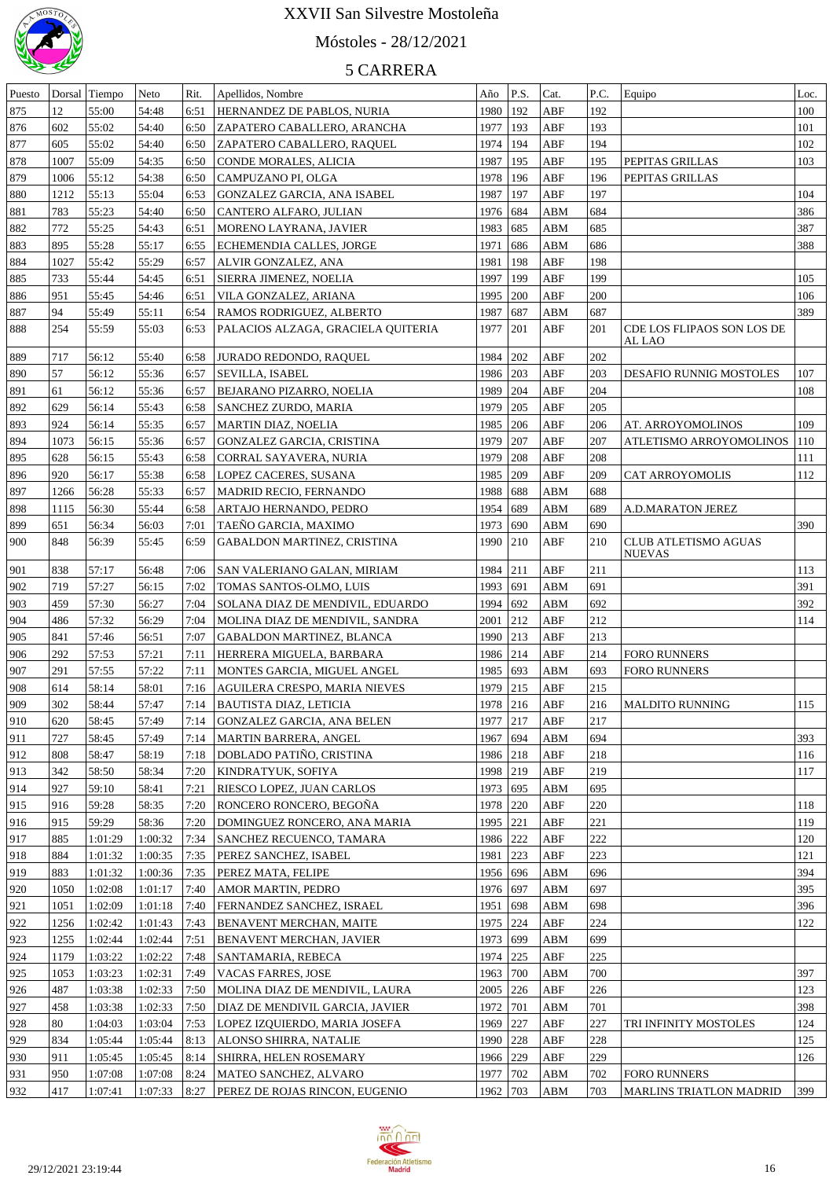

## Móstoles - 28/12/2021

| Puesto | Dorsal | Tiempo  | Neto    | Rit. | Apellidos, Nombre                     | Año        | P.S.                 | Cat.        | P.C. | Equipo                               | Loc. |
|--------|--------|---------|---------|------|---------------------------------------|------------|----------------------|-------------|------|--------------------------------------|------|
| 875    | 12     | 55:00   | 54:48   | 6:51 | HERNANDEZ DE PABLOS, NURIA            | 1980   192 |                      | ABF         | 192  |                                      | 100  |
| 876    | 602    | 55:02   | 54:40   | 6:50 | ZAPATERO CABALLERO, ARANCHA           | 1977       | 193                  | ABF         | 193  |                                      | 101  |
| 877    | 605    | 55:02   | 54:40   | 6:50 | ZAPATERO CABALLERO, RAQUEL            | 1974   194 |                      | ABF         | 194  |                                      | 102  |
| 878    | 1007   | 55:09   | 54:35   | 6:50 | CONDE MORALES, ALICIA                 | 1987       | 195                  | ABF         | 195  | PEPITAS GRILLAS                      | 103  |
| 879    | 1006   | 55:12   | 54:38   | 6:50 | CAMPUZANO PI, OLGA                    | 1978       | 196                  | ABF         | 196  | PEPITAS GRILLAS                      |      |
| 880    | 1212   | 55:13   | 55:04   | 6:53 | GONZALEZ GARCIA, ANA ISABEL           | 1987       | 197                  | ABF         | 197  |                                      | 104  |
| 881    | 783    | 55:23   | 54:40   | 6:50 | CANTERO ALFARO, JULIAN                | 1976 684   |                      | ABM         | 684  |                                      | 386  |
| 882    | 772    | 55:25   | 54:43   | 6:51 | MORENO LAYRANA, JAVIER                | 1983       | 685                  | ABM         | 685  |                                      | 387  |
| 883    | 895    | 55:28   | 55:17   | 6:55 | <b>ECHEMENDIA CALLES, JORGE</b>       | 1971       | 686                  | ABM         | 686  |                                      | 388  |
| 884    | 1027   | 55:42   | 55:29   | 6:57 | ALVIR GONZALEZ, ANA                   | 1981       | 198                  | ABF         | 198  |                                      |      |
| 885    | 733    | 55:44   | 54:45   | 6:51 | SIERRA JIMENEZ, NOELIA                | 1997       | 199                  | ABF         | 199  |                                      | 105  |
| 886    | 951    | 55:45   | 54:46   | 6:51 | VILA GONZALEZ, ARIANA                 | 1995       | 200                  | ABF         | 200  |                                      | 106  |
| 887    | 94     | 55:49   | 55:11   | 6:54 | RAMOS RODRIGUEZ, ALBERTO              | 1987       | 687                  | ABM         | 687  |                                      | 389  |
| 888    | 254    | 55:59   | 55:03   | 6:53 | PALACIOS ALZAGA, GRACIELA QUITERIA    | 1977       | 201                  | ABF         | 201  | CDE LOS FLIPAOS SON LOS DE<br>AL LAO |      |
| 889    | 717    | 56:12   | 55:40   | 6:58 | JURADO REDONDO, RAQUEL                | 1984       | 202                  | ABF         | 202  |                                      |      |
| 890    | 57     | 56:12   | 55:36   | 6:57 | <b>SEVILLA, ISABEL</b>                | 1986       | 203                  | ABF         | 203  | <b>DESAFIO RUNNIG MOSTOLES</b>       | 107  |
| 891    | 61     | 56:12   | 55:36   | 6:57 | BEJARANO PIZARRO, NOELIA              | 1989       | 204                  | ${\sf ABF}$ | 204  |                                      | 108  |
| 892    | 629    | 56:14   | 55:43   | 6:58 | <b>SANCHEZ ZURDO, MARIA</b>           | 1979       | 205                  | ${\sf ABF}$ | 205  |                                      |      |
| 893    | 924    | 56:14   | 55:35   | 6:57 | <b>MARTIN DIAZ, NOELIA</b>            | 1985       | 206                  | ABF         | 206  | AT. ARROYOMOLINOS                    | 109  |
| 894    | 1073   | 56:15   | 55:36   | 6:57 | GONZALEZ GARCIA, CRISTINA             | 1979       | 207                  | ${\sf ABF}$ | 207  | ATLETISMO ARROYOMOLINOS              | 110  |
| 895    | 628    | 56:15   | 55:43   | 6:58 | CORRAL SAYAVERA, NURIA                | 1979       | 208                  | ${\sf ABF}$ | 208  |                                      | 111  |
| 896    | 920    | 56:17   | 55:38   | 6:58 | <b>LOPEZ CACERES, SUSANA</b>          | 1985       | 209                  | ABF         | 209  | CAT ARROYOMOLIS                      | 112  |
| 897    | 1266   | 56:28   | 55:33   | 6:57 | MADRID RECIO, FERNANDO                | 1988       | 688                  | <b>ABM</b>  | 688  |                                      |      |
| 898    | 1115   | 56:30   | 55:44   | 6:58 | ARTAJO HERNANDO, PEDRO                | 1954       | 689                  | ${\bf ABM}$ | 689  | A.D.MARATON JEREZ                    |      |
| 899    | 651    | 56:34   | 56:03   | 7:01 | TAEÑO GARCIA, MAXIMO                  | 1973       | 690                  | ABM         | 690  |                                      | 390  |
| 900    | 848    | 56:39   | 55:45   | 6:59 | <b>GABALDON MARTINEZ, CRISTINA</b>    | 1990 210   |                      | ABF         | 210  | CLUB ATLETISMO AGUAS<br>NUEVAS       |      |
| 901    | 838    | 57:17   | 56:48   | 7:06 | SAN VALERIANO GALAN, MIRIAM           | 1984   211 |                      | ABF         | 211  |                                      | 113  |
| 902    | 719    | 57:27   | 56:15   | 7:02 | TOMAS SANTOS-OLMO, LUIS               | 1993 691   |                      | ${\bf ABM}$ | 691  |                                      | 391  |
| 903    | 459    | 57:30   | 56:27   | 7:04 | SOLANA DIAZ DE MENDIVIL, EDUARDO      | 1994 692   |                      | ABM         | 692  |                                      | 392  |
| 904    | 486    | 57:32   | 56:29   | 7:04 | MOLINA DIAZ DE MENDIVIL, SANDRA       | 2001 212   |                      | ABF         | 212  |                                      | 114  |
| 905    | 841    | 57:46   | 56:51   | 7:07 | <b>GABALDON MARTINEZ, BLANCA</b>      | 1990 213   |                      | ABF         | 213  |                                      |      |
| 906    | 292    | 57:53   | 57:21   | 7:11 | HERRERA MIGUELA, BARBARA              | 1986 214   |                      | ABF         | 214  | <b>FORO RUNNERS</b>                  |      |
| 907    | 291    | 57:55   | 57:22   | 7:11 | MONTES GARCIA, MIGUEL ANGEL           | 1985 693   |                      | ABM         | 693  | <b>FORO RUNNERS</b>                  |      |
| 908    | 614    | 58:14   | 58:01   | 7:16 | <b>AGUILERA CRESPO, MARIA NIEVES</b>  | 1979       | 215                  | ${\sf ABF}$ | 215  |                                      |      |
| 909    | 302    | 58:44   | 57:47   | 7:14 | BAUTISTA DIAZ, LETICIA                | 1978 216   |                      | ABF         | 216  | MALDITO RUNNING                      | 115  |
| 910    | 620    | 58:45   | 57:49   |      | 7:14 GONZALEZ GARCIA, ANA BELEN       | 1977 217   |                      | ABF         | 217  |                                      |      |
| 911    | 727    | 58:45   | 57:49   | 7:14 | MARTIN BARRERA, ANGEL                 | 1967       | $\left  694 \right $ | ABM         | 694  |                                      | 393  |
| 912    | 808    | 58:47   | 58:19   |      | 7:18   DOBLADO PATIÑO, CRISTINA       | 1986 218   |                      | ABF         | 218  |                                      | 116  |
| 913    | 342    | 58:50   | 58:34   | 7:20 | KINDRATYUK, SOFIYA                    | 1998 219   |                      | ABF         | 219  |                                      | 117  |
| 914    | 927    | 59:10   | 58:41   | 7:21 | RIESCO LOPEZ, JUAN CARLOS             | 1973 695   |                      | ABM         | 695  |                                      |      |
| 915    | 916    | 59:28   | 58:35   | 7:20 | RONCERO RONCERO, BEGOÑA               | 1978 220   |                      | ABF         | 220  |                                      | 118  |
| 916    | 915    | 59:29   | 58:36   | 7:20 | DOMINGUEZ RONCERO, ANA MARIA          | 1995 221   |                      | ABF         | 221  |                                      | 119  |
| 917    | 885    | 1:01:29 | 1:00:32 | 7:34 | SANCHEZ RECUENCO, TAMARA              | 1986 222   |                      | ABF         | 222  |                                      | 120  |
| 918    | 884    | 1:01:32 | 1:00:35 | 7:35 | PEREZ SANCHEZ, ISABEL                 | 1981       | 223                  | ABF         | 223  |                                      | 121  |
| 919    | 883    | 1:01:32 | 1:00:36 | 7:35 | PEREZ MATA, FELIPE                    | 1956 696   |                      | ABM         | 696  |                                      | 394  |
| 920    | 1050   | 1:02:08 | 1:01:17 | 7:40 | <b>AMOR MARTIN, PEDRO</b>             | 1976 697   |                      | ABM         | 697  |                                      | 395  |
| 921    | 1051   | 1:02:09 | 1:01:18 | 7:40 | FERNANDEZ SANCHEZ, ISRAEL             | 1951       | 698                  | ABM         | 698  |                                      | 396  |
| 922    | 1256   | 1:02:42 | 1:01:43 | 7:43 | BENAVENT MERCHAN, MAITE               | 1975 224   |                      | ABF         | 224  |                                      | 122  |
| 923    | 1255   | 1:02:44 | 1:02:44 | 7:51 | <b>BENAVENT MERCHAN, JAVIER</b>       | 1973 699   |                      | ABM         | 699  |                                      |      |
| 924    | 1179   | 1:03:22 | 1:02:22 | 7:48 | SANTAMARIA, REBECA                    | 1974 225   |                      | ABF         | 225  |                                      |      |
| 925    | 1053   | 1:03:23 | 1:02:31 | 7:49 | VACAS FARRES, JOSE                    | 1963 700   |                      | ABM         | 700  |                                      | 397  |
| 926    | 487    | 1:03:38 | 1:02:33 | 7:50 | MOLINA DIAZ DE MENDIVIL, LAURA        | 2005 226   |                      | ${\rm ABF}$ | 226  |                                      | 123  |
| 927    | 458    | 1:03:38 | 1:02:33 | 7:50 | DIAZ DE MENDIVIL GARCIA, JAVIER       | 1972 701   |                      | ${\bf ABM}$ | 701  |                                      | 398  |
| 928    | 80     | 1:04:03 | 1:03:04 | 7:53 | LOPEZ IZQUIERDO, MARIA JOSEFA         | 1969 227   |                      | ABF         | 227  | TRI INFINITY MOSTOLES                | 124  |
| 929    | 834    | 1:05:44 | 1:05:44 | 8:13 | <b>ALONSO SHIRRA, NATALIE</b>         | 1990 228   |                      | ${\rm ABF}$ | 228  |                                      | 125  |
| 930    | 911    | 1:05:45 | 1:05:45 | 8:14 | SHIRRA, HELEN ROSEMARY                | 1966 229   |                      | ${\rm ABF}$ | 229  |                                      | 126  |
| 931    | 950    | 1:07:08 | 1:07:08 | 8:24 | MATEO SANCHEZ, ALVARO                 | 1977 702   |                      | ABM         | 702  | <b>FORO RUNNERS</b>                  |      |
| 932    | 417    | 1:07:41 | 1:07:33 | 8:27 | <b>PEREZ DE ROJAS RINCON, EUGENIO</b> | 1962 703   |                      | <b>ABM</b>  | 703  | <b>MARLINS TRIATLON MADRID</b>       | 399  |